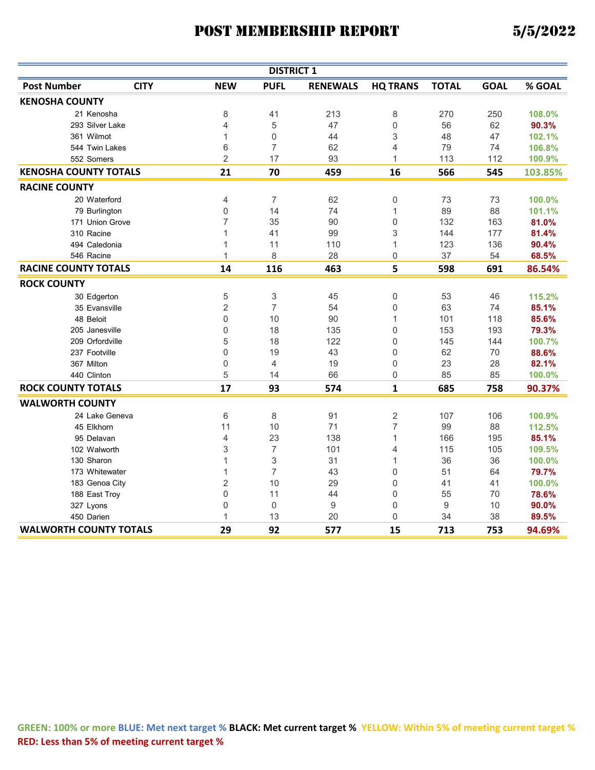| <b>DISTRICT 1</b>             |             |                           |                           |                 |                 |                  |             |         |
|-------------------------------|-------------|---------------------------|---------------------------|-----------------|-----------------|------------------|-------------|---------|
| <b>Post Number</b>            | <b>CITY</b> | <b>NEW</b>                | <b>PUFL</b>               | <b>RENEWALS</b> | <b>HQ TRANS</b> | <b>TOTAL</b>     | <b>GOAL</b> | % GOAL  |
| <b>KENOSHA COUNTY</b>         |             |                           |                           |                 |                 |                  |             |         |
| 21 Kenosha                    |             | 8                         | 41                        | 213             | 8               | 270              | 250         | 108.0%  |
| 293 Silver Lake               |             | $\overline{4}$            | 5                         | 47              | $\mathbf 0$     | 56               | 62          | 90.3%   |
| 361 Wilmot                    |             | $\mathbf{1}$              | $\boldsymbol{0}$          | 44              | 3               | 48               | 47          | 102.1%  |
| 544 Twin Lakes                |             | 6                         | $\overline{7}$            | 62              | 4               | 79               | 74          | 106.8%  |
| 552 Somers                    |             | $\overline{2}$            | 17                        | 93              | $\mathbf{1}$    | 113              | 112         | 100.9%  |
| <b>KENOSHA COUNTY TOTALS</b>  |             | 21                        | 70                        | 459             | 16              | 566              | 545         | 103.85% |
| <b>RACINE COUNTY</b>          |             |                           |                           |                 |                 |                  |             |         |
| 20 Waterford                  |             | 4                         | $\overline{7}$            | 62              | 0               | 73               | 73          | 100.0%  |
| 79 Burlington                 |             | 0                         | 14                        | 74              | $\mathbf{1}$    | 89               | 88          | 101.1%  |
| 171 Union Grove               |             | $\overline{7}$            | 35                        | 90              | 0               | 132              | 163         | 81.0%   |
| 310 Racine                    |             | 1                         | 41                        | 99              | 3               | 144              | 177         | 81.4%   |
| 494 Caledonia                 |             | 1                         | 11                        | 110             | $\mathbf{1}$    | 123              | 136         | 90.4%   |
| 546 Racine                    |             | $\mathbf 1$               | 8                         | 28              | 0               | 37               | 54          | 68.5%   |
| <b>RACINE COUNTY TOTALS</b>   |             | 14                        | 116                       | 463             | 5               | 598              | 691         | 86.54%  |
| <b>ROCK COUNTY</b>            |             |                           |                           |                 |                 |                  |             |         |
| 30 Edgerton                   |             | 5                         | $\ensuremath{\mathsf{3}}$ | 45              | $\mathbf 0$     | 53               | 46          | 115.2%  |
| 35 Evansville                 |             | $\overline{2}$            | $\overline{7}$            | 54              | $\mathbf 0$     | 63               | 74          | 85.1%   |
| 48 Beloit                     |             | $\mathbf 0$               | 10                        | 90              | 1               | 101              | 118         | 85.6%   |
| 205 Janesville                |             | $\mathbf 0$               | 18                        | 135             | $\mathbf 0$     | 153              | 193         | 79.3%   |
| 209 Orfordville               |             | 5                         | 18                        | 122             | 0               | 145              | 144         | 100.7%  |
| 237 Footville                 |             | $\mathbf 0$               | 19                        | 43              | $\Omega$        | 62               | 70          | 88.6%   |
| 367 Milton                    |             | $\mathbf 0$               | 4                         | 19              | $\mathbf 0$     | 23               | 28          | 82.1%   |
| 440 Clinton                   |             | 5                         | 14                        | 66              | 0               | 85               | 85          | 100.0%  |
| <b>ROCK COUNTY TOTALS</b>     |             | 17                        | 93                        | 574             | $\mathbf{1}$    | 685              | 758         | 90.37%  |
| <b>WALWORTH COUNTY</b>        |             |                           |                           |                 |                 |                  |             |         |
| 24 Lake Geneva                |             | 6                         | $\,8\,$                   | 91              | $\overline{2}$  | 107              | 106         | 100.9%  |
| 45 Elkhorn                    |             | 11                        | 10                        | 71              | $\overline{7}$  | 99               | 88          | 112.5%  |
| 95 Delavan                    |             | 4                         | 23                        | 138             | 1               | 166              | 195         | 85.1%   |
| 102 Walworth                  |             | $\ensuremath{\mathsf{3}}$ | $\overline{7}$            | 101             | 4               | 115              | 105         | 109.5%  |
| 130 Sharon                    |             | $\mathbf{1}$              | 3                         | 31              | $\mathbf{1}$    | 36               | 36          | 100.0%  |
| 173 Whitewater                |             | 1                         | $\overline{7}$            | 43              | $\mathbf 0$     | 51               | 64          | 79.7%   |
| 183 Genoa City                |             | $\overline{2}$            | 10                        | 29              | $\mathbf 0$     | 41               | 41          | 100.0%  |
| 188 East Troy                 |             | $\mathbf 0$               | 11                        | 44              | $\mathbf 0$     | 55               | 70          | 78.6%   |
| 327 Lyons                     |             | $\mathsf{O}\xspace$       | $\boldsymbol{0}$          | 9               | $\mathbf 0$     | $\boldsymbol{9}$ | 10          | 90.0%   |
| 450 Darien                    |             | 1                         | 13                        | 20              | $\Omega$        | 34               | 38          | 89.5%   |
| <b>WALWORTH COUNTY TOTALS</b> |             | 29                        | 92                        | 577             | 15              | 713              | 753         | 94.69%  |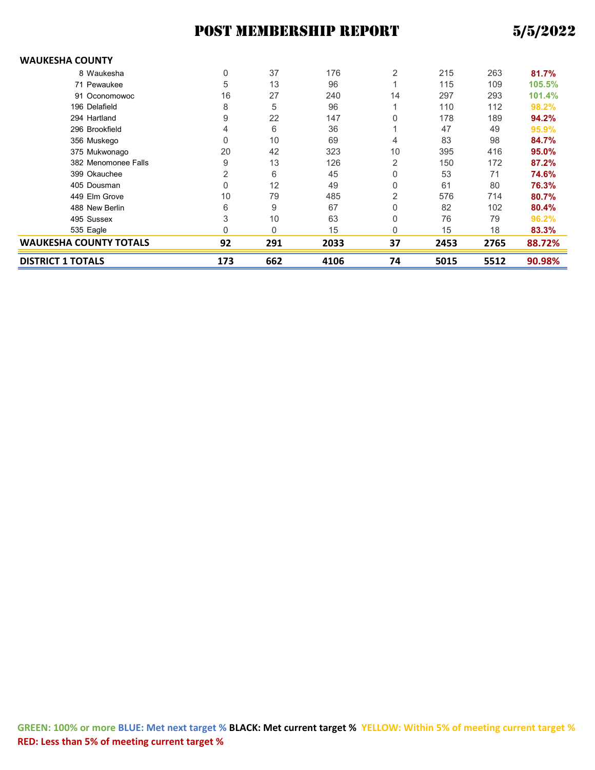#### **WAUKESHA COUNTY**

| <b>DISTRICT 1 TOTALS</b>      | 173 | 662          | 4106 | 74             | 5015 | 5512 | 90.98% |
|-------------------------------|-----|--------------|------|----------------|------|------|--------|
| <b>WAUKESHA COUNTY TOTALS</b> | 92  | 291          | 2033 | 37             | 2453 | 2765 | 88.72% |
| 535 Eagle                     | O   | $\mathbf{0}$ | 15   | 0              | 15   | 18   | 83.3%  |
| 495 Sussex                    | 3   | 10           | 63   | 0              | 76   | 79   | 96.2%  |
| 488 New Berlin                | 6   | 9            | 67   | 0              | 82   | 102  | 80.4%  |
| 449 Elm Grove                 | 10  | 79           | 485  | 2              | 576  | 714  | 80.7%  |
| 405 Dousman                   | 0   | 12           | 49   | 0              | 61   | 80   | 76.3%  |
| 399 Okauchee                  | 2   | 6            | 45   | 0              | 53   | 71   | 74.6%  |
| 382 Menomonee Falls           | 9   | 13           | 126  | 2              | 150  | 172  | 87.2%  |
| 375 Mukwonago                 | 20  | 42           | 323  | 10             | 395  | 416  | 95.0%  |
| 356 Muskego                   | 0   | 10           | 69   | 4              | 83   | 98   | 84.7%  |
| 296 Brookfield                | 4   | 6            | 36   |                | 47   | 49   | 95.9%  |
| 294 Hartland                  | 9   | 22           | 147  | 0              | 178  | 189  | 94.2%  |
| 196 Delafield                 | 8   | 5            | 96   |                | 110  | 112  | 98.2%  |
| 91 Oconomowoc                 | 16  | 27           | 240  | 14             | 297  | 293  | 101.4% |
| 71 Pewaukee                   | 5   | 13           | 96   |                | 115  | 109  | 105.5% |
| 8 Waukesha                    | 0   | 37           | 176  | $\overline{2}$ | 215  | 263  | 81.7%  |
|                               |     |              |      |                |      |      |        |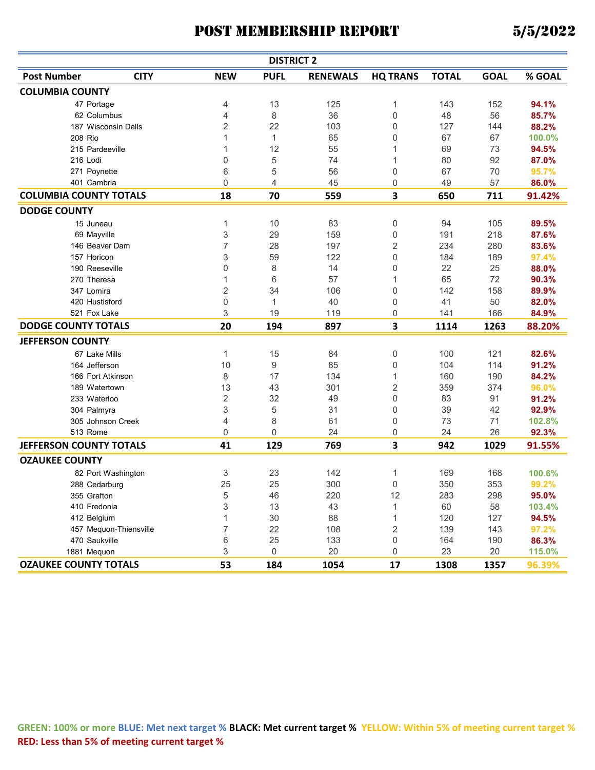|                                |                        |                | <b>DISTRICT 2</b> |                 |                 |              |             |        |
|--------------------------------|------------------------|----------------|-------------------|-----------------|-----------------|--------------|-------------|--------|
| <b>Post Number</b>             | <b>CITY</b>            | <b>NEW</b>     | <b>PUFL</b>       | <b>RENEWALS</b> | <b>HQ TRANS</b> | <b>TOTAL</b> | <b>GOAL</b> | % GOAL |
| <b>COLUMBIA COUNTY</b>         |                        |                |                   |                 |                 |              |             |        |
| 47 Portage                     |                        | 4              | 13                | 125             | 1               | 143          | 152         | 94.1%  |
| 62 Columbus                    |                        | 4              | 8                 | 36              | 0               | 48           | 56          | 85.7%  |
| 187 Wisconsin Dells            |                        | 2              | 22                | 103             | 0               | 127          | 144         | 88.2%  |
| 208 Rio                        |                        | 1              | $\mathbf{1}$      | 65              | 0               | 67           | 67          | 100.0% |
| 215 Pardeeville                |                        | 1              | 12                | 55              | 1               | 69           | 73          | 94.5%  |
| 216 Lodi                       |                        | 0              | 5                 | 74              | 1               | 80           | 92          | 87.0%  |
| 271 Poynette                   |                        | 6              | 5                 | 56              | 0               | 67           | 70          | 95.7%  |
| 401 Cambria                    |                        | 0              | 4                 | 45              | 0               | 49           | 57          | 86.0%  |
| <b>COLUMBIA COUNTY TOTALS</b>  |                        | 18             | 70                | 559             | 3               | 650          | 711         | 91.42% |
| <b>DODGE COUNTY</b>            |                        |                |                   |                 |                 |              |             |        |
| 15 Juneau                      |                        | 1              | 10                | 83              | 0               | 94           | 105         | 89.5%  |
| 69 Mayville                    |                        | 3              | 29                | 159             | 0               | 191          | 218         | 87.6%  |
| 146 Beaver Dam                 |                        | 7              | 28                | 197             | 2               | 234          | 280         | 83.6%  |
| 157 Horicon                    |                        | 3              | 59                | 122             | 0               | 184          | 189         | 97.4%  |
| 190 Reeseville                 |                        | 0              | 8                 | 14              | 0               | 22           | 25          | 88.0%  |
| 270 Theresa                    |                        | 1              | 6                 | 57              | 1               | 65           | 72          | 90.3%  |
| 347 Lomira                     |                        | $\sqrt{2}$     | 34                | 106             | 0               | 142          | 158         | 89.9%  |
| 420 Hustisford                 |                        | 0              | $\mathbf{1}$      | 40              | 0               | 41           | 50          | 82.0%  |
| 521 Fox Lake                   |                        | 3              | 19                | 119             | 0               | 141          | 166         | 84.9%  |
| <b>DODGE COUNTY TOTALS</b>     |                        | 20             | 194               | 897             | 3               | 1114         | 1263        | 88.20% |
| <b>JEFFERSON COUNTY</b>        |                        |                |                   |                 |                 |              |             |        |
| 67 Lake Mills                  |                        | 1              | 15                | 84              | 0               | 100          | 121         | 82.6%  |
| 164 Jefferson                  |                        | 10             | 9                 | 85              | 0               | 104          | 114         | 91.2%  |
| 166 Fort Atkinson              |                        | 8              | 17                | 134             | 1               | 160          | 190         | 84.2%  |
| 189 Watertown                  |                        | 13             | 43                | 301             | 2               | 359          | 374         | 96.0%  |
| 233 Waterloo                   |                        | $\overline{c}$ | 32                | 49              | 0               | 83           | 91          | 91.2%  |
| 304 Palmyra                    |                        | 3              | 5                 | 31              | 0               | 39           | 42          | 92.9%  |
| 305 Johnson Creek              |                        | 4              | 8                 | 61              | 0               | 73           | 71          | 102.8% |
| 513 Rome                       |                        | 0              | $\Omega$          | 24              | 0               | 24           | 26          | 92.3%  |
| <b>JEFFERSON COUNTY TOTALS</b> |                        | 41             | 129               | 769             | 3               | 942          | 1029        | 91.55% |
| <b>OZAUKEE COUNTY</b>          |                        |                |                   |                 |                 |              |             |        |
|                                | 82 Port Washington     | 3              | 23                | 142             | 1               | 169          | 168         | 100.6% |
| 288 Cedarburg                  |                        | 25             | 25                | 300             | 0               | 350          | 353         | 99.2%  |
| 355 Grafton                    |                        | 5              | 46                | 220             | 12              | 283          | 298         | 95.0%  |
| 410 Fredonia                   |                        | 3              | 13                | 43              | 1               | 60           | 58          | 103.4% |
| 412 Belgium                    |                        | $\mathbf{1}$   | $30\,$            | 88              | 1               | 120          | 127         | 94.5%  |
|                                | 457 Mequon-Thiensville | $\overline{7}$ | 22                | 108             | $\overline{c}$  | 139          | 143         | 97.2%  |
| 470 Saukville                  |                        | 6              | 25                | 133             | 0               | 164          | 190         | 86.3%  |
| 1881 Mequon                    |                        | 3              | $\mathbf 0$       | 20              | 0               | 23           | 20          | 115.0% |
| <b>OZAUKEE COUNTY TOTALS</b>   |                        | 53             | 184               | 1054            | 17              | 1308         | 1357        | 96.39% |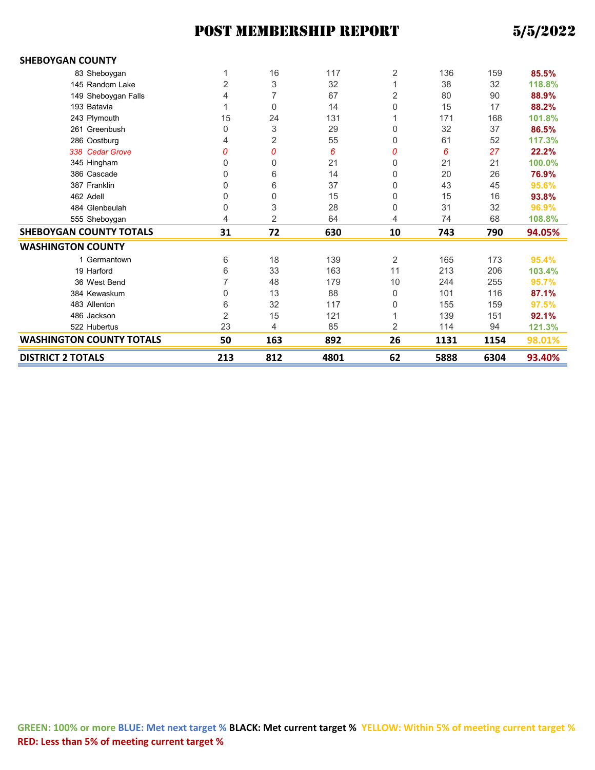| <b>SHEBOYGAN COUNTY</b>         |                |     |      |                |      |      |        |
|---------------------------------|----------------|-----|------|----------------|------|------|--------|
| 83 Sheboygan                    | 1              | 16  | 117  | 2              | 136  | 159  | 85.5%  |
| 145 Random Lake                 | $\overline{2}$ | 3   | 32   | 1              | 38   | 32   | 118.8% |
| 149 Sheboygan Falls             | 4              | 7   | 67   | 2              | 80   | 90   | 88.9%  |
| 193 Batavia                     | 1              | 0   | 14   | 0              | 15   | 17   | 88.2%  |
| 243 Plymouth                    | 15             | 24  | 131  |                | 171  | 168  | 101.8% |
| 261 Greenbush                   | 0              | 3   | 29   | 0              | 32   | 37   | 86.5%  |
| 286 Oostburg                    | 4              | 2   | 55   | 0              | 61   | 52   | 117.3% |
| 338 Cedar Grove                 | 0              | 0   | 6    | 0              | 6    | 27   | 22.2%  |
| 345 Hingham                     | 0              | 0   | 21   | 0              | 21   | 21   | 100.0% |
| 386 Cascade                     | 0              | 6   | 14   | 0              | 20   | 26   | 76.9%  |
| 387 Franklin                    | 0              | 6   | 37   | 0              | 43   | 45   | 95.6%  |
| 462 Adell                       | 0              | 0   | 15   | 0              | 15   | 16   | 93.8%  |
| 484 Glenbeulah                  | 0              | 3   | 28   | 0              | 31   | 32   | 96.9%  |
| 555 Sheboygan                   | 4              | 2   | 64   | 4              | 74   | 68   | 108.8% |
| <b>SHEBOYGAN COUNTY TOTALS</b>  | 31             | 72  | 630  | 10             | 743  | 790  | 94.05% |
| <b>WASHINGTON COUNTY</b>        |                |     |      |                |      |      |        |
| 1 Germantown                    | 6              | 18  | 139  | 2              | 165  | 173  | 95.4%  |
| 19 Harford                      | 6              | 33  | 163  | 11             | 213  | 206  | 103.4% |
| 36 West Bend                    | 7              | 48  | 179  | 10             | 244  | 255  | 95.7%  |
| 384 Kewaskum                    | 0              | 13  | 88   | 0              | 101  | 116  | 87.1%  |
| 483 Allenton                    | 6              | 32  | 117  | 0              | 155  | 159  | 97.5%  |
| 486 Jackson                     | 2              | 15  | 121  |                | 139  | 151  | 92.1%  |
| 522 Hubertus                    | 23             | 4   | 85   | $\overline{2}$ | 114  | 94   | 121.3% |
| <b>WASHINGTON COUNTY TOTALS</b> | 50             | 163 | 892  | 26             | 1131 | 1154 | 98.01% |
| <b>DISTRICT 2 TOTALS</b>        | 213            | 812 | 4801 | 62             | 5888 | 6304 | 93.40% |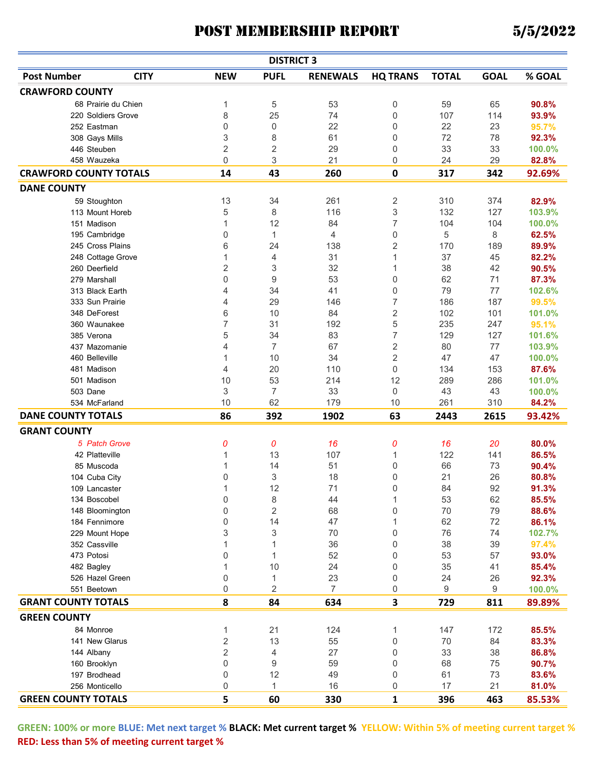|                               |                     |                | <b>DISTRICT 3</b> |                 |                 |              |             |                |
|-------------------------------|---------------------|----------------|-------------------|-----------------|-----------------|--------------|-------------|----------------|
| <b>Post Number</b>            | <b>CITY</b>         | <b>NEW</b>     | <b>PUFL</b>       | <b>RENEWALS</b> | <b>HQ TRANS</b> | <b>TOTAL</b> | <b>GOAL</b> | % GOAL         |
| <b>CRAWFORD COUNTY</b>        |                     |                |                   |                 |                 |              |             |                |
|                               | 68 Prairie du Chien | 1              | 5                 | 53              | 0               | 59           | 65          | 90.8%          |
|                               | 220 Soldiers Grove  | 8              | 25                | 74              | 0               | 107          | 114         | 93.9%          |
| 252 Eastman                   |                     | 0              | 0                 | 22              | 0               | 22           | 23          | 95.7%          |
|                               | 308 Gays Mills      | 3              | 8                 | 61              | 0               | 72           | 78          | 92.3%          |
| 446 Steuben                   |                     | 2              | 2                 | 29              | 0               | 33           | 33          | 100.0%         |
| 458 Wauzeka                   |                     | 0              | 3                 | 21              | 0               | 24           | 29          | 82.8%          |
| <b>CRAWFORD COUNTY TOTALS</b> |                     | 14             | 43                | 260             | 0               | 317          | 342         | 92.69%         |
| <b>DANE COUNTY</b>            |                     |                |                   |                 |                 |              |             |                |
|                               | 59 Stoughton        | 13             | 34                | 261             | 2               | 310          | 374         | 82.9%          |
|                               | 113 Mount Horeb     | 5              | 8                 | 116             | 3               | 132          | 127         | 103.9%         |
| 151 Madison                   |                     | 1              | 12                | 84              | 7               | 104          | 104         | 100.0%         |
|                               | 195 Cambridge       | 0              | 1                 | 4               | 0               | 5            | 8           | 62.5%          |
|                               | 245 Cross Plains    | 6              | 24                | 138             | 2               | 170          | 189         | 89.9%          |
|                               |                     | 1              | 4                 | 31              | $\mathbf{1}$    | 37           | 45          |                |
| 260 Deerfield                 | 248 Cottage Grove   |                |                   | 32              | 1               | 38           | 42          | 82.2%<br>90.5% |
| 279 Marshall                  |                     | 2              | 3<br>9            | 53              |                 |              | 71          | 87.3%          |
|                               |                     | 0              | 34                | 41              | 0               | 62<br>79     | 77          |                |
|                               | 313 Black Earth     | 4              |                   |                 | 0               |              |             | 102.6%         |
|                               | 333 Sun Prairie     | 4              | 29                | 146             | 7               | 186          | 187         | 99.5%          |
| 348 DeForest                  |                     | 6              | 10                | 84              | $\overline{c}$  | 102          | 101         | 101.0%         |
|                               | 360 Waunakee        | 7              | 31                | 192             | 5               | 235          | 247         | 95.1%          |
| 385 Verona                    |                     | 5              | 34                | 83              | 7               | 129          | 127         | 101.6%         |
|                               | 437 Mazomanie       | 4              | $\overline{7}$    | 67              | $\overline{2}$  | 80           | 77          | 103.9%         |
| 460 Belleville                |                     | 1              | 10                | 34              | $\overline{2}$  | 47           | 47          | 100.0%         |
| 481 Madison                   |                     | 4              | 20                | 110             | 0               | 134          | 153         | 87.6%          |
| 501 Madison                   |                     | 10             | 53                | 214             | 12              | 289          | 286         | 101.0%         |
| 503 Dane                      |                     | 3              | 7                 | 33              | 0               | 43           | 43          | 100.0%         |
|                               | 534 McFarland       | 10             | 62                | 179             | 10              | 261          | 310         | 84.2%          |
| <b>DANE COUNTY TOTALS</b>     |                     | 86             | 392               | 1902            | 63              | 2443         | 2615        | 93.42%         |
| <b>GRANT COUNTY</b>           |                     |                |                   |                 |                 |              |             |                |
|                               | 5 Patch Grove       | 0              | 0                 | 16              | 0               | 16           | 20          | 80.0%          |
|                               | 42 Platteville      | 1              | 13                | 107             | 1               | 122          | 141         | 86.5%          |
| 85 Muscoda                    |                     | 1              | 14                | 51              | 0               | 66           | 73          | 90.4%          |
| 104 Cuba City                 |                     | 0              | 3                 | 18              | 0               | 21           | 26          | 80.8%          |
| 109 Lancaster                 |                     | 1              | 12                | 71              | 0               | 84           | 92          | 91.3%          |
| 134 Boscobel                  |                     | 0              | 8                 | 44              | 1               | 53           | 62          | 85.5%          |
|                               | 148 Bloomington     | 0              | 2                 | 68              | 0               | 70           | 79          | 88.6%          |
|                               | 184 Fennimore       | 0              | 14                | 47              | 1               | 62           | 72          | 86.1%          |
|                               | 229 Mount Hope      | 3              | 3                 | 70              | 0               | 76           | 74          | 102.7%         |
| 352 Cassville                 |                     | 1              | 1                 | 36              | 0               | 38           | 39          | 97.4%          |
| 473 Potosi                    |                     | 0              | 1                 | 52              | 0               | 53           | 57          | 93.0%          |
| 482 Bagley                    |                     | 1              | 10                | 24              | 0               | 35           | 41          | 85.4%          |
|                               | 526 Hazel Green     | 0              | 1                 | 23              | 0               | 24           | 26          | 92.3%          |
| 551 Beetown                   |                     | 0              | 2                 | $\overline{7}$  | 0               | 9            | 9           | 100.0%         |
| <b>GRANT COUNTY TOTALS</b>    |                     | 8              |                   |                 |                 |              |             |                |
|                               |                     |                | 84                | 634             | 3               | 729          | 811         | 89.89%         |
| <b>GREEN COUNTY</b>           |                     |                |                   |                 |                 |              |             |                |
| 84 Monroe                     |                     | 1              | 21                | 124             | 1               | 147          | 172         | 85.5%          |
|                               | 141 New Glarus      | 2              | 13                | 55              | 0               | 70           | 84          | 83.3%          |
| 144 Albany                    |                     | $\overline{2}$ | 4                 | 27              | 0               | 33           | 38          | 86.8%          |
| 160 Brooklyn                  |                     | 0              | 9                 | 59              | 0               | 68           | 75          | 90.7%          |
| 197 Brodhead                  |                     | 0              | 12                | 49              | 0               | 61           | 73          | 83.6%          |
| 256 Monticello                |                     | 0              | $\mathbf{1}$      | 16              | 0               | 17           | 21          | 81.0%          |
| <b>GREEN COUNTY TOTALS</b>    |                     | 5              | 60                | 330             | 1               | 396          | 463         | 85.53%         |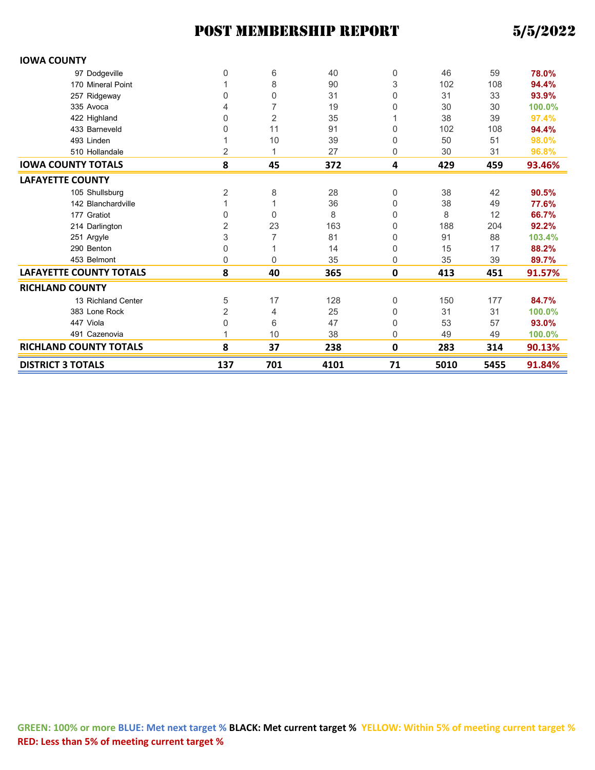## POST MEMBERSHIP REPORT

| 5/5/2022 |  |  |
|----------|--|--|
|          |  |  |

| <b>IOWA COUNTY</b>             |                |                |      |           |      |      |        |
|--------------------------------|----------------|----------------|------|-----------|------|------|--------|
| 97 Dodgeville                  | 0              | 6              | 40   | 0         | 46   | 59   | 78.0%  |
| 170 Mineral Point              |                | 8              | 90   | 3         | 102  | 108  | 94.4%  |
| 257 Ridgeway                   | 0              | 0              | 31   | 0         | 31   | 33   | 93.9%  |
| 335 Avoca                      | 4              | 7              | 19   | 0         | 30   | 30   | 100.0% |
| 422 Highland                   | 0              | $\overline{2}$ | 35   |           | 38   | 39   | 97.4%  |
| 433 Barneveld                  | 0              | 11             | 91   | 0         | 102  | 108  | 94.4%  |
| 493 Linden                     |                | 10             | 39   | 0         | 50   | 51   | 98.0%  |
| 510 Hollandale                 | 2              | 1              | 27   | 0         | 30   | 31   | 96.8%  |
| <b>IOWA COUNTY TOTALS</b>      | 8              | 45             | 372  | 4         | 429  | 459  | 93.46% |
| <b>LAFAYETTE COUNTY</b>        |                |                |      |           |      |      |        |
| 105 Shullsburg                 | $\overline{2}$ | 8              | 28   | 0         | 38   | 42   | 90.5%  |
| 142 Blanchardville             | 1              |                | 36   | 0         | 38   | 49   | 77.6%  |
| 177 Gratiot                    | 0              | $\Omega$       | 8    | 0         | 8    | 12   | 66.7%  |
| 214 Darlington                 | $\overline{2}$ | 23             | 163  | 0         | 188  | 204  | 92.2%  |
| 251 Argyle                     | 3              | 7              | 81   | 0         | 91   | 88   | 103.4% |
| 290 Benton                     | 0              | 1              | 14   | 0         | 15   | 17   | 88.2%  |
| 453 Belmont                    | 0              | $\Omega$       | 35   | 0         | 35   | 39   | 89.7%  |
| <b>LAFAYETTE COUNTY TOTALS</b> | 8              | 40             | 365  | $\pmb{0}$ | 413  | 451  | 91.57% |
| <b>RICHLAND COUNTY</b>         |                |                |      |           |      |      |        |
| 13 Richland Center             | 5              | 17             | 128  | 0         | 150  | 177  | 84.7%  |
| 383 Lone Rock                  | $\overline{2}$ | 4              | 25   | 0         | 31   | 31   | 100.0% |
| 447 Viola                      | 0              | 6              | 47   | 0         | 53   | 57   | 93.0%  |
| 491 Cazenovia                  |                | 10             | 38   | 0         | 49   | 49   | 100.0% |
| <b>RICHLAND COUNTY TOTALS</b>  | 8              | 37             | 238  | 0         | 283  | 314  | 90.13% |
| <b>DISTRICT 3 TOTALS</b>       | 137            | 701            | 4101 | 71        | 5010 | 5455 | 91.84% |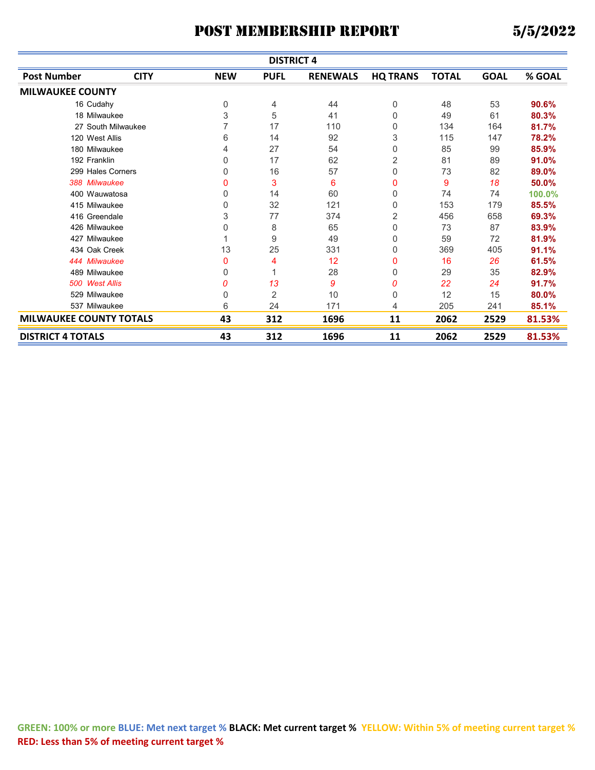| <b>DISTRICT 4</b>              |                                                   |            |             |                 |                 |              |             |        |  |
|--------------------------------|---------------------------------------------------|------------|-------------|-----------------|-----------------|--------------|-------------|--------|--|
| <b>Post Number</b>             | <b>CITY</b>                                       | <b>NEW</b> | <b>PUFL</b> | <b>RENEWALS</b> | <b>HQ TRANS</b> | <b>TOTAL</b> | <b>GOAL</b> | % GOAL |  |
| <b>MILWAUKEE COUNTY</b>        |                                                   |            |             |                 |                 |              |             |        |  |
| 16 Cudahy                      |                                                   | 0          | 4           | 44              | 0               | 48           | 53          | 90.6%  |  |
| 18 Milwaukee                   |                                                   | 3          | 5           | 41              | 0               | 49           | 61          | 80.3%  |  |
| 27 South Milwaukee             |                                                   | 7          | 17          | 110             | 0               | 134          | 164         | 81.7%  |  |
| 120 West Allis                 |                                                   | 6          | 14          | 92              | 3               | 115          | 147         | 78.2%  |  |
| 180 Milwaukee                  |                                                   | 4          | 27          | 54              | 0               | 85           | 99          | 85.9%  |  |
| 192 Franklin                   |                                                   | 0          | 17          | 62              | 2               | 81           | 89          | 91.0%  |  |
| 299 Hales Corners              |                                                   | 0          | 16          | 57              | 0               | 73           | 82          | 89.0%  |  |
| 388 Milwaukee                  |                                                   | 0          | 3           | 6               | 0               | 9            | 18          | 50.0%  |  |
| 400 Wauwatosa                  |                                                   | 0          | 14          | 60              | 0               | 74           | 74          | 100.0% |  |
| 415 Milwaukee                  |                                                   | 0          | 32          | 121             | 0               | 153          | 179         | 85.5%  |  |
| 416 Greendale                  |                                                   | 3          | 77          | 374             | 2               | 456          | 658         | 69.3%  |  |
| 426 Milwaukee                  |                                                   | 0          | 8           | 65              | 0               | 73           | 87          | 83.9%  |  |
| 427 Milwaukee                  |                                                   | 1          | 9           | 49              | 0               | 59           | 72          | 81.9%  |  |
| 434 Oak Creek                  |                                                   | 13         | 25          | 331             | 0               | 369          | 405         | 91.1%  |  |
| 444 Milwaukee                  |                                                   | 0          | 4           | 12              | 0               | 16           | 26          | 61.5%  |  |
| 489 Milwaukee                  |                                                   | 0          |             | 28              | 0               | 29           | 35          | 82.9%  |  |
| 500 West Allis                 |                                                   | 0          | 13          | 9               | 0               | 22           | 24          | 91.7%  |  |
| 529 Milwaukee                  |                                                   | 0          | 2           | 10              | 0               | 12           | 15          | 80.0%  |  |
| 537 Milwaukee                  |                                                   | 6          | 24          | 171             | 4               | 205          | 241         | 85.1%  |  |
| <b>MILWAUKEE COUNTY TOTALS</b> |                                                   | 43         | 312         | 1696            | 11              | 2062         | 2529        | 81.53% |  |
| <b>DISTRICT 4 TOTALS</b>       | 43<br>312<br>2062<br>1696<br>11<br>2529<br>81.53% |            |             |                 |                 |              |             |        |  |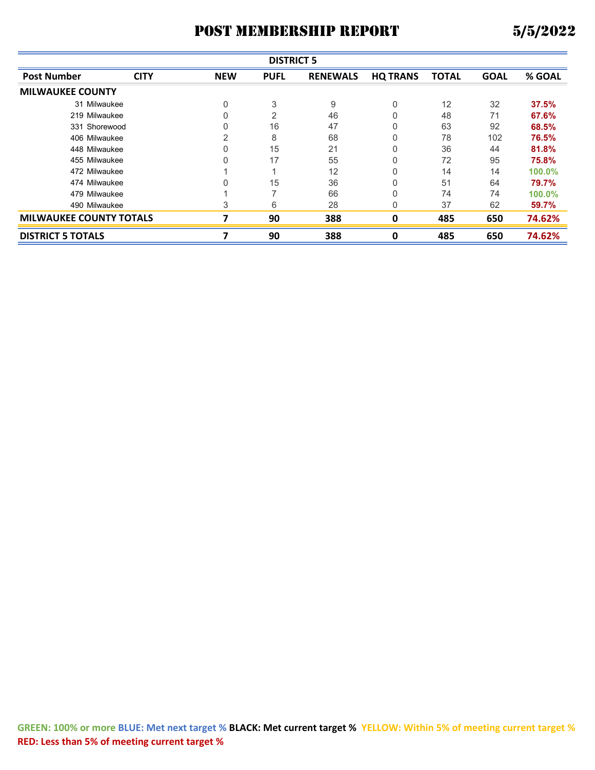|                                | <b>DISTRICT 5</b> |            |             |                 |                 |              |             |        |  |  |  |
|--------------------------------|-------------------|------------|-------------|-----------------|-----------------|--------------|-------------|--------|--|--|--|
| <b>Post Number</b>             | <b>CITY</b>       | <b>NEW</b> | <b>PUFL</b> | <b>RENEWALS</b> | <b>HQ TRANS</b> | <b>TOTAL</b> | <b>GOAL</b> | % GOAL |  |  |  |
| <b>MILWAUKEE COUNTY</b>        |                   |            |             |                 |                 |              |             |        |  |  |  |
| 31 Milwaukee                   |                   | 0          | 3           | 9               | 0               | 12           | 32          | 37.5%  |  |  |  |
| 219 Milwaukee                  |                   |            | 2           | 46              |                 | 48           | 71          | 67.6%  |  |  |  |
| 331 Shorewood                  |                   |            | 16          | 47              |                 | 63           | 92          | 68.5%  |  |  |  |
| 406 Milwaukee                  |                   | 2          | 8           | 68              |                 | 78           | 102         | 76.5%  |  |  |  |
| 448 Milwaukee                  |                   |            | 15          | 21              | 0               | 36           | 44          | 81.8%  |  |  |  |
| 455 Milwaukee                  |                   |            | 17          | 55              |                 | 72           | 95          | 75.8%  |  |  |  |
| 472 Milwaukee                  |                   |            |             | 12              |                 | 14           | 14          | 100.0% |  |  |  |
| 474 Milwaukee                  |                   |            | 15          | 36              |                 | 51           | 64          | 79.7%  |  |  |  |
| 479 Milwaukee                  |                   |            |             | 66              |                 | 74           | 74          | 100.0% |  |  |  |
| 490 Milwaukee                  |                   | 3          | 6           | 28              | 0               | 37           | 62          | 59.7%  |  |  |  |
| <b>MILWAUKEE COUNTY TOTALS</b> |                   |            | 90          | 388             | 0               | 485          | 650         | 74.62% |  |  |  |
| <b>DISTRICT 5 TOTALS</b>       |                   |            | 90          | 388             | 0               | 485          | 650         | 74.62% |  |  |  |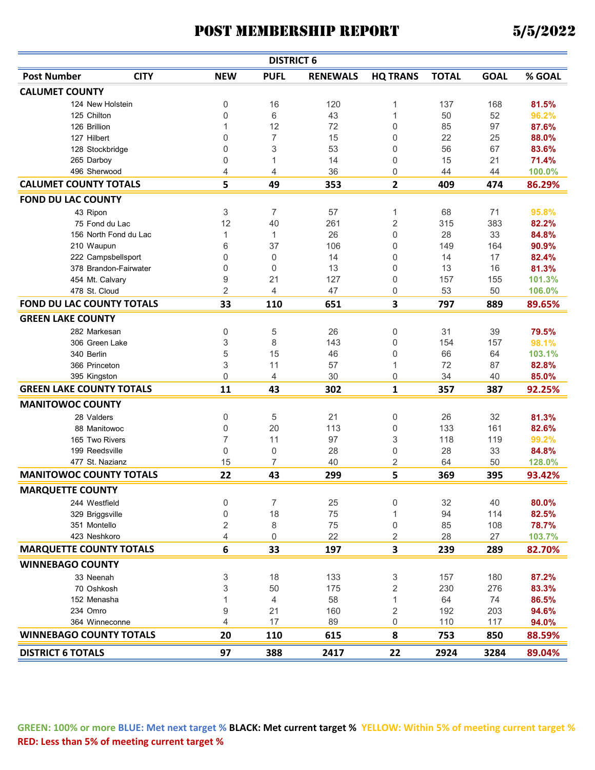|                                                  |                       |                      | <b>DISTRICT 6</b> |                 |                 |              |             |        |
|--------------------------------------------------|-----------------------|----------------------|-------------------|-----------------|-----------------|--------------|-------------|--------|
| <b>Post Number</b>                               | <b>CITY</b>           | <b>NEW</b>           | <b>PUFL</b>       | <b>RENEWALS</b> | <b>HQ TRANS</b> | <b>TOTAL</b> | <b>GOAL</b> | % GOAL |
| <b>CALUMET COUNTY</b>                            |                       |                      |                   |                 |                 |              |             |        |
| 124 New Holstein                                 |                       | $\boldsymbol{0}$     | 16                | 120             | 1               | 137          | 168         | 81.5%  |
| 125 Chilton                                      |                       | $\mathbf 0$          | 6                 | 43              | $\mathbf{1}$    | 50           | 52          | 96.2%  |
| 126 Brillion                                     |                       | 1                    | 12                | 72              | 0               | 85           | 97          | 87.6%  |
| 127 Hilbert                                      |                       | 0                    | 7                 | 15              | 0               | 22           | 25          | 88.0%  |
| 128 Stockbridge                                  |                       | $\boldsymbol{0}$     | 3                 | 53              | 0               | 56           | 67          | 83.6%  |
| 265 Darboy                                       |                       | 0                    | 1                 | 14              | 0               | 15           | 21          | 71.4%  |
| 496 Sherwood                                     |                       | 4                    | 4                 | 36              | $\Omega$        | 44           | 44          | 100.0% |
| <b>CALUMET COUNTY TOTALS</b>                     |                       | 5                    | 49                | 353             | 2               | 409          | 474         | 86.29% |
| <b>FOND DU LAC COUNTY</b>                        |                       |                      |                   |                 |                 |              |             |        |
| 43 Ripon                                         |                       | 3                    | $\overline{7}$    | 57              | 1               | 68           | 71          | 95.8%  |
|                                                  | 75 Fond du Lac        | 12                   | 40                | 261             | 2               | 315          | 383         | 82.2%  |
|                                                  | 156 North Fond du Lac | 1                    | $\mathbf{1}$      | 26              | 0               | 28           | 33          | 84.8%  |
| 210 Waupun                                       |                       | 6                    | 37                | 106             | 0               | 149          | 164         | 90.9%  |
|                                                  | 222 Campsbellsport    | 0                    | $\mathbf 0$       | 14              | 0               | 14           | 17          | 82.4%  |
|                                                  | 378 Brandon-Fairwater | 0                    | $\Omega$          | 13              | 0               | 13           | 16          | 81.3%  |
| 454 Mt. Calvary                                  |                       | 9                    | 21                | 127             | 0               | 157          | 155         | 101.3% |
| 478 St. Cloud                                    |                       | $\overline{2}$       | 4                 | 47              | 0               | 53           | 50          | 106.0% |
| <b>FOND DU LAC COUNTY TOTALS</b>                 |                       | 33                   | 110               | 651             | 3               | 797          | 889         | 89.65% |
| <b>GREEN LAKE COUNTY</b>                         |                       |                      |                   |                 |                 |              |             |        |
| 282 Markesan                                     |                       | 0                    | 5                 | 26              | 0               | 31           | 39          | 79.5%  |
| 306 Green Lake                                   |                       | 3                    | 8                 | 143             | 0               | 154          | 157         | 98.1%  |
| 340 Berlin                                       |                       | 5                    | 15                | 46              | 0               | 66           | 64          | 103.1% |
| 366 Princeton                                    |                       | 3                    | 11                | 57              | 1               | 72           | 87          | 82.8%  |
| 395 Kingston                                     |                       | $\mathbf 0$          | 4                 | 30              | 0               | 34           | 40          | 85.0%  |
| <b>GREEN LAKE COUNTY TOTALS</b>                  |                       | 11                   | 43                | 302             | 1               | 357          | 387         | 92.25% |
| <b>MANITOWOC COUNTY</b>                          |                       |                      |                   |                 |                 |              |             |        |
| 28 Valders                                       |                       | 0                    | 5                 | 21              | 0               | 26           | 32          | 81.3%  |
| 88 Manitowoc                                     |                       | 0                    | 20                | 113             | 0               | 133          | 161         | 82.6%  |
| 165 Two Rivers                                   |                       | $\overline{7}$       | 11                | 97              | 3               | 118          | 119         | 99.2%  |
| 199 Reedsville                                   |                       | $\mathbf 0$          | $\mathbf 0$       | 28              | 0               | 28           | 33          | 84.8%  |
| 477 St. Nazianz                                  |                       | 15                   | 7                 | 40              | 2               | 64           | 50          | 128.0% |
| <b>MANITOWOC COUNTY TOTALS</b>                   |                       | 22                   | 43                | 299             | 5               | 369          | 395         | 93.42% |
| <b>MARQUETTE COUNTY</b>                          |                       |                      |                   |                 |                 |              |             |        |
| 244 Westfield                                    |                       | 0                    | 7                 | 25              | 0               | 32           | 40          | 80.0%  |
| 329 Briggsville                                  |                       | $\boldsymbol{0}$     | 18                | 75              | 1               | 94           | 114         | 82.5%  |
| 351 Montello                                     |                       | $\sqrt{2}$           | 8                 | 75              | 0               | 85           | 108         | 78.7%  |
| 423 Neshkoro                                     |                       | 4                    | 0                 | 22              | 2               | 28           | 27          | 103.7% |
| <b>MARQUETTE COUNTY TOTALS</b>                   |                       | 6                    | 33                | 197             | 3               | 239          | 289         | 82.70% |
| <b>WINNEBAGO COUNTY</b>                          |                       |                      |                   |                 |                 |              |             |        |
|                                                  |                       |                      |                   |                 |                 |              |             |        |
| 33 Neenah                                        |                       | 3                    | 18                | 133             | 3               | 157          | 180         | 87.2%  |
| 70 Oshkosh                                       |                       | 3                    | 50                | 175             | 2               | 230          | 276         | 83.3%  |
| 152 Menasha                                      |                       | $\mathbf{1}$         | $\overline{4}$    | 58              | 1               | 64           | 74          | 86.5%  |
| 234 Omro                                         |                       | $\boldsymbol{9}$     | 21                | 160             | 2               | 192          | 203         | 94.6%  |
| 364 Winneconne<br><b>WINNEBAGO COUNTY TOTALS</b> |                       | $\overline{4}$<br>20 | 17<br>110         | 89<br>615       | 0<br>8          | 110<br>753   | 117<br>850  | 94.0%  |
|                                                  |                       |                      |                   |                 |                 |              |             | 88.59% |
| <b>DISTRICT 6 TOTALS</b>                         |                       | 97                   | 388               | 2417            | 22              | 2924         | 3284        | 89.04% |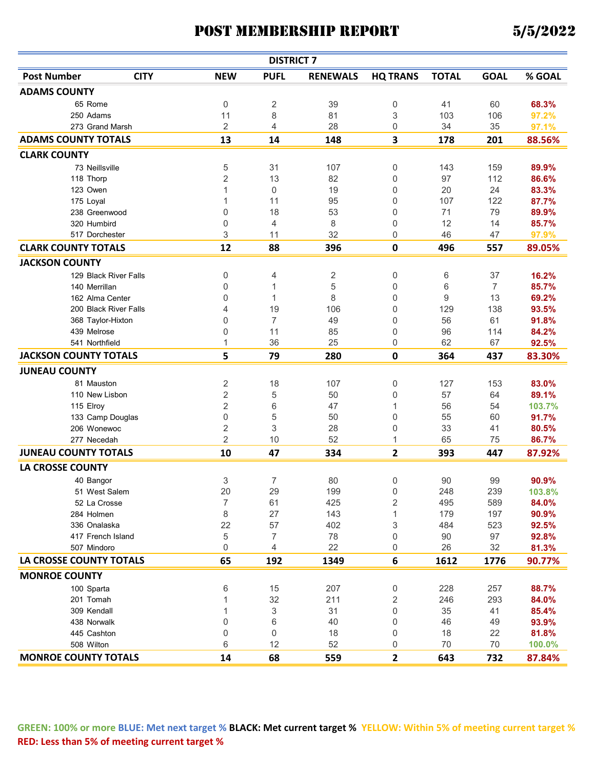| % GOAL<br><b>Post Number</b><br><b>CITY</b><br><b>NEW</b><br><b>PUFL</b><br><b>HQ TRANS</b><br><b>TOTAL</b><br><b>GOAL</b><br><b>RENEWALS</b><br><b>ADAMS COUNTY</b><br>65 Rome<br>0<br>2<br>39<br>0<br>41<br>60<br>68.3%<br>8<br>250 Adams<br>11<br>81<br>3<br>103<br>106<br>97.2%<br>2<br>4<br>28<br>34<br>0<br>35<br>273 Grand Marsh<br>97.1%<br><b>ADAMS COUNTY TOTALS</b><br>3<br>13<br>201<br>14<br>148<br>178<br>88.56%<br><b>CLARK COUNTY</b><br>5<br>31<br>0<br>107<br>143<br>159<br>73 Neillsville<br>89.9%<br>2<br>118 Thorp<br>13<br>82<br>0<br>97<br>112<br>86.6%<br>$\mathbf 0$<br>123 Owen<br>1<br>19<br>0<br>20<br>24<br>83.3%<br>11<br>87.7%<br>95<br>0<br>107<br>122<br>175 Loyal<br>1<br>18<br>53<br>71<br>79<br>0<br>0<br>89.9%<br>238 Greenwood<br>320 Humbird<br>0<br>4<br>8<br>0<br>12<br>14<br>85.7%<br>3<br>32<br>517 Dorchester<br>0<br>46<br>97.9%<br>11<br>47<br><b>CLARK COUNTY TOTALS</b><br>12<br>88<br>396<br>0<br>496<br>557<br>89.05%<br><b>JACKSON COUNTY</b><br>129 Black River Falls<br>0<br>2<br>0<br>37<br>16.2%<br>4<br>6<br>5<br>85.7%<br>0<br>0<br>6<br>$\overline{7}$<br>140 Merrillan<br>1<br>8<br>9<br>0<br>$\Omega$<br>13<br>162 Alma Center<br>1<br>69.2%<br>200 Black River Falls<br>19<br>129<br>138<br>93.5%<br>4<br>106<br>0<br>56<br>7<br>49<br>61<br>91.8%<br>368 Taylor-Hixton<br>0<br>0<br>0<br>11<br>85<br>0<br>96<br>114<br>439 Melrose<br>84.2%<br>62<br>1<br>36<br>25<br>0<br>541 Northfield<br>67<br>92.5%<br><b>JACKSON COUNTY TOTALS</b><br>5<br>79<br>280<br>$\mathbf 0$<br>364<br>437<br>83.30%<br><b>JUNEAU COUNTY</b><br>2<br>18<br>107<br>0<br>127<br>153<br>83.0%<br>81 Mauston<br>$\overline{2}$<br>5<br>57<br>110 New Lisbon<br>50<br>0<br>64<br>89.1%<br>$\overline{2}$<br>6<br>115 Elroy<br>47<br>1<br>56<br>54<br>103.7%<br>0<br>5<br>50<br>0<br>55<br>60<br>133 Camp Douglas<br>91.7%<br>2<br>3<br>28<br>0<br>33<br>206 Wonewoc<br>41<br>80.5%<br>$\overline{2}$<br>52<br>277 Necedah<br>10<br>1<br>65<br>75<br>86.7%<br>$\overline{2}$<br><b>JUNEAU COUNTY TOTALS</b><br>10<br>393<br>47<br>334<br>447<br>87.92%<br><b>LA CROSSE COUNTY</b><br>3<br>7<br>0<br>90.9%<br>80<br>90<br>99<br>40 Bangor<br>20<br>29<br>199<br>248<br>239<br>51 West Salem<br>103.8%<br>0<br>7<br>2<br>425<br>495<br>589<br>52 La Crosse<br>61<br>84.0%<br>8<br>27<br>143<br>179<br>197<br>90.9%<br>284 Holmen<br>22<br>57<br>402<br>484<br>92.5%<br>336 Onalaska<br>3<br>523<br>78<br>90<br>417 French Island<br>5<br>7<br>0<br>97<br>92.8%<br>4<br>22<br>26<br>32<br>0<br>0<br>507 Mindoro<br>81.3%<br><b>LA CROSSE COUNTY TOTALS</b><br>65<br>192<br>6<br>1612<br>1349<br>1776<br>90.77%<br><b>MONROE COUNTY</b><br>15<br>207<br>228<br>257<br>6<br>0<br>88.7%<br>100 Sparta<br>32<br>211<br>2<br>246<br>293<br>201 Tomah<br>84.0%<br>3<br>31<br>0<br>35<br>309 Kendall<br>41<br>85.4%<br>1<br>6<br>438 Norwalk<br>0<br>40<br>46<br>0<br>49<br>93.9%<br>0<br>0<br>18<br>18<br>445 Cashton<br>0<br>22<br>81.8%<br>12<br>52<br>70<br>508 Wilton<br>6<br>0<br>70<br>100.0%<br><b>MONROE COUNTY TOTALS</b><br>14<br>68<br>$\mathbf{2}$<br>559<br>643<br>732<br>87.84% |  | <b>DISTRICT 7</b> |  |  |  |
|---------------------------------------------------------------------------------------------------------------------------------------------------------------------------------------------------------------------------------------------------------------------------------------------------------------------------------------------------------------------------------------------------------------------------------------------------------------------------------------------------------------------------------------------------------------------------------------------------------------------------------------------------------------------------------------------------------------------------------------------------------------------------------------------------------------------------------------------------------------------------------------------------------------------------------------------------------------------------------------------------------------------------------------------------------------------------------------------------------------------------------------------------------------------------------------------------------------------------------------------------------------------------------------------------------------------------------------------------------------------------------------------------------------------------------------------------------------------------------------------------------------------------------------------------------------------------------------------------------------------------------------------------------------------------------------------------------------------------------------------------------------------------------------------------------------------------------------------------------------------------------------------------------------------------------------------------------------------------------------------------------------------------------------------------------------------------------------------------------------------------------------------------------------------------------------------------------------------------------------------------------------------------------------------------------------------------------------------------------------------------------------------------------------------------------------------------------------------------------------------------------------------------------------------------------------------------------------------------------------------------------------------------------------------------------------------------------------------------------------------------------------------------------------------------------------------------------------------------------------------------------------------------------------------------------------------------------------------------------------------------------------------------------------------------------------------------------------------------------------------------|--|-------------------|--|--|--|
|                                                                                                                                                                                                                                                                                                                                                                                                                                                                                                                                                                                                                                                                                                                                                                                                                                                                                                                                                                                                                                                                                                                                                                                                                                                                                                                                                                                                                                                                                                                                                                                                                                                                                                                                                                                                                                                                                                                                                                                                                                                                                                                                                                                                                                                                                                                                                                                                                                                                                                                                                                                                                                                                                                                                                                                                                                                                                                                                                                                                                                                                                                                           |  |                   |  |  |  |
|                                                                                                                                                                                                                                                                                                                                                                                                                                                                                                                                                                                                                                                                                                                                                                                                                                                                                                                                                                                                                                                                                                                                                                                                                                                                                                                                                                                                                                                                                                                                                                                                                                                                                                                                                                                                                                                                                                                                                                                                                                                                                                                                                                                                                                                                                                                                                                                                                                                                                                                                                                                                                                                                                                                                                                                                                                                                                                                                                                                                                                                                                                                           |  |                   |  |  |  |
|                                                                                                                                                                                                                                                                                                                                                                                                                                                                                                                                                                                                                                                                                                                                                                                                                                                                                                                                                                                                                                                                                                                                                                                                                                                                                                                                                                                                                                                                                                                                                                                                                                                                                                                                                                                                                                                                                                                                                                                                                                                                                                                                                                                                                                                                                                                                                                                                                                                                                                                                                                                                                                                                                                                                                                                                                                                                                                                                                                                                                                                                                                                           |  |                   |  |  |  |
|                                                                                                                                                                                                                                                                                                                                                                                                                                                                                                                                                                                                                                                                                                                                                                                                                                                                                                                                                                                                                                                                                                                                                                                                                                                                                                                                                                                                                                                                                                                                                                                                                                                                                                                                                                                                                                                                                                                                                                                                                                                                                                                                                                                                                                                                                                                                                                                                                                                                                                                                                                                                                                                                                                                                                                                                                                                                                                                                                                                                                                                                                                                           |  |                   |  |  |  |
|                                                                                                                                                                                                                                                                                                                                                                                                                                                                                                                                                                                                                                                                                                                                                                                                                                                                                                                                                                                                                                                                                                                                                                                                                                                                                                                                                                                                                                                                                                                                                                                                                                                                                                                                                                                                                                                                                                                                                                                                                                                                                                                                                                                                                                                                                                                                                                                                                                                                                                                                                                                                                                                                                                                                                                                                                                                                                                                                                                                                                                                                                                                           |  |                   |  |  |  |
|                                                                                                                                                                                                                                                                                                                                                                                                                                                                                                                                                                                                                                                                                                                                                                                                                                                                                                                                                                                                                                                                                                                                                                                                                                                                                                                                                                                                                                                                                                                                                                                                                                                                                                                                                                                                                                                                                                                                                                                                                                                                                                                                                                                                                                                                                                                                                                                                                                                                                                                                                                                                                                                                                                                                                                                                                                                                                                                                                                                                                                                                                                                           |  |                   |  |  |  |
|                                                                                                                                                                                                                                                                                                                                                                                                                                                                                                                                                                                                                                                                                                                                                                                                                                                                                                                                                                                                                                                                                                                                                                                                                                                                                                                                                                                                                                                                                                                                                                                                                                                                                                                                                                                                                                                                                                                                                                                                                                                                                                                                                                                                                                                                                                                                                                                                                                                                                                                                                                                                                                                                                                                                                                                                                                                                                                                                                                                                                                                                                                                           |  |                   |  |  |  |
|                                                                                                                                                                                                                                                                                                                                                                                                                                                                                                                                                                                                                                                                                                                                                                                                                                                                                                                                                                                                                                                                                                                                                                                                                                                                                                                                                                                                                                                                                                                                                                                                                                                                                                                                                                                                                                                                                                                                                                                                                                                                                                                                                                                                                                                                                                                                                                                                                                                                                                                                                                                                                                                                                                                                                                                                                                                                                                                                                                                                                                                                                                                           |  |                   |  |  |  |
|                                                                                                                                                                                                                                                                                                                                                                                                                                                                                                                                                                                                                                                                                                                                                                                                                                                                                                                                                                                                                                                                                                                                                                                                                                                                                                                                                                                                                                                                                                                                                                                                                                                                                                                                                                                                                                                                                                                                                                                                                                                                                                                                                                                                                                                                                                                                                                                                                                                                                                                                                                                                                                                                                                                                                                                                                                                                                                                                                                                                                                                                                                                           |  |                   |  |  |  |
|                                                                                                                                                                                                                                                                                                                                                                                                                                                                                                                                                                                                                                                                                                                                                                                                                                                                                                                                                                                                                                                                                                                                                                                                                                                                                                                                                                                                                                                                                                                                                                                                                                                                                                                                                                                                                                                                                                                                                                                                                                                                                                                                                                                                                                                                                                                                                                                                                                                                                                                                                                                                                                                                                                                                                                                                                                                                                                                                                                                                                                                                                                                           |  |                   |  |  |  |
|                                                                                                                                                                                                                                                                                                                                                                                                                                                                                                                                                                                                                                                                                                                                                                                                                                                                                                                                                                                                                                                                                                                                                                                                                                                                                                                                                                                                                                                                                                                                                                                                                                                                                                                                                                                                                                                                                                                                                                                                                                                                                                                                                                                                                                                                                                                                                                                                                                                                                                                                                                                                                                                                                                                                                                                                                                                                                                                                                                                                                                                                                                                           |  |                   |  |  |  |
|                                                                                                                                                                                                                                                                                                                                                                                                                                                                                                                                                                                                                                                                                                                                                                                                                                                                                                                                                                                                                                                                                                                                                                                                                                                                                                                                                                                                                                                                                                                                                                                                                                                                                                                                                                                                                                                                                                                                                                                                                                                                                                                                                                                                                                                                                                                                                                                                                                                                                                                                                                                                                                                                                                                                                                                                                                                                                                                                                                                                                                                                                                                           |  |                   |  |  |  |
|                                                                                                                                                                                                                                                                                                                                                                                                                                                                                                                                                                                                                                                                                                                                                                                                                                                                                                                                                                                                                                                                                                                                                                                                                                                                                                                                                                                                                                                                                                                                                                                                                                                                                                                                                                                                                                                                                                                                                                                                                                                                                                                                                                                                                                                                                                                                                                                                                                                                                                                                                                                                                                                                                                                                                                                                                                                                                                                                                                                                                                                                                                                           |  |                   |  |  |  |
|                                                                                                                                                                                                                                                                                                                                                                                                                                                                                                                                                                                                                                                                                                                                                                                                                                                                                                                                                                                                                                                                                                                                                                                                                                                                                                                                                                                                                                                                                                                                                                                                                                                                                                                                                                                                                                                                                                                                                                                                                                                                                                                                                                                                                                                                                                                                                                                                                                                                                                                                                                                                                                                                                                                                                                                                                                                                                                                                                                                                                                                                                                                           |  |                   |  |  |  |
|                                                                                                                                                                                                                                                                                                                                                                                                                                                                                                                                                                                                                                                                                                                                                                                                                                                                                                                                                                                                                                                                                                                                                                                                                                                                                                                                                                                                                                                                                                                                                                                                                                                                                                                                                                                                                                                                                                                                                                                                                                                                                                                                                                                                                                                                                                                                                                                                                                                                                                                                                                                                                                                                                                                                                                                                                                                                                                                                                                                                                                                                                                                           |  |                   |  |  |  |
|                                                                                                                                                                                                                                                                                                                                                                                                                                                                                                                                                                                                                                                                                                                                                                                                                                                                                                                                                                                                                                                                                                                                                                                                                                                                                                                                                                                                                                                                                                                                                                                                                                                                                                                                                                                                                                                                                                                                                                                                                                                                                                                                                                                                                                                                                                                                                                                                                                                                                                                                                                                                                                                                                                                                                                                                                                                                                                                                                                                                                                                                                                                           |  |                   |  |  |  |
|                                                                                                                                                                                                                                                                                                                                                                                                                                                                                                                                                                                                                                                                                                                                                                                                                                                                                                                                                                                                                                                                                                                                                                                                                                                                                                                                                                                                                                                                                                                                                                                                                                                                                                                                                                                                                                                                                                                                                                                                                                                                                                                                                                                                                                                                                                                                                                                                                                                                                                                                                                                                                                                                                                                                                                                                                                                                                                                                                                                                                                                                                                                           |  |                   |  |  |  |
|                                                                                                                                                                                                                                                                                                                                                                                                                                                                                                                                                                                                                                                                                                                                                                                                                                                                                                                                                                                                                                                                                                                                                                                                                                                                                                                                                                                                                                                                                                                                                                                                                                                                                                                                                                                                                                                                                                                                                                                                                                                                                                                                                                                                                                                                                                                                                                                                                                                                                                                                                                                                                                                                                                                                                                                                                                                                                                                                                                                                                                                                                                                           |  |                   |  |  |  |
|                                                                                                                                                                                                                                                                                                                                                                                                                                                                                                                                                                                                                                                                                                                                                                                                                                                                                                                                                                                                                                                                                                                                                                                                                                                                                                                                                                                                                                                                                                                                                                                                                                                                                                                                                                                                                                                                                                                                                                                                                                                                                                                                                                                                                                                                                                                                                                                                                                                                                                                                                                                                                                                                                                                                                                                                                                                                                                                                                                                                                                                                                                                           |  |                   |  |  |  |
|                                                                                                                                                                                                                                                                                                                                                                                                                                                                                                                                                                                                                                                                                                                                                                                                                                                                                                                                                                                                                                                                                                                                                                                                                                                                                                                                                                                                                                                                                                                                                                                                                                                                                                                                                                                                                                                                                                                                                                                                                                                                                                                                                                                                                                                                                                                                                                                                                                                                                                                                                                                                                                                                                                                                                                                                                                                                                                                                                                                                                                                                                                                           |  |                   |  |  |  |
|                                                                                                                                                                                                                                                                                                                                                                                                                                                                                                                                                                                                                                                                                                                                                                                                                                                                                                                                                                                                                                                                                                                                                                                                                                                                                                                                                                                                                                                                                                                                                                                                                                                                                                                                                                                                                                                                                                                                                                                                                                                                                                                                                                                                                                                                                                                                                                                                                                                                                                                                                                                                                                                                                                                                                                                                                                                                                                                                                                                                                                                                                                                           |  |                   |  |  |  |
|                                                                                                                                                                                                                                                                                                                                                                                                                                                                                                                                                                                                                                                                                                                                                                                                                                                                                                                                                                                                                                                                                                                                                                                                                                                                                                                                                                                                                                                                                                                                                                                                                                                                                                                                                                                                                                                                                                                                                                                                                                                                                                                                                                                                                                                                                                                                                                                                                                                                                                                                                                                                                                                                                                                                                                                                                                                                                                                                                                                                                                                                                                                           |  |                   |  |  |  |
|                                                                                                                                                                                                                                                                                                                                                                                                                                                                                                                                                                                                                                                                                                                                                                                                                                                                                                                                                                                                                                                                                                                                                                                                                                                                                                                                                                                                                                                                                                                                                                                                                                                                                                                                                                                                                                                                                                                                                                                                                                                                                                                                                                                                                                                                                                                                                                                                                                                                                                                                                                                                                                                                                                                                                                                                                                                                                                                                                                                                                                                                                                                           |  |                   |  |  |  |
|                                                                                                                                                                                                                                                                                                                                                                                                                                                                                                                                                                                                                                                                                                                                                                                                                                                                                                                                                                                                                                                                                                                                                                                                                                                                                                                                                                                                                                                                                                                                                                                                                                                                                                                                                                                                                                                                                                                                                                                                                                                                                                                                                                                                                                                                                                                                                                                                                                                                                                                                                                                                                                                                                                                                                                                                                                                                                                                                                                                                                                                                                                                           |  |                   |  |  |  |
|                                                                                                                                                                                                                                                                                                                                                                                                                                                                                                                                                                                                                                                                                                                                                                                                                                                                                                                                                                                                                                                                                                                                                                                                                                                                                                                                                                                                                                                                                                                                                                                                                                                                                                                                                                                                                                                                                                                                                                                                                                                                                                                                                                                                                                                                                                                                                                                                                                                                                                                                                                                                                                                                                                                                                                                                                                                                                                                                                                                                                                                                                                                           |  |                   |  |  |  |
|                                                                                                                                                                                                                                                                                                                                                                                                                                                                                                                                                                                                                                                                                                                                                                                                                                                                                                                                                                                                                                                                                                                                                                                                                                                                                                                                                                                                                                                                                                                                                                                                                                                                                                                                                                                                                                                                                                                                                                                                                                                                                                                                                                                                                                                                                                                                                                                                                                                                                                                                                                                                                                                                                                                                                                                                                                                                                                                                                                                                                                                                                                                           |  |                   |  |  |  |
|                                                                                                                                                                                                                                                                                                                                                                                                                                                                                                                                                                                                                                                                                                                                                                                                                                                                                                                                                                                                                                                                                                                                                                                                                                                                                                                                                                                                                                                                                                                                                                                                                                                                                                                                                                                                                                                                                                                                                                                                                                                                                                                                                                                                                                                                                                                                                                                                                                                                                                                                                                                                                                                                                                                                                                                                                                                                                                                                                                                                                                                                                                                           |  |                   |  |  |  |
|                                                                                                                                                                                                                                                                                                                                                                                                                                                                                                                                                                                                                                                                                                                                                                                                                                                                                                                                                                                                                                                                                                                                                                                                                                                                                                                                                                                                                                                                                                                                                                                                                                                                                                                                                                                                                                                                                                                                                                                                                                                                                                                                                                                                                                                                                                                                                                                                                                                                                                                                                                                                                                                                                                                                                                                                                                                                                                                                                                                                                                                                                                                           |  |                   |  |  |  |
|                                                                                                                                                                                                                                                                                                                                                                                                                                                                                                                                                                                                                                                                                                                                                                                                                                                                                                                                                                                                                                                                                                                                                                                                                                                                                                                                                                                                                                                                                                                                                                                                                                                                                                                                                                                                                                                                                                                                                                                                                                                                                                                                                                                                                                                                                                                                                                                                                                                                                                                                                                                                                                                                                                                                                                                                                                                                                                                                                                                                                                                                                                                           |  |                   |  |  |  |
|                                                                                                                                                                                                                                                                                                                                                                                                                                                                                                                                                                                                                                                                                                                                                                                                                                                                                                                                                                                                                                                                                                                                                                                                                                                                                                                                                                                                                                                                                                                                                                                                                                                                                                                                                                                                                                                                                                                                                                                                                                                                                                                                                                                                                                                                                                                                                                                                                                                                                                                                                                                                                                                                                                                                                                                                                                                                                                                                                                                                                                                                                                                           |  |                   |  |  |  |
|                                                                                                                                                                                                                                                                                                                                                                                                                                                                                                                                                                                                                                                                                                                                                                                                                                                                                                                                                                                                                                                                                                                                                                                                                                                                                                                                                                                                                                                                                                                                                                                                                                                                                                                                                                                                                                                                                                                                                                                                                                                                                                                                                                                                                                                                                                                                                                                                                                                                                                                                                                                                                                                                                                                                                                                                                                                                                                                                                                                                                                                                                                                           |  |                   |  |  |  |
|                                                                                                                                                                                                                                                                                                                                                                                                                                                                                                                                                                                                                                                                                                                                                                                                                                                                                                                                                                                                                                                                                                                                                                                                                                                                                                                                                                                                                                                                                                                                                                                                                                                                                                                                                                                                                                                                                                                                                                                                                                                                                                                                                                                                                                                                                                                                                                                                                                                                                                                                                                                                                                                                                                                                                                                                                                                                                                                                                                                                                                                                                                                           |  |                   |  |  |  |
|                                                                                                                                                                                                                                                                                                                                                                                                                                                                                                                                                                                                                                                                                                                                                                                                                                                                                                                                                                                                                                                                                                                                                                                                                                                                                                                                                                                                                                                                                                                                                                                                                                                                                                                                                                                                                                                                                                                                                                                                                                                                                                                                                                                                                                                                                                                                                                                                                                                                                                                                                                                                                                                                                                                                                                                                                                                                                                                                                                                                                                                                                                                           |  |                   |  |  |  |
|                                                                                                                                                                                                                                                                                                                                                                                                                                                                                                                                                                                                                                                                                                                                                                                                                                                                                                                                                                                                                                                                                                                                                                                                                                                                                                                                                                                                                                                                                                                                                                                                                                                                                                                                                                                                                                                                                                                                                                                                                                                                                                                                                                                                                                                                                                                                                                                                                                                                                                                                                                                                                                                                                                                                                                                                                                                                                                                                                                                                                                                                                                                           |  |                   |  |  |  |
|                                                                                                                                                                                                                                                                                                                                                                                                                                                                                                                                                                                                                                                                                                                                                                                                                                                                                                                                                                                                                                                                                                                                                                                                                                                                                                                                                                                                                                                                                                                                                                                                                                                                                                                                                                                                                                                                                                                                                                                                                                                                                                                                                                                                                                                                                                                                                                                                                                                                                                                                                                                                                                                                                                                                                                                                                                                                                                                                                                                                                                                                                                                           |  |                   |  |  |  |
|                                                                                                                                                                                                                                                                                                                                                                                                                                                                                                                                                                                                                                                                                                                                                                                                                                                                                                                                                                                                                                                                                                                                                                                                                                                                                                                                                                                                                                                                                                                                                                                                                                                                                                                                                                                                                                                                                                                                                                                                                                                                                                                                                                                                                                                                                                                                                                                                                                                                                                                                                                                                                                                                                                                                                                                                                                                                                                                                                                                                                                                                                                                           |  |                   |  |  |  |
|                                                                                                                                                                                                                                                                                                                                                                                                                                                                                                                                                                                                                                                                                                                                                                                                                                                                                                                                                                                                                                                                                                                                                                                                                                                                                                                                                                                                                                                                                                                                                                                                                                                                                                                                                                                                                                                                                                                                                                                                                                                                                                                                                                                                                                                                                                                                                                                                                                                                                                                                                                                                                                                                                                                                                                                                                                                                                                                                                                                                                                                                                                                           |  |                   |  |  |  |
|                                                                                                                                                                                                                                                                                                                                                                                                                                                                                                                                                                                                                                                                                                                                                                                                                                                                                                                                                                                                                                                                                                                                                                                                                                                                                                                                                                                                                                                                                                                                                                                                                                                                                                                                                                                                                                                                                                                                                                                                                                                                                                                                                                                                                                                                                                                                                                                                                                                                                                                                                                                                                                                                                                                                                                                                                                                                                                                                                                                                                                                                                                                           |  |                   |  |  |  |
|                                                                                                                                                                                                                                                                                                                                                                                                                                                                                                                                                                                                                                                                                                                                                                                                                                                                                                                                                                                                                                                                                                                                                                                                                                                                                                                                                                                                                                                                                                                                                                                                                                                                                                                                                                                                                                                                                                                                                                                                                                                                                                                                                                                                                                                                                                                                                                                                                                                                                                                                                                                                                                                                                                                                                                                                                                                                                                                                                                                                                                                                                                                           |  |                   |  |  |  |
|                                                                                                                                                                                                                                                                                                                                                                                                                                                                                                                                                                                                                                                                                                                                                                                                                                                                                                                                                                                                                                                                                                                                                                                                                                                                                                                                                                                                                                                                                                                                                                                                                                                                                                                                                                                                                                                                                                                                                                                                                                                                                                                                                                                                                                                                                                                                                                                                                                                                                                                                                                                                                                                                                                                                                                                                                                                                                                                                                                                                                                                                                                                           |  |                   |  |  |  |
|                                                                                                                                                                                                                                                                                                                                                                                                                                                                                                                                                                                                                                                                                                                                                                                                                                                                                                                                                                                                                                                                                                                                                                                                                                                                                                                                                                                                                                                                                                                                                                                                                                                                                                                                                                                                                                                                                                                                                                                                                                                                                                                                                                                                                                                                                                                                                                                                                                                                                                                                                                                                                                                                                                                                                                                                                                                                                                                                                                                                                                                                                                                           |  |                   |  |  |  |
|                                                                                                                                                                                                                                                                                                                                                                                                                                                                                                                                                                                                                                                                                                                                                                                                                                                                                                                                                                                                                                                                                                                                                                                                                                                                                                                                                                                                                                                                                                                                                                                                                                                                                                                                                                                                                                                                                                                                                                                                                                                                                                                                                                                                                                                                                                                                                                                                                                                                                                                                                                                                                                                                                                                                                                                                                                                                                                                                                                                                                                                                                                                           |  |                   |  |  |  |
|                                                                                                                                                                                                                                                                                                                                                                                                                                                                                                                                                                                                                                                                                                                                                                                                                                                                                                                                                                                                                                                                                                                                                                                                                                                                                                                                                                                                                                                                                                                                                                                                                                                                                                                                                                                                                                                                                                                                                                                                                                                                                                                                                                                                                                                                                                                                                                                                                                                                                                                                                                                                                                                                                                                                                                                                                                                                                                                                                                                                                                                                                                                           |  |                   |  |  |  |
|                                                                                                                                                                                                                                                                                                                                                                                                                                                                                                                                                                                                                                                                                                                                                                                                                                                                                                                                                                                                                                                                                                                                                                                                                                                                                                                                                                                                                                                                                                                                                                                                                                                                                                                                                                                                                                                                                                                                                                                                                                                                                                                                                                                                                                                                                                                                                                                                                                                                                                                                                                                                                                                                                                                                                                                                                                                                                                                                                                                                                                                                                                                           |  |                   |  |  |  |
|                                                                                                                                                                                                                                                                                                                                                                                                                                                                                                                                                                                                                                                                                                                                                                                                                                                                                                                                                                                                                                                                                                                                                                                                                                                                                                                                                                                                                                                                                                                                                                                                                                                                                                                                                                                                                                                                                                                                                                                                                                                                                                                                                                                                                                                                                                                                                                                                                                                                                                                                                                                                                                                                                                                                                                                                                                                                                                                                                                                                                                                                                                                           |  |                   |  |  |  |
|                                                                                                                                                                                                                                                                                                                                                                                                                                                                                                                                                                                                                                                                                                                                                                                                                                                                                                                                                                                                                                                                                                                                                                                                                                                                                                                                                                                                                                                                                                                                                                                                                                                                                                                                                                                                                                                                                                                                                                                                                                                                                                                                                                                                                                                                                                                                                                                                                                                                                                                                                                                                                                                                                                                                                                                                                                                                                                                                                                                                                                                                                                                           |  |                   |  |  |  |
|                                                                                                                                                                                                                                                                                                                                                                                                                                                                                                                                                                                                                                                                                                                                                                                                                                                                                                                                                                                                                                                                                                                                                                                                                                                                                                                                                                                                                                                                                                                                                                                                                                                                                                                                                                                                                                                                                                                                                                                                                                                                                                                                                                                                                                                                                                                                                                                                                                                                                                                                                                                                                                                                                                                                                                                                                                                                                                                                                                                                                                                                                                                           |  |                   |  |  |  |
|                                                                                                                                                                                                                                                                                                                                                                                                                                                                                                                                                                                                                                                                                                                                                                                                                                                                                                                                                                                                                                                                                                                                                                                                                                                                                                                                                                                                                                                                                                                                                                                                                                                                                                                                                                                                                                                                                                                                                                                                                                                                                                                                                                                                                                                                                                                                                                                                                                                                                                                                                                                                                                                                                                                                                                                                                                                                                                                                                                                                                                                                                                                           |  |                   |  |  |  |
|                                                                                                                                                                                                                                                                                                                                                                                                                                                                                                                                                                                                                                                                                                                                                                                                                                                                                                                                                                                                                                                                                                                                                                                                                                                                                                                                                                                                                                                                                                                                                                                                                                                                                                                                                                                                                                                                                                                                                                                                                                                                                                                                                                                                                                                                                                                                                                                                                                                                                                                                                                                                                                                                                                                                                                                                                                                                                                                                                                                                                                                                                                                           |  |                   |  |  |  |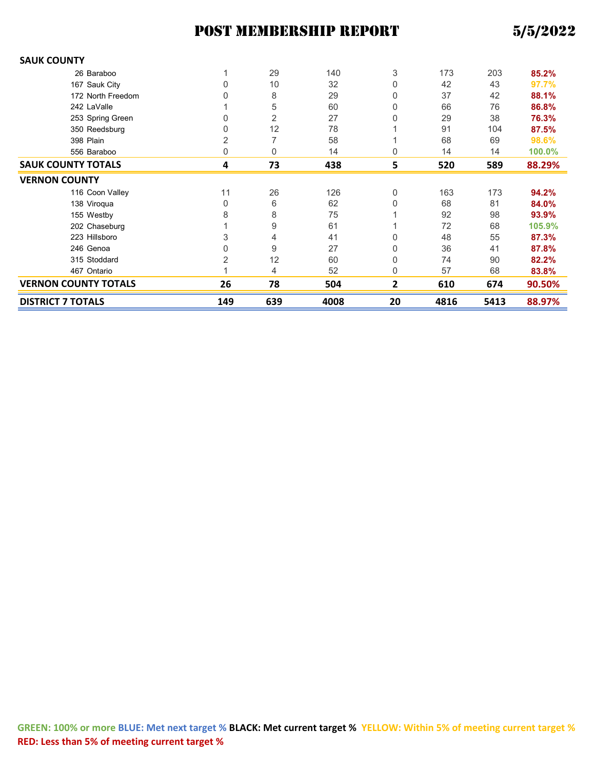| <b>DISTRICT 7 TOTALS</b>    | 149 | 639 | 4008 | 20 | 4816 | 5413 | 88.97% |
|-----------------------------|-----|-----|------|----|------|------|--------|
| <b>VERNON COUNTY TOTALS</b> | 26  | 78  | 504  | 2  | 610  | 674  | 90.50% |
| 467 Ontario                 |     | 4   | 52   | 0  | 57   | 68   | 83.8%  |
| 315 Stoddard                | 2   | 12  | 60   | 0  | 74   | 90   | 82.2%  |
| 246 Genoa                   | 0   | 9   | 27   | 0  | 36   | 41   | 87.8%  |
| 223 Hillsboro               | 3   | 4   | 41   | 0  | 48   | 55   | 87.3%  |
| 202 Chaseburg               |     | 9   | 61   |    | 72   | 68   | 105.9% |
| 155 Westby                  | 8   | 8   | 75   |    | 92   | 98   | 93.9%  |
| 138 Viroqua                 | 0   | 6   | 62   | 0  | 68   | 81   | 84.0%  |
| 116 Coon Valley             | 11  | 26  | 126  | 0  | 163  | 173  | 94.2%  |
| <b>VERNON COUNTY</b>        |     |     |      |    |      |      |        |
| <b>SAUK COUNTY TOTALS</b>   | 4   | 73  | 438  | 5  | 520  | 589  | 88.29% |
| 556 Baraboo                 | 0   | 0   | 14   | 0  | 14   | 14   | 100.0% |
| 398 Plain                   | 2   |     | 58   |    | 68   | 69   | 98.6%  |
| 350 Reedsburg               | 0   | 12  | 78   |    | 91   | 104  | 87.5%  |
| 253 Spring Green            | 0   | 2   | 27   |    | 29   | 38   | 76.3%  |
| 242 LaValle                 |     | 5   | 60   | 0  | 66   | 76   | 86.8%  |
| 172 North Freedom           | 0   | 8   | 29   | 0  | 37   | 42   | 88.1%  |
| 167 Sauk City               | 0   | 10  | 32   | 0  | 42   | 43   | 97.7%  |
| 26 Baraboo                  |     | 29  | 140  | 3  | 173  | 203  | 85.2%  |
| <b>SAUK COUNTY</b>          |     |     |      |    |      |      |        |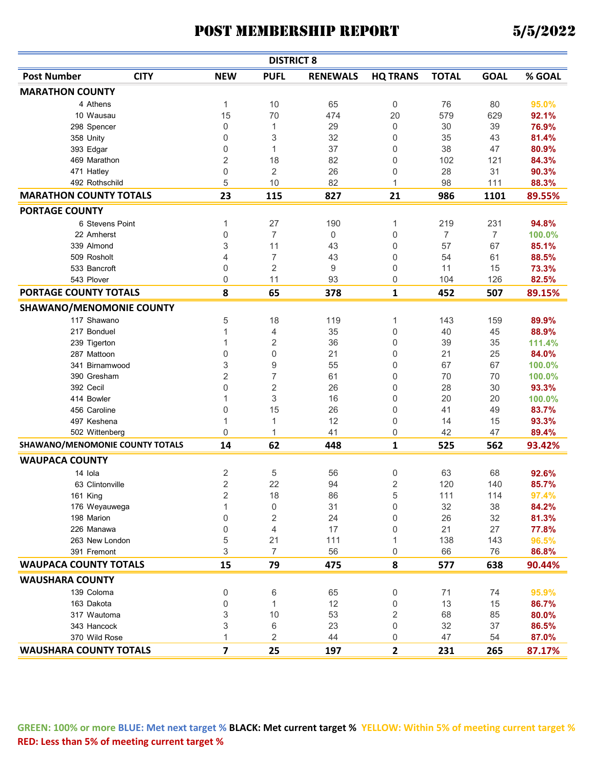|                                 |                                 |                         | <b>DISTRICT 8</b> |                 |                 |              |                |        |
|---------------------------------|---------------------------------|-------------------------|-------------------|-----------------|-----------------|--------------|----------------|--------|
| <b>Post Number</b>              | <b>CITY</b>                     | <b>NEW</b>              | <b>PUFL</b>       | <b>RENEWALS</b> | <b>HQ TRANS</b> | <b>TOTAL</b> | <b>GOAL</b>    | % GOAL |
| <b>MARATHON COUNTY</b>          |                                 |                         |                   |                 |                 |              |                |        |
| 4 Athens                        |                                 | 1                       | 10                | 65              | 0               | 76           | 80             | 95.0%  |
| 10 Wausau                       |                                 | 15                      | 70                | 474             | 20              | 579          | 629            | 92.1%  |
| 298 Spencer                     |                                 | 0                       | 1                 | 29              | 0               | 30           | 39             | 76.9%  |
| 358 Unity                       |                                 | 0                       | 3                 | 32              | 0               | 35           | 43             | 81.4%  |
| 393 Edgar                       |                                 | 0                       | 1                 | 37              | 0               | 38           | 47             | 80.9%  |
| 469 Marathon                    |                                 | $\overline{2}$          | 18                | 82              | 0               | 102          | 121            | 84.3%  |
| 471 Hatley                      |                                 | 0                       | 2                 | 26              | 0               | 28           | 31             | 90.3%  |
| 492 Rothschild                  |                                 | 5                       | 10                | 82              | 1               | 98           | 111            | 88.3%  |
| <b>MARATHON COUNTY TOTALS</b>   |                                 | 23                      | 115               | 827             | 21              | 986          | 1101           | 89.55% |
| <b>PORTAGE COUNTY</b>           |                                 |                         |                   |                 |                 |              |                |        |
|                                 | 6 Stevens Point                 | 1                       | 27                | 190             | 1               | 219          | 231            | 94.8%  |
| 22 Amherst                      |                                 | 0                       | $\overline{7}$    | $\mathbf 0$     | 0               | 7            | $\overline{7}$ | 100.0% |
| 339 Almond                      |                                 | 3                       | 11                | 43              | 0               | 57           | 67             | 85.1%  |
| 509 Rosholt                     |                                 | 4                       | $\overline{7}$    | 43              | 0               | 54           | 61             | 88.5%  |
| 533 Bancroft                    |                                 | 0                       | 2                 | 9               | 0               | 11           | 15             | 73.3%  |
| 543 Plover                      |                                 | 0                       | 11                | 93              | 0               | 104          | 126            | 82.5%  |
| PORTAGE COUNTY TOTALS           |                                 | 8                       | 65                | 378             | 1               | 452          | 507            | 89.15% |
| <b>SHAWANO/MENOMONIE COUNTY</b> |                                 |                         |                   |                 |                 |              |                |        |
| 117 Shawano                     |                                 | 5                       | 18                | 119             | 1               | 143          | 159            | 89.9%  |
| 217 Bonduel                     |                                 | 1                       | 4                 | 35              | 0               | 40           | 45             | 88.9%  |
| 239 Tigerton                    |                                 | 1                       | $\overline{2}$    | 36              | 0               | 39           | 35             | 111.4% |
| 287 Mattoon                     |                                 | 0                       | $\boldsymbol{0}$  | 21              | 0               | 21           | 25             | 84.0%  |
|                                 | 341 Birnamwood                  | 3                       | 9                 | 55              | 0               | 67           | 67             | 100.0% |
| 390 Gresham                     |                                 | $\overline{2}$          | $\overline{7}$    | 61              | 0               | 70           | 70             | 100.0% |
| 392 Cecil                       |                                 | $\mathbf 0$             | $\sqrt{2}$        | 26              | 0               | 28           | 30             | 93.3%  |
| 414 Bowler                      |                                 | 1                       | 3                 | 16              | 0               | 20           | 20             | 100.0% |
| 456 Caroline                    |                                 | 0                       | 15                | 26              | 0               | 41           | 49             | 83.7%  |
| 497 Keshena                     |                                 | 1                       | 1                 | 12              | 0               | 14           | 15             | 93.3%  |
|                                 | 502 Wittenberg                  | $\mathbf 0$             | 1                 | 41              | 0               | 42           | 47             | 89.4%  |
|                                 | SHAWANO/MENOMONIE COUNTY TOTALS | 14                      | 62                | 448             | 1               | 525          | 562            | 93.42% |
| <b>WAUPACA COUNTY</b>           |                                 |                         |                   |                 |                 |              |                |        |
| 14 Iola                         |                                 | $\sqrt{2}$              | 5                 | 56              | 0               | 63           | 68             | 92.6%  |
|                                 | 63 Clintonville                 | $\overline{2}$          | 22                | 94              | 2               | 120          | 140            | 85.7%  |
| 161 King                        |                                 | 2                       | 18                | 86              | 5               | 111          | 114            | 97.4%  |
|                                 | 176 Weyauwega                   | $\mathbf{1}$            | $\boldsymbol{0}$  | 31              | 0               | 32           | 38             | 84.2%  |
| 198 Marion                      |                                 | $\mathbf 0$             | $\sqrt{2}$        | 24              | 0               | 26           | 32             | 81.3%  |
| 226 Manawa                      |                                 | $\mathbf 0$             | $\overline{4}$    | 17              | 0               | 21           | 27             | 77.8%  |
|                                 | 263 New London                  | 5                       | 21                | 111             | 1               | 138          | 143            | 96.5%  |
| 391 Fremont                     |                                 | 3                       | $\overline{7}$    | 56              | 0               | 66           | 76             | 86.8%  |
| <b>WAUPACA COUNTY TOTALS</b>    |                                 | 15                      | 79                | 475             | 8               | 577          | 638            | 90.44% |
| <b>WAUSHARA COUNTY</b>          |                                 |                         |                   |                 |                 |              |                |        |
|                                 |                                 |                         |                   |                 |                 | 71           |                |        |
| 139 Coloma                      |                                 | $\boldsymbol{0}$        | 6                 | 65              | 0               |              | 74             | 95.9%  |
| 163 Dakota                      |                                 | $\boldsymbol{0}$        | $\mathbf{1}$      | 12              | 0               | 13           | 15             | 86.7%  |
| 317 Wautoma                     |                                 | 3                       | 10                | 53              | 2               | 68           | 85             | 80.0%  |
| 343 Hancock                     |                                 | 3<br>$\mathbf{1}$       | 6                 | 23              | 0               | 32           | 37             | 86.5%  |
| 370 Wild Rose                   |                                 |                         | 2                 | 44              | 0               | 47           | 54             | 87.0%  |
| <b>WAUSHARA COUNTY TOTALS</b>   |                                 | $\overline{\mathbf{z}}$ | 25                | 197             | $\mathbf{2}$    | 231          | 265            | 87.17% |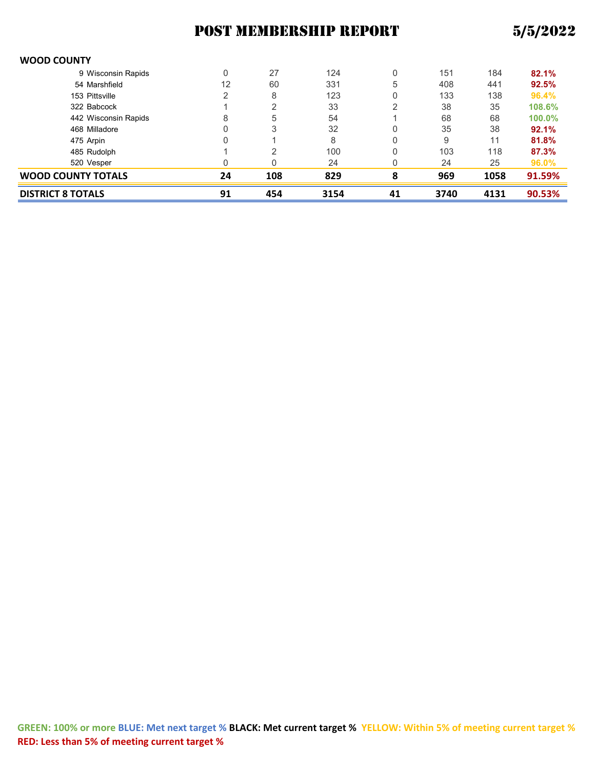| <b>DISTRICT 8 TOTALS</b> | 91 | 454 | 3154 | 41 | 3740 | 4131 | 90.53% |
|--------------------------|----|-----|------|----|------|------|--------|
| WOOD COUNTY TOTALS       | 24 | 108 | 829  | 8  | 969  | 1058 | 91.59% |
| 520 Vesper               |    | 0   | 24   | 0  | 24   | 25   | 96.0%  |
| 485 Rudolph              |    | っ   | 100  | 0  | 103  | 118  | 87.3%  |
| 475 Arpin                |    |     | 8    | 0  | 9    | 11   | 81.8%  |
| 468 Milladore            |    | 3   | 32   | 0  | 35   | 38   | 92.1%  |
| 442 Wisconsin Rapids     | 8  | 5   | 54   |    | 68   | 68   | 100.0% |
| 322 Babcock              |    | 2   | 33   |    | 38   | 35   | 108.6% |
| 153 Pittsville           | 2  | 8   | 123  | 0  | 133  | 138  | 96.4%  |
| 54 Marshfield            | 12 | 60  | 331  | 5  | 408  | 441  | 92.5%  |
| 9 Wisconsin Rapids       |    | 27  | 124  | 0  | 151  | 184  | 82.1%  |
|                          |    |     |      |    |      |      |        |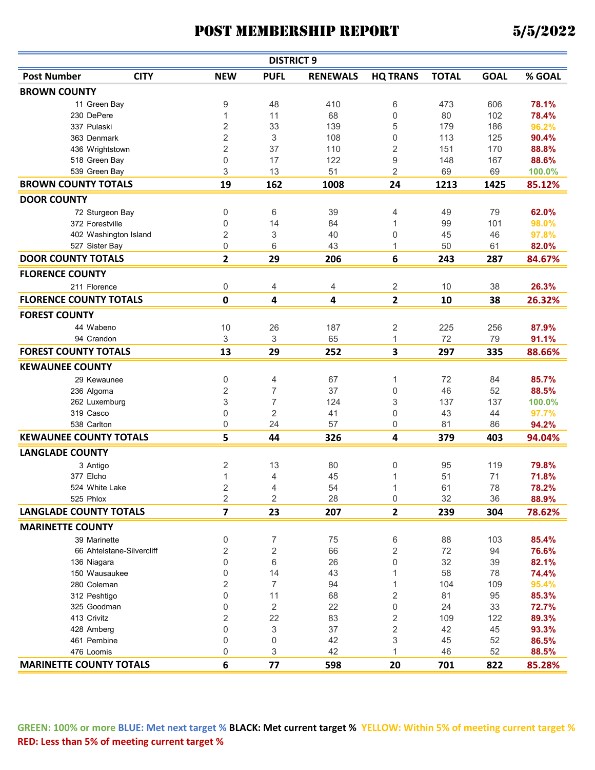|                                |                           |                         | <b>DISTRICT 9</b> |                 |                 |              |             |        |
|--------------------------------|---------------------------|-------------------------|-------------------|-----------------|-----------------|--------------|-------------|--------|
| <b>Post Number</b>             | <b>CITY</b>               | <b>NEW</b>              | <b>PUFL</b>       | <b>RENEWALS</b> | <b>HQ TRANS</b> | <b>TOTAL</b> | <b>GOAL</b> | % GOAL |
| <b>BROWN COUNTY</b>            |                           |                         |                   |                 |                 |              |             |        |
| 11 Green Bay                   |                           | 9                       | 48                | 410             | 6               | 473          | 606         | 78.1%  |
| 230 DePere                     |                           | 1                       | 11                | 68              | 0               | 80           | 102         | 78.4%  |
| 337 Pulaski                    |                           | $\overline{2}$          | 33                | 139             | 5               | 179          | 186         | 96.2%  |
| 363 Denmark                    |                           | 2                       | 3                 | 108             | 0               | 113          | 125         | 90.4%  |
| 436 Wrightstown                |                           | $\overline{2}$          | 37                | 110             | $\overline{2}$  | 151          | 170         | 88.8%  |
| 518 Green Bay                  |                           | 0                       | 17                | 122             | 9               | 148          | 167         | 88.6%  |
| 539 Green Bay                  |                           | 3                       | 13                | 51              | $\overline{2}$  | 69           | 69          | 100.0% |
| <b>BROWN COUNTY TOTALS</b>     |                           | 19                      | 162               | 1008            | 24              | 1213         | 1425        | 85.12% |
| <b>DOOR COUNTY</b>             |                           |                         |                   |                 |                 |              |             |        |
| 72 Sturgeon Bay                |                           | 0                       | 6                 | 39              | 4               | 49           | 79          | 62.0%  |
| 372 Forestville                |                           | 0                       | 14                | 84              | 1               | 99           | 101         | 98.0%  |
| 402 Washington Island          |                           | $\overline{2}$          | 3                 | 40              | 0               | 45           | 46          | 97.8%  |
| 527 Sister Bay                 |                           | 0                       | 6                 | 43              | 1               | 50           | 61          | 82.0%  |
| <b>DOOR COUNTY TOTALS</b>      |                           | $\mathbf{2}$            | 29                | 206             | 6               | 243          | 287         | 84.67% |
| <b>FLORENCE COUNTY</b>         |                           |                         |                   |                 |                 |              |             |        |
| 211 Florence                   |                           | 0                       | 4                 | 4               | 2               | 10           | 38          | 26.3%  |
| <b>FLORENCE COUNTY TOTALS</b>  |                           | $\pmb{0}$               | 4                 | 4               | $\overline{2}$  | 10           | 38          | 26.32% |
| <b>FOREST COUNTY</b>           |                           |                         |                   |                 |                 |              |             |        |
| 44 Wabeno                      |                           | 10                      | 26                | 187             | 2               | 225          | 256         | 87.9%  |
| 94 Crandon                     |                           | 3                       | 3                 | 65              | $\mathbf{1}$    | 72           | 79          | 91.1%  |
| <b>FOREST COUNTY TOTALS</b>    |                           | 13                      | 29                | 252             | 3               | 297          | 335         | 88.66% |
| <b>KEWAUNEE COUNTY</b>         |                           |                         |                   |                 |                 |              |             |        |
| 29 Kewaunee                    |                           | 0                       | 4                 | 67              | 1               | 72           | 84          | 85.7%  |
| 236 Algoma                     |                           | 2                       | 7                 | 37              | 0               | 46           | 52          | 88.5%  |
| 262 Luxemburg                  |                           | 3                       | 7                 | 124             | 3               | 137          | 137         | 100.0% |
| 319 Casco                      |                           | $\boldsymbol{0}$        | 2                 | 41              | 0               | 43           | 44          | 97.7%  |
| 538 Carlton                    |                           | 0                       | 24                | 57              | 0               | 81           | 86          | 94.2%  |
| <b>KEWAUNEE COUNTY TOTALS</b>  |                           | 5                       | 44                | 326             |                 | 379          | 403         |        |
|                                |                           |                         |                   |                 | 4               |              |             | 94.04% |
| <b>LANGLADE COUNTY</b>         |                           |                         |                   |                 |                 |              |             |        |
| 3 Antigo                       |                           | $\overline{c}$          | 13                | 80              | 0               | 95           | 119         | 79.8%  |
| 377 Elcho                      |                           | 1                       | 4                 | 45              | 1               | 51           | 71          | 71.8%  |
| 524 White Lake                 |                           | 2                       | 4                 | 54              | 1               | 61           | 78          | 78.2%  |
| 525 Phlox                      |                           | 2                       | $\overline{2}$    | 28              | 0               | 32           | 36          | 88.9%  |
| <b>LANGLADE COUNTY TOTALS</b>  |                           | $\overline{\mathbf{z}}$ | 23                | 207             | $\mathbf{2}$    | 239          | 304         | 78.62% |
| <b>MARINETTE COUNTY</b>        |                           |                         |                   |                 |                 |              |             |        |
| 39 Marinette                   |                           | $\,0\,$                 | 7                 | 75              | 6               | 88           | 103         | 85.4%  |
|                                | 66 Ahtelstane-Silvercliff | 2                       | $\overline{c}$    | 66              | $\overline{2}$  | 72           | 94          | 76.6%  |
| 136 Niagara                    |                           | $\boldsymbol{0}$        | 6                 | 26              | 0               | 32           | 39          | 82.1%  |
| 150 Wausaukee                  |                           | 0                       | 14                | 43              | 1               | 58           | 78          | 74.4%  |
| 280 Coleman                    |                           | 2                       | 7                 | 94              | 1               | 104          | 109         | 95.4%  |
| 312 Peshtigo                   |                           | $\mathbf 0$             | 11                | 68              | 2               | 81           | 95          | 85.3%  |
| 325 Goodman                    |                           | 0                       | 2                 | 22              | 0               | 24           | 33          | 72.7%  |
| 413 Crivitz                    |                           | 2                       | 22                | 83              | 2               | 109          | 122         | 89.3%  |
| 428 Amberg                     |                           | 0                       | 3                 | 37              | $\overline{2}$  | 42           | 45          | 93.3%  |
| 461 Pembine                    |                           | 0                       | 0                 | 42              | 3               | 45           | 52          | 86.5%  |
| 476 Loomis                     |                           | 0                       | 3                 | 42              | 1               | 46           | 52          | 88.5%  |
| <b>MARINETTE COUNTY TOTALS</b> |                           | 6                       | 77                | 598             | 20              | 701          | 822         | 85.28% |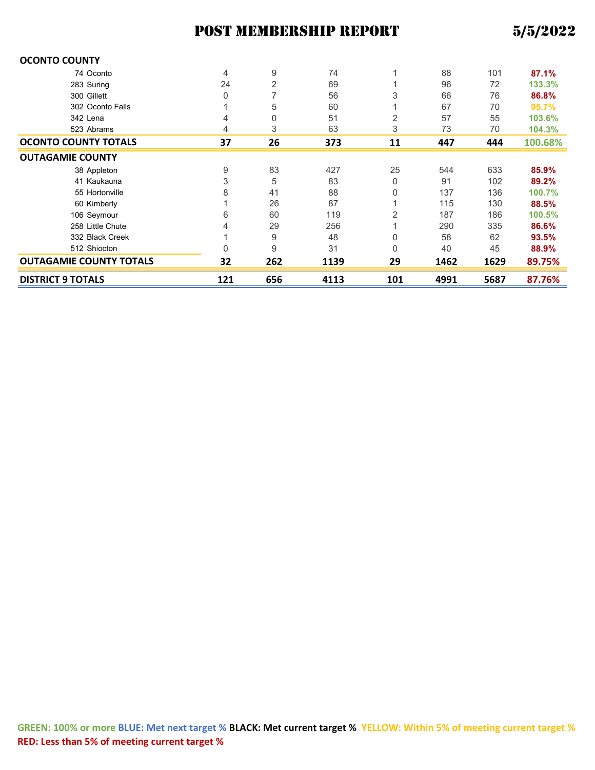| <b>OCONTO COUNTY</b>           |                |     |      |     |      |      |         |
|--------------------------------|----------------|-----|------|-----|------|------|---------|
| 74 Oconto                      | $\overline{4}$ | 9   | 74   |     | 88   | 101  | 87.1%   |
| 283 Suring                     | 24             | 2   | 69   |     | 96   | 72   | 133.3%  |
| 300 Gillett                    | 0              |     | 56   | 3   | 66   | 76   | 86.8%   |
| 302 Oconto Falls               |                | 5   | 60   |     | 67   | 70   | 95.7%   |
| 342 Lena                       | 4              | 0   | 51   | 2   | 57   | 55   | 103.6%  |
| 523 Abrams                     | 4              | 3   | 63   | 3   | 73   | 70   | 104.3%  |
| <b>OCONTO COUNTY TOTALS</b>    | 37             | 26  | 373  | 11  | 447  | 444  | 100.68% |
| <b>OUTAGAMIE COUNTY</b>        |                |     |      |     |      |      |         |
| 38 Appleton                    | 9              | 83  | 427  | 25  | 544  | 633  | 85.9%   |
| 41 Kaukauna                    | 3              | 5   | 83   | 0   | 91   | 102  | 89.2%   |
| 55 Hortonville                 | 8              | 41  | 88   | 0   | 137  | 136  | 100.7%  |
| 60 Kimberly                    |                | 26  | 87   |     | 115  | 130  | 88.5%   |
| 106 Seymour                    | 6              | 60  | 119  | 2   | 187  | 186  | 100.5%  |
| 258 Little Chute               | 4              | 29  | 256  |     | 290  | 335  | 86.6%   |
| 332 Black Creek                |                | 9   | 48   | 0   | 58   | 62   | 93.5%   |
| 512 Shiocton                   | $\mathbf{0}$   | 9   | 31   | 0   | 40   | 45   | 88.9%   |
| <b>OUTAGAMIE COUNTY TOTALS</b> | 32             | 262 | 1139 | 29  | 1462 | 1629 | 89.75%  |
| <b>DISTRICT 9 TOTALS</b>       | 121            | 656 | 4113 | 101 | 4991 | 5687 | 87.76%  |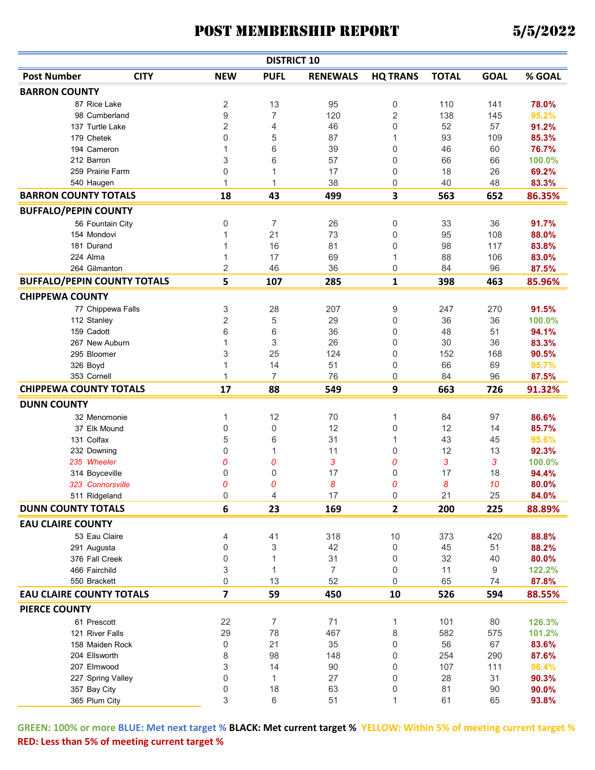| <b>Post Number</b><br><b>GOAL</b><br>% GOAL<br><b>CITY</b><br><b>NEW</b><br><b>PUFL</b><br><b>RENEWALS</b><br><b>HQ TRANS</b><br><b>TOTAL</b><br><b>BARRON COUNTY</b><br>$\sqrt{2}$<br>13<br>95<br>0<br>110<br>78.0%<br>87 Rice Lake<br>141<br>$\boldsymbol{9}$<br>$\overline{2}$<br>$\overline{7}$<br>120<br>138<br>95.2%<br>98 Cumberland<br>145<br>$\sqrt{2}$<br>0<br>4<br>46<br>52<br>57<br>137 Turtle Lake<br>91.2%<br>$\mathbf 0$<br>5<br>87<br>85.3%<br>179 Chetek<br>93<br>109<br>1<br>39<br>76.7%<br>194 Cameron<br>1<br>6<br>0<br>46<br>60<br>212 Barron<br>3<br>6<br>57<br>0<br>66<br>66<br>100.0%<br>0<br>17<br>0<br>18<br>26<br>259 Prairie Farm<br>69.2%<br>540 Haugen<br>1<br>38<br>40<br>48<br>83.3%<br>0<br>1<br><b>BARRON COUNTY TOTALS</b><br>18<br>499<br>3<br>563<br>43<br>652<br>86.35%<br><b>BUFFALO/PEPIN COUNTY</b><br>0<br>91.7%<br>7<br>26<br>0<br>33<br>36<br>56 Fountain City<br>21<br>73<br>95<br>88.0%<br>154 Mondovi<br>1<br>0<br>108<br>1<br>16<br>81<br>0<br>98<br>117<br>181 Durand<br>83.8%<br>69<br>1<br>17<br>88<br>106<br>224 Alma<br>1<br>83.0%<br>264 Gilmanton<br>2<br>46<br>36<br>0<br>84<br>96<br>87.5%<br><b>BUFFALO/PEPIN COUNTY TOTALS</b><br>5<br>107<br>285<br>1<br>398<br>463<br>85.96%<br><b>CHIPPEWA COUNTY</b><br>77 Chippewa Falls<br>3<br>28<br>207<br>9<br>247<br>270<br>91.5%<br>$\overline{2}$<br>5<br>29<br>0<br>36<br>36<br>100.0%<br>112 Stanley<br>6<br>6<br>36<br>159 Cadott<br>0<br>48<br>51<br>94.1%<br>$\mathbf{1}$<br>3<br>26<br>30<br>36<br>83.3%<br>267 New Auburn<br>0<br>3<br>25<br>152<br>295 Bloomer<br>124<br>0<br>168<br>90.5%<br>326 Boyd<br>1<br>14<br>51<br>0<br>66<br>69<br>95.7%<br>$\overline{7}$<br>$\mathbf{1}$<br>76<br>353 Cornell<br>0<br>84<br>96<br>87.5%<br><b>CHIPPEWA COUNTY TOTALS</b><br>9<br>17<br>88<br>549<br>663<br>726<br>91.32%<br><b>DUNN COUNTY</b><br>1<br>12<br>70<br>1<br>84<br>97<br>86.6%<br>32 Menomonie<br>$\boldsymbol{0}$<br>0<br>12<br>0<br>12<br>14<br>37 Elk Mound<br>85.7%<br>5<br>95.6%<br>131 Colfax<br>6<br>31<br>43<br>1<br>45<br>0<br>11<br>12<br>13<br>92.3%<br>232 Downing<br>0<br>1<br>0<br>3<br>3<br>3<br>235 Wheeler<br>0<br>0<br>100.0%<br>0<br>17<br>17<br>18<br>94.4%<br>314 Boyceville<br>$\Omega$<br>0<br>0<br>8<br>0<br>8<br>10<br>80.0%<br>323 Connorsville<br>0<br>17<br>25<br>511 Ridgeland<br>21<br>0<br>84.0%<br>$\cup$<br>4<br>6<br><b>DUNN COUNTY TOTALS</b><br>23<br>$\overline{2}$<br>200<br>225<br>169<br>88.89%<br><b>EAU CLAIRE COUNTY</b><br>318<br>53 Eau Claire<br>4<br>41<br>10<br>373<br>420<br>88.8%<br>$\boldsymbol{0}$<br>3<br>42<br>0<br>45<br>51<br>291 Augusta<br>88.2%<br>$\boldsymbol{0}$<br>31<br>32<br>0<br>40<br>80.0%<br>376 Fall Creek<br>1<br>3<br>$\overline{7}$<br>466 Fairchild<br>$\mathbf{1}$<br>0<br>11<br>9<br>122.2%<br>52<br>0<br>13<br>0<br>65<br>550 Brackett<br>74<br>87.8%<br>$\overline{\mathbf{z}}$<br><b>EAU CLAIRE COUNTY TOTALS</b><br>59<br>450<br>10<br>526<br>594<br>88.55%<br><b>PIERCE COUNTY</b><br>$\overline{7}$<br>61 Prescott<br>22<br>71<br>1<br>101<br>80<br>126.3%<br>29<br>78<br>8<br>582<br>467<br>575<br>121 River Falls<br>101.2%<br>0<br>21<br>56<br>158 Maiden Rock<br>35<br>0<br>67<br>83.6%<br>204 Ellsworth<br>8<br>98<br>148<br>0<br>254<br>290<br>87.6%<br>3<br>107<br>207 Elmwood<br>14<br>90<br>0<br>111<br>96.4%<br>0<br>27<br>28<br>31<br>1<br>0<br>90.3%<br>227 Spring Valley<br>0<br>18<br>63<br>81<br>90.0%<br>357 Bay City<br>0<br>90<br>3<br>6<br>365 Plum City<br>51<br>1<br>61<br>65<br>93.8% |  | <b>DISTRICT 10</b> |  |  |  |
|---------------------------------------------------------------------------------------------------------------------------------------------------------------------------------------------------------------------------------------------------------------------------------------------------------------------------------------------------------------------------------------------------------------------------------------------------------------------------------------------------------------------------------------------------------------------------------------------------------------------------------------------------------------------------------------------------------------------------------------------------------------------------------------------------------------------------------------------------------------------------------------------------------------------------------------------------------------------------------------------------------------------------------------------------------------------------------------------------------------------------------------------------------------------------------------------------------------------------------------------------------------------------------------------------------------------------------------------------------------------------------------------------------------------------------------------------------------------------------------------------------------------------------------------------------------------------------------------------------------------------------------------------------------------------------------------------------------------------------------------------------------------------------------------------------------------------------------------------------------------------------------------------------------------------------------------------------------------------------------------------------------------------------------------------------------------------------------------------------------------------------------------------------------------------------------------------------------------------------------------------------------------------------------------------------------------------------------------------------------------------------------------------------------------------------------------------------------------------------------------------------------------------------------------------------------------------------------------------------------------------------------------------------------------------------------------------------------------------------------------------------------------------------------------------------------------------------------------------------------------------------------------------------------------------------------------------------------------------------------------------------------------------------------------------------------------------------------------------------------------------------------------------------------------------------------------------------------------------------------------------------------------------------------------------------------------------------------------------------------------------------------------------------------------------------------------------------------------------------------------------------------------|--|--------------------|--|--|--|
|                                                                                                                                                                                                                                                                                                                                                                                                                                                                                                                                                                                                                                                                                                                                                                                                                                                                                                                                                                                                                                                                                                                                                                                                                                                                                                                                                                                                                                                                                                                                                                                                                                                                                                                                                                                                                                                                                                                                                                                                                                                                                                                                                                                                                                                                                                                                                                                                                                                                                                                                                                                                                                                                                                                                                                                                                                                                                                                                                                                                                                                                                                                                                                                                                                                                                                                                                                                                                                                                                                                     |  |                    |  |  |  |
|                                                                                                                                                                                                                                                                                                                                                                                                                                                                                                                                                                                                                                                                                                                                                                                                                                                                                                                                                                                                                                                                                                                                                                                                                                                                                                                                                                                                                                                                                                                                                                                                                                                                                                                                                                                                                                                                                                                                                                                                                                                                                                                                                                                                                                                                                                                                                                                                                                                                                                                                                                                                                                                                                                                                                                                                                                                                                                                                                                                                                                                                                                                                                                                                                                                                                                                                                                                                                                                                                                                     |  |                    |  |  |  |
|                                                                                                                                                                                                                                                                                                                                                                                                                                                                                                                                                                                                                                                                                                                                                                                                                                                                                                                                                                                                                                                                                                                                                                                                                                                                                                                                                                                                                                                                                                                                                                                                                                                                                                                                                                                                                                                                                                                                                                                                                                                                                                                                                                                                                                                                                                                                                                                                                                                                                                                                                                                                                                                                                                                                                                                                                                                                                                                                                                                                                                                                                                                                                                                                                                                                                                                                                                                                                                                                                                                     |  |                    |  |  |  |
|                                                                                                                                                                                                                                                                                                                                                                                                                                                                                                                                                                                                                                                                                                                                                                                                                                                                                                                                                                                                                                                                                                                                                                                                                                                                                                                                                                                                                                                                                                                                                                                                                                                                                                                                                                                                                                                                                                                                                                                                                                                                                                                                                                                                                                                                                                                                                                                                                                                                                                                                                                                                                                                                                                                                                                                                                                                                                                                                                                                                                                                                                                                                                                                                                                                                                                                                                                                                                                                                                                                     |  |                    |  |  |  |
|                                                                                                                                                                                                                                                                                                                                                                                                                                                                                                                                                                                                                                                                                                                                                                                                                                                                                                                                                                                                                                                                                                                                                                                                                                                                                                                                                                                                                                                                                                                                                                                                                                                                                                                                                                                                                                                                                                                                                                                                                                                                                                                                                                                                                                                                                                                                                                                                                                                                                                                                                                                                                                                                                                                                                                                                                                                                                                                                                                                                                                                                                                                                                                                                                                                                                                                                                                                                                                                                                                                     |  |                    |  |  |  |
|                                                                                                                                                                                                                                                                                                                                                                                                                                                                                                                                                                                                                                                                                                                                                                                                                                                                                                                                                                                                                                                                                                                                                                                                                                                                                                                                                                                                                                                                                                                                                                                                                                                                                                                                                                                                                                                                                                                                                                                                                                                                                                                                                                                                                                                                                                                                                                                                                                                                                                                                                                                                                                                                                                                                                                                                                                                                                                                                                                                                                                                                                                                                                                                                                                                                                                                                                                                                                                                                                                                     |  |                    |  |  |  |
|                                                                                                                                                                                                                                                                                                                                                                                                                                                                                                                                                                                                                                                                                                                                                                                                                                                                                                                                                                                                                                                                                                                                                                                                                                                                                                                                                                                                                                                                                                                                                                                                                                                                                                                                                                                                                                                                                                                                                                                                                                                                                                                                                                                                                                                                                                                                                                                                                                                                                                                                                                                                                                                                                                                                                                                                                                                                                                                                                                                                                                                                                                                                                                                                                                                                                                                                                                                                                                                                                                                     |  |                    |  |  |  |
|                                                                                                                                                                                                                                                                                                                                                                                                                                                                                                                                                                                                                                                                                                                                                                                                                                                                                                                                                                                                                                                                                                                                                                                                                                                                                                                                                                                                                                                                                                                                                                                                                                                                                                                                                                                                                                                                                                                                                                                                                                                                                                                                                                                                                                                                                                                                                                                                                                                                                                                                                                                                                                                                                                                                                                                                                                                                                                                                                                                                                                                                                                                                                                                                                                                                                                                                                                                                                                                                                                                     |  |                    |  |  |  |
|                                                                                                                                                                                                                                                                                                                                                                                                                                                                                                                                                                                                                                                                                                                                                                                                                                                                                                                                                                                                                                                                                                                                                                                                                                                                                                                                                                                                                                                                                                                                                                                                                                                                                                                                                                                                                                                                                                                                                                                                                                                                                                                                                                                                                                                                                                                                                                                                                                                                                                                                                                                                                                                                                                                                                                                                                                                                                                                                                                                                                                                                                                                                                                                                                                                                                                                                                                                                                                                                                                                     |  |                    |  |  |  |
|                                                                                                                                                                                                                                                                                                                                                                                                                                                                                                                                                                                                                                                                                                                                                                                                                                                                                                                                                                                                                                                                                                                                                                                                                                                                                                                                                                                                                                                                                                                                                                                                                                                                                                                                                                                                                                                                                                                                                                                                                                                                                                                                                                                                                                                                                                                                                                                                                                                                                                                                                                                                                                                                                                                                                                                                                                                                                                                                                                                                                                                                                                                                                                                                                                                                                                                                                                                                                                                                                                                     |  |                    |  |  |  |
|                                                                                                                                                                                                                                                                                                                                                                                                                                                                                                                                                                                                                                                                                                                                                                                                                                                                                                                                                                                                                                                                                                                                                                                                                                                                                                                                                                                                                                                                                                                                                                                                                                                                                                                                                                                                                                                                                                                                                                                                                                                                                                                                                                                                                                                                                                                                                                                                                                                                                                                                                                                                                                                                                                                                                                                                                                                                                                                                                                                                                                                                                                                                                                                                                                                                                                                                                                                                                                                                                                                     |  |                    |  |  |  |
|                                                                                                                                                                                                                                                                                                                                                                                                                                                                                                                                                                                                                                                                                                                                                                                                                                                                                                                                                                                                                                                                                                                                                                                                                                                                                                                                                                                                                                                                                                                                                                                                                                                                                                                                                                                                                                                                                                                                                                                                                                                                                                                                                                                                                                                                                                                                                                                                                                                                                                                                                                                                                                                                                                                                                                                                                                                                                                                                                                                                                                                                                                                                                                                                                                                                                                                                                                                                                                                                                                                     |  |                    |  |  |  |
|                                                                                                                                                                                                                                                                                                                                                                                                                                                                                                                                                                                                                                                                                                                                                                                                                                                                                                                                                                                                                                                                                                                                                                                                                                                                                                                                                                                                                                                                                                                                                                                                                                                                                                                                                                                                                                                                                                                                                                                                                                                                                                                                                                                                                                                                                                                                                                                                                                                                                                                                                                                                                                                                                                                                                                                                                                                                                                                                                                                                                                                                                                                                                                                                                                                                                                                                                                                                                                                                                                                     |  |                    |  |  |  |
|                                                                                                                                                                                                                                                                                                                                                                                                                                                                                                                                                                                                                                                                                                                                                                                                                                                                                                                                                                                                                                                                                                                                                                                                                                                                                                                                                                                                                                                                                                                                                                                                                                                                                                                                                                                                                                                                                                                                                                                                                                                                                                                                                                                                                                                                                                                                                                                                                                                                                                                                                                                                                                                                                                                                                                                                                                                                                                                                                                                                                                                                                                                                                                                                                                                                                                                                                                                                                                                                                                                     |  |                    |  |  |  |
|                                                                                                                                                                                                                                                                                                                                                                                                                                                                                                                                                                                                                                                                                                                                                                                                                                                                                                                                                                                                                                                                                                                                                                                                                                                                                                                                                                                                                                                                                                                                                                                                                                                                                                                                                                                                                                                                                                                                                                                                                                                                                                                                                                                                                                                                                                                                                                                                                                                                                                                                                                                                                                                                                                                                                                                                                                                                                                                                                                                                                                                                                                                                                                                                                                                                                                                                                                                                                                                                                                                     |  |                    |  |  |  |
|                                                                                                                                                                                                                                                                                                                                                                                                                                                                                                                                                                                                                                                                                                                                                                                                                                                                                                                                                                                                                                                                                                                                                                                                                                                                                                                                                                                                                                                                                                                                                                                                                                                                                                                                                                                                                                                                                                                                                                                                                                                                                                                                                                                                                                                                                                                                                                                                                                                                                                                                                                                                                                                                                                                                                                                                                                                                                                                                                                                                                                                                                                                                                                                                                                                                                                                                                                                                                                                                                                                     |  |                    |  |  |  |
|                                                                                                                                                                                                                                                                                                                                                                                                                                                                                                                                                                                                                                                                                                                                                                                                                                                                                                                                                                                                                                                                                                                                                                                                                                                                                                                                                                                                                                                                                                                                                                                                                                                                                                                                                                                                                                                                                                                                                                                                                                                                                                                                                                                                                                                                                                                                                                                                                                                                                                                                                                                                                                                                                                                                                                                                                                                                                                                                                                                                                                                                                                                                                                                                                                                                                                                                                                                                                                                                                                                     |  |                    |  |  |  |
|                                                                                                                                                                                                                                                                                                                                                                                                                                                                                                                                                                                                                                                                                                                                                                                                                                                                                                                                                                                                                                                                                                                                                                                                                                                                                                                                                                                                                                                                                                                                                                                                                                                                                                                                                                                                                                                                                                                                                                                                                                                                                                                                                                                                                                                                                                                                                                                                                                                                                                                                                                                                                                                                                                                                                                                                                                                                                                                                                                                                                                                                                                                                                                                                                                                                                                                                                                                                                                                                                                                     |  |                    |  |  |  |
|                                                                                                                                                                                                                                                                                                                                                                                                                                                                                                                                                                                                                                                                                                                                                                                                                                                                                                                                                                                                                                                                                                                                                                                                                                                                                                                                                                                                                                                                                                                                                                                                                                                                                                                                                                                                                                                                                                                                                                                                                                                                                                                                                                                                                                                                                                                                                                                                                                                                                                                                                                                                                                                                                                                                                                                                                                                                                                                                                                                                                                                                                                                                                                                                                                                                                                                                                                                                                                                                                                                     |  |                    |  |  |  |
|                                                                                                                                                                                                                                                                                                                                                                                                                                                                                                                                                                                                                                                                                                                                                                                                                                                                                                                                                                                                                                                                                                                                                                                                                                                                                                                                                                                                                                                                                                                                                                                                                                                                                                                                                                                                                                                                                                                                                                                                                                                                                                                                                                                                                                                                                                                                                                                                                                                                                                                                                                                                                                                                                                                                                                                                                                                                                                                                                                                                                                                                                                                                                                                                                                                                                                                                                                                                                                                                                                                     |  |                    |  |  |  |
|                                                                                                                                                                                                                                                                                                                                                                                                                                                                                                                                                                                                                                                                                                                                                                                                                                                                                                                                                                                                                                                                                                                                                                                                                                                                                                                                                                                                                                                                                                                                                                                                                                                                                                                                                                                                                                                                                                                                                                                                                                                                                                                                                                                                                                                                                                                                                                                                                                                                                                                                                                                                                                                                                                                                                                                                                                                                                                                                                                                                                                                                                                                                                                                                                                                                                                                                                                                                                                                                                                                     |  |                    |  |  |  |
|                                                                                                                                                                                                                                                                                                                                                                                                                                                                                                                                                                                                                                                                                                                                                                                                                                                                                                                                                                                                                                                                                                                                                                                                                                                                                                                                                                                                                                                                                                                                                                                                                                                                                                                                                                                                                                                                                                                                                                                                                                                                                                                                                                                                                                                                                                                                                                                                                                                                                                                                                                                                                                                                                                                                                                                                                                                                                                                                                                                                                                                                                                                                                                                                                                                                                                                                                                                                                                                                                                                     |  |                    |  |  |  |
|                                                                                                                                                                                                                                                                                                                                                                                                                                                                                                                                                                                                                                                                                                                                                                                                                                                                                                                                                                                                                                                                                                                                                                                                                                                                                                                                                                                                                                                                                                                                                                                                                                                                                                                                                                                                                                                                                                                                                                                                                                                                                                                                                                                                                                                                                                                                                                                                                                                                                                                                                                                                                                                                                                                                                                                                                                                                                                                                                                                                                                                                                                                                                                                                                                                                                                                                                                                                                                                                                                                     |  |                    |  |  |  |
|                                                                                                                                                                                                                                                                                                                                                                                                                                                                                                                                                                                                                                                                                                                                                                                                                                                                                                                                                                                                                                                                                                                                                                                                                                                                                                                                                                                                                                                                                                                                                                                                                                                                                                                                                                                                                                                                                                                                                                                                                                                                                                                                                                                                                                                                                                                                                                                                                                                                                                                                                                                                                                                                                                                                                                                                                                                                                                                                                                                                                                                                                                                                                                                                                                                                                                                                                                                                                                                                                                                     |  |                    |  |  |  |
|                                                                                                                                                                                                                                                                                                                                                                                                                                                                                                                                                                                                                                                                                                                                                                                                                                                                                                                                                                                                                                                                                                                                                                                                                                                                                                                                                                                                                                                                                                                                                                                                                                                                                                                                                                                                                                                                                                                                                                                                                                                                                                                                                                                                                                                                                                                                                                                                                                                                                                                                                                                                                                                                                                                                                                                                                                                                                                                                                                                                                                                                                                                                                                                                                                                                                                                                                                                                                                                                                                                     |  |                    |  |  |  |
|                                                                                                                                                                                                                                                                                                                                                                                                                                                                                                                                                                                                                                                                                                                                                                                                                                                                                                                                                                                                                                                                                                                                                                                                                                                                                                                                                                                                                                                                                                                                                                                                                                                                                                                                                                                                                                                                                                                                                                                                                                                                                                                                                                                                                                                                                                                                                                                                                                                                                                                                                                                                                                                                                                                                                                                                                                                                                                                                                                                                                                                                                                                                                                                                                                                                                                                                                                                                                                                                                                                     |  |                    |  |  |  |
|                                                                                                                                                                                                                                                                                                                                                                                                                                                                                                                                                                                                                                                                                                                                                                                                                                                                                                                                                                                                                                                                                                                                                                                                                                                                                                                                                                                                                                                                                                                                                                                                                                                                                                                                                                                                                                                                                                                                                                                                                                                                                                                                                                                                                                                                                                                                                                                                                                                                                                                                                                                                                                                                                                                                                                                                                                                                                                                                                                                                                                                                                                                                                                                                                                                                                                                                                                                                                                                                                                                     |  |                    |  |  |  |
|                                                                                                                                                                                                                                                                                                                                                                                                                                                                                                                                                                                                                                                                                                                                                                                                                                                                                                                                                                                                                                                                                                                                                                                                                                                                                                                                                                                                                                                                                                                                                                                                                                                                                                                                                                                                                                                                                                                                                                                                                                                                                                                                                                                                                                                                                                                                                                                                                                                                                                                                                                                                                                                                                                                                                                                                                                                                                                                                                                                                                                                                                                                                                                                                                                                                                                                                                                                                                                                                                                                     |  |                    |  |  |  |
|                                                                                                                                                                                                                                                                                                                                                                                                                                                                                                                                                                                                                                                                                                                                                                                                                                                                                                                                                                                                                                                                                                                                                                                                                                                                                                                                                                                                                                                                                                                                                                                                                                                                                                                                                                                                                                                                                                                                                                                                                                                                                                                                                                                                                                                                                                                                                                                                                                                                                                                                                                                                                                                                                                                                                                                                                                                                                                                                                                                                                                                                                                                                                                                                                                                                                                                                                                                                                                                                                                                     |  |                    |  |  |  |
|                                                                                                                                                                                                                                                                                                                                                                                                                                                                                                                                                                                                                                                                                                                                                                                                                                                                                                                                                                                                                                                                                                                                                                                                                                                                                                                                                                                                                                                                                                                                                                                                                                                                                                                                                                                                                                                                                                                                                                                                                                                                                                                                                                                                                                                                                                                                                                                                                                                                                                                                                                                                                                                                                                                                                                                                                                                                                                                                                                                                                                                                                                                                                                                                                                                                                                                                                                                                                                                                                                                     |  |                    |  |  |  |
|                                                                                                                                                                                                                                                                                                                                                                                                                                                                                                                                                                                                                                                                                                                                                                                                                                                                                                                                                                                                                                                                                                                                                                                                                                                                                                                                                                                                                                                                                                                                                                                                                                                                                                                                                                                                                                                                                                                                                                                                                                                                                                                                                                                                                                                                                                                                                                                                                                                                                                                                                                                                                                                                                                                                                                                                                                                                                                                                                                                                                                                                                                                                                                                                                                                                                                                                                                                                                                                                                                                     |  |                    |  |  |  |
|                                                                                                                                                                                                                                                                                                                                                                                                                                                                                                                                                                                                                                                                                                                                                                                                                                                                                                                                                                                                                                                                                                                                                                                                                                                                                                                                                                                                                                                                                                                                                                                                                                                                                                                                                                                                                                                                                                                                                                                                                                                                                                                                                                                                                                                                                                                                                                                                                                                                                                                                                                                                                                                                                                                                                                                                                                                                                                                                                                                                                                                                                                                                                                                                                                                                                                                                                                                                                                                                                                                     |  |                    |  |  |  |
|                                                                                                                                                                                                                                                                                                                                                                                                                                                                                                                                                                                                                                                                                                                                                                                                                                                                                                                                                                                                                                                                                                                                                                                                                                                                                                                                                                                                                                                                                                                                                                                                                                                                                                                                                                                                                                                                                                                                                                                                                                                                                                                                                                                                                                                                                                                                                                                                                                                                                                                                                                                                                                                                                                                                                                                                                                                                                                                                                                                                                                                                                                                                                                                                                                                                                                                                                                                                                                                                                                                     |  |                    |  |  |  |
|                                                                                                                                                                                                                                                                                                                                                                                                                                                                                                                                                                                                                                                                                                                                                                                                                                                                                                                                                                                                                                                                                                                                                                                                                                                                                                                                                                                                                                                                                                                                                                                                                                                                                                                                                                                                                                                                                                                                                                                                                                                                                                                                                                                                                                                                                                                                                                                                                                                                                                                                                                                                                                                                                                                                                                                                                                                                                                                                                                                                                                                                                                                                                                                                                                                                                                                                                                                                                                                                                                                     |  |                    |  |  |  |
|                                                                                                                                                                                                                                                                                                                                                                                                                                                                                                                                                                                                                                                                                                                                                                                                                                                                                                                                                                                                                                                                                                                                                                                                                                                                                                                                                                                                                                                                                                                                                                                                                                                                                                                                                                                                                                                                                                                                                                                                                                                                                                                                                                                                                                                                                                                                                                                                                                                                                                                                                                                                                                                                                                                                                                                                                                                                                                                                                                                                                                                                                                                                                                                                                                                                                                                                                                                                                                                                                                                     |  |                    |  |  |  |
|                                                                                                                                                                                                                                                                                                                                                                                                                                                                                                                                                                                                                                                                                                                                                                                                                                                                                                                                                                                                                                                                                                                                                                                                                                                                                                                                                                                                                                                                                                                                                                                                                                                                                                                                                                                                                                                                                                                                                                                                                                                                                                                                                                                                                                                                                                                                                                                                                                                                                                                                                                                                                                                                                                                                                                                                                                                                                                                                                                                                                                                                                                                                                                                                                                                                                                                                                                                                                                                                                                                     |  |                    |  |  |  |
|                                                                                                                                                                                                                                                                                                                                                                                                                                                                                                                                                                                                                                                                                                                                                                                                                                                                                                                                                                                                                                                                                                                                                                                                                                                                                                                                                                                                                                                                                                                                                                                                                                                                                                                                                                                                                                                                                                                                                                                                                                                                                                                                                                                                                                                                                                                                                                                                                                                                                                                                                                                                                                                                                                                                                                                                                                                                                                                                                                                                                                                                                                                                                                                                                                                                                                                                                                                                                                                                                                                     |  |                    |  |  |  |
|                                                                                                                                                                                                                                                                                                                                                                                                                                                                                                                                                                                                                                                                                                                                                                                                                                                                                                                                                                                                                                                                                                                                                                                                                                                                                                                                                                                                                                                                                                                                                                                                                                                                                                                                                                                                                                                                                                                                                                                                                                                                                                                                                                                                                                                                                                                                                                                                                                                                                                                                                                                                                                                                                                                                                                                                                                                                                                                                                                                                                                                                                                                                                                                                                                                                                                                                                                                                                                                                                                                     |  |                    |  |  |  |
|                                                                                                                                                                                                                                                                                                                                                                                                                                                                                                                                                                                                                                                                                                                                                                                                                                                                                                                                                                                                                                                                                                                                                                                                                                                                                                                                                                                                                                                                                                                                                                                                                                                                                                                                                                                                                                                                                                                                                                                                                                                                                                                                                                                                                                                                                                                                                                                                                                                                                                                                                                                                                                                                                                                                                                                                                                                                                                                                                                                                                                                                                                                                                                                                                                                                                                                                                                                                                                                                                                                     |  |                    |  |  |  |
|                                                                                                                                                                                                                                                                                                                                                                                                                                                                                                                                                                                                                                                                                                                                                                                                                                                                                                                                                                                                                                                                                                                                                                                                                                                                                                                                                                                                                                                                                                                                                                                                                                                                                                                                                                                                                                                                                                                                                                                                                                                                                                                                                                                                                                                                                                                                                                                                                                                                                                                                                                                                                                                                                                                                                                                                                                                                                                                                                                                                                                                                                                                                                                                                                                                                                                                                                                                                                                                                                                                     |  |                    |  |  |  |
|                                                                                                                                                                                                                                                                                                                                                                                                                                                                                                                                                                                                                                                                                                                                                                                                                                                                                                                                                                                                                                                                                                                                                                                                                                                                                                                                                                                                                                                                                                                                                                                                                                                                                                                                                                                                                                                                                                                                                                                                                                                                                                                                                                                                                                                                                                                                                                                                                                                                                                                                                                                                                                                                                                                                                                                                                                                                                                                                                                                                                                                                                                                                                                                                                                                                                                                                                                                                                                                                                                                     |  |                    |  |  |  |
|                                                                                                                                                                                                                                                                                                                                                                                                                                                                                                                                                                                                                                                                                                                                                                                                                                                                                                                                                                                                                                                                                                                                                                                                                                                                                                                                                                                                                                                                                                                                                                                                                                                                                                                                                                                                                                                                                                                                                                                                                                                                                                                                                                                                                                                                                                                                                                                                                                                                                                                                                                                                                                                                                                                                                                                                                                                                                                                                                                                                                                                                                                                                                                                                                                                                                                                                                                                                                                                                                                                     |  |                    |  |  |  |
|                                                                                                                                                                                                                                                                                                                                                                                                                                                                                                                                                                                                                                                                                                                                                                                                                                                                                                                                                                                                                                                                                                                                                                                                                                                                                                                                                                                                                                                                                                                                                                                                                                                                                                                                                                                                                                                                                                                                                                                                                                                                                                                                                                                                                                                                                                                                                                                                                                                                                                                                                                                                                                                                                                                                                                                                                                                                                                                                                                                                                                                                                                                                                                                                                                                                                                                                                                                                                                                                                                                     |  |                    |  |  |  |
|                                                                                                                                                                                                                                                                                                                                                                                                                                                                                                                                                                                                                                                                                                                                                                                                                                                                                                                                                                                                                                                                                                                                                                                                                                                                                                                                                                                                                                                                                                                                                                                                                                                                                                                                                                                                                                                                                                                                                                                                                                                                                                                                                                                                                                                                                                                                                                                                                                                                                                                                                                                                                                                                                                                                                                                                                                                                                                                                                                                                                                                                                                                                                                                                                                                                                                                                                                                                                                                                                                                     |  |                    |  |  |  |
|                                                                                                                                                                                                                                                                                                                                                                                                                                                                                                                                                                                                                                                                                                                                                                                                                                                                                                                                                                                                                                                                                                                                                                                                                                                                                                                                                                                                                                                                                                                                                                                                                                                                                                                                                                                                                                                                                                                                                                                                                                                                                                                                                                                                                                                                                                                                                                                                                                                                                                                                                                                                                                                                                                                                                                                                                                                                                                                                                                                                                                                                                                                                                                                                                                                                                                                                                                                                                                                                                                                     |  |                    |  |  |  |
|                                                                                                                                                                                                                                                                                                                                                                                                                                                                                                                                                                                                                                                                                                                                                                                                                                                                                                                                                                                                                                                                                                                                                                                                                                                                                                                                                                                                                                                                                                                                                                                                                                                                                                                                                                                                                                                                                                                                                                                                                                                                                                                                                                                                                                                                                                                                                                                                                                                                                                                                                                                                                                                                                                                                                                                                                                                                                                                                                                                                                                                                                                                                                                                                                                                                                                                                                                                                                                                                                                                     |  |                    |  |  |  |
|                                                                                                                                                                                                                                                                                                                                                                                                                                                                                                                                                                                                                                                                                                                                                                                                                                                                                                                                                                                                                                                                                                                                                                                                                                                                                                                                                                                                                                                                                                                                                                                                                                                                                                                                                                                                                                                                                                                                                                                                                                                                                                                                                                                                                                                                                                                                                                                                                                                                                                                                                                                                                                                                                                                                                                                                                                                                                                                                                                                                                                                                                                                                                                                                                                                                                                                                                                                                                                                                                                                     |  |                    |  |  |  |
|                                                                                                                                                                                                                                                                                                                                                                                                                                                                                                                                                                                                                                                                                                                                                                                                                                                                                                                                                                                                                                                                                                                                                                                                                                                                                                                                                                                                                                                                                                                                                                                                                                                                                                                                                                                                                                                                                                                                                                                                                                                                                                                                                                                                                                                                                                                                                                                                                                                                                                                                                                                                                                                                                                                                                                                                                                                                                                                                                                                                                                                                                                                                                                                                                                                                                                                                                                                                                                                                                                                     |  |                    |  |  |  |
|                                                                                                                                                                                                                                                                                                                                                                                                                                                                                                                                                                                                                                                                                                                                                                                                                                                                                                                                                                                                                                                                                                                                                                                                                                                                                                                                                                                                                                                                                                                                                                                                                                                                                                                                                                                                                                                                                                                                                                                                                                                                                                                                                                                                                                                                                                                                                                                                                                                                                                                                                                                                                                                                                                                                                                                                                                                                                                                                                                                                                                                                                                                                                                                                                                                                                                                                                                                                                                                                                                                     |  |                    |  |  |  |
|                                                                                                                                                                                                                                                                                                                                                                                                                                                                                                                                                                                                                                                                                                                                                                                                                                                                                                                                                                                                                                                                                                                                                                                                                                                                                                                                                                                                                                                                                                                                                                                                                                                                                                                                                                                                                                                                                                                                                                                                                                                                                                                                                                                                                                                                                                                                                                                                                                                                                                                                                                                                                                                                                                                                                                                                                                                                                                                                                                                                                                                                                                                                                                                                                                                                                                                                                                                                                                                                                                                     |  |                    |  |  |  |
|                                                                                                                                                                                                                                                                                                                                                                                                                                                                                                                                                                                                                                                                                                                                                                                                                                                                                                                                                                                                                                                                                                                                                                                                                                                                                                                                                                                                                                                                                                                                                                                                                                                                                                                                                                                                                                                                                                                                                                                                                                                                                                                                                                                                                                                                                                                                                                                                                                                                                                                                                                                                                                                                                                                                                                                                                                                                                                                                                                                                                                                                                                                                                                                                                                                                                                                                                                                                                                                                                                                     |  |                    |  |  |  |
|                                                                                                                                                                                                                                                                                                                                                                                                                                                                                                                                                                                                                                                                                                                                                                                                                                                                                                                                                                                                                                                                                                                                                                                                                                                                                                                                                                                                                                                                                                                                                                                                                                                                                                                                                                                                                                                                                                                                                                                                                                                                                                                                                                                                                                                                                                                                                                                                                                                                                                                                                                                                                                                                                                                                                                                                                                                                                                                                                                                                                                                                                                                                                                                                                                                                                                                                                                                                                                                                                                                     |  |                    |  |  |  |
|                                                                                                                                                                                                                                                                                                                                                                                                                                                                                                                                                                                                                                                                                                                                                                                                                                                                                                                                                                                                                                                                                                                                                                                                                                                                                                                                                                                                                                                                                                                                                                                                                                                                                                                                                                                                                                                                                                                                                                                                                                                                                                                                                                                                                                                                                                                                                                                                                                                                                                                                                                                                                                                                                                                                                                                                                                                                                                                                                                                                                                                                                                                                                                                                                                                                                                                                                                                                                                                                                                                     |  |                    |  |  |  |
|                                                                                                                                                                                                                                                                                                                                                                                                                                                                                                                                                                                                                                                                                                                                                                                                                                                                                                                                                                                                                                                                                                                                                                                                                                                                                                                                                                                                                                                                                                                                                                                                                                                                                                                                                                                                                                                                                                                                                                                                                                                                                                                                                                                                                                                                                                                                                                                                                                                                                                                                                                                                                                                                                                                                                                                                                                                                                                                                                                                                                                                                                                                                                                                                                                                                                                                                                                                                                                                                                                                     |  |                    |  |  |  |
|                                                                                                                                                                                                                                                                                                                                                                                                                                                                                                                                                                                                                                                                                                                                                                                                                                                                                                                                                                                                                                                                                                                                                                                                                                                                                                                                                                                                                                                                                                                                                                                                                                                                                                                                                                                                                                                                                                                                                                                                                                                                                                                                                                                                                                                                                                                                                                                                                                                                                                                                                                                                                                                                                                                                                                                                                                                                                                                                                                                                                                                                                                                                                                                                                                                                                                                                                                                                                                                                                                                     |  |                    |  |  |  |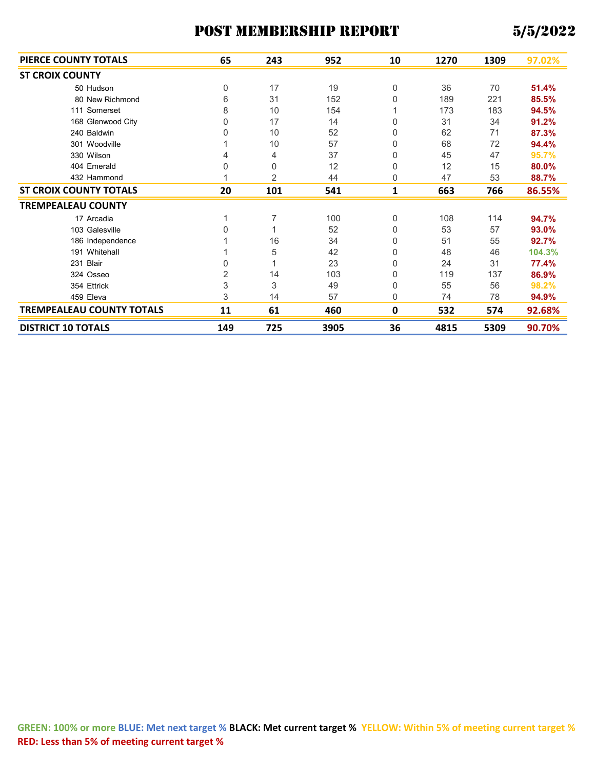| PIERCE COUNTY TOTALS             | 65             | 243                       | 952  | 10       | 1270 | 1309 | 97.02% |
|----------------------------------|----------------|---------------------------|------|----------|------|------|--------|
| <b>ST CROIX COUNTY</b>           |                |                           |      |          |      |      |        |
| 50 Hudson                        | 0              | 17                        | 19   | 0        | 36   | 70   | 51.4%  |
| 80 New Richmond                  | 6              | 31                        | 152  | 0        | 189  | 221  | 85.5%  |
| 111 Somerset                     | 8              | 10                        | 154  |          | 173  | 183  | 94.5%  |
| 168 Glenwood City                | 0              | 17                        | 14   | 0        | 31   | 34   | 91.2%  |
| 240 Baldwin                      | 0              | 10                        | 52   | 0        | 62   | 71   | 87.3%  |
| 301 Woodville                    |                | 10                        | 57   | 0        | 68   | 72   | 94.4%  |
| 330 Wilson                       | 4              | 4                         | 37   | 0        | 45   | 47   | 95.7%  |
| 404 Emerald                      | 0              | 0                         | 12   | 0        | 12   | 15   | 80.0%  |
| 432 Hammond                      |                | 2                         | 44   | 0        | 47   | 53   | 88.7%  |
| <b>ST CROIX COUNTY TOTALS</b>    | 20             | 101                       | 541  | 1        | 663  | 766  | 86.55% |
| <b>TREMPEALEAU COUNTY</b>        |                |                           |      |          |      |      |        |
| 17 Arcadia                       |                | 7                         | 100  | 0        | 108  | 114  | 94.7%  |
| 103 Galesville                   | 0              |                           | 52   | 0        | 53   | 57   | 93.0%  |
| 186 Independence                 |                | 16                        | 34   | 0        | 51   | 55   | 92.7%  |
| 191 Whitehall                    |                | 5                         | 42   | 0        | 48   | 46   | 104.3% |
| 231 Blair                        | 0              |                           | 23   | 0        | 24   | 31   | 77.4%  |
| 324 Osseo                        | $\overline{2}$ | 14                        | 103  | 0        | 119  | 137  | 86.9%  |
| 354 Ettrick                      | 3              | $\ensuremath{\mathsf{3}}$ | 49   | 0        | 55   | 56   | 98.2%  |
| 459 Eleva                        | 3              | 14                        | 57   | $\Omega$ | 74   | 78   | 94.9%  |
| <b>TREMPEALEAU COUNTY TOTALS</b> | 11             | 61                        | 460  | 0        | 532  | 574  | 92.68% |
| <b>DISTRICT 10 TOTALS</b>        | 149            | 725                       | 3905 | 36       | 4815 | 5309 | 90.70% |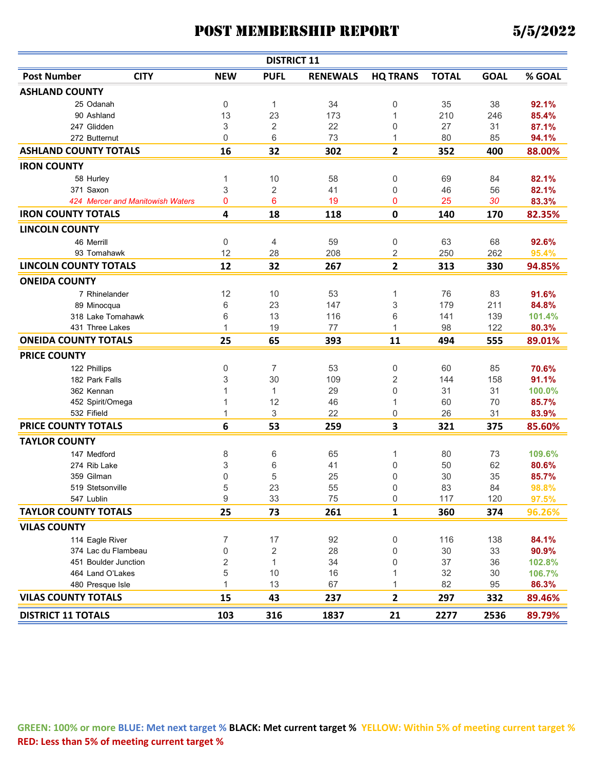| <b>DISTRICT 11</b>                |                           |                |                 |                 |              |             |        |  |  |  |
|-----------------------------------|---------------------------|----------------|-----------------|-----------------|--------------|-------------|--------|--|--|--|
| <b>Post Number</b><br><b>CITY</b> | <b>NEW</b>                | <b>PUFL</b>    | <b>RENEWALS</b> | <b>HQ TRANS</b> | <b>TOTAL</b> | <b>GOAL</b> | % GOAL |  |  |  |
| <b>ASHLAND COUNTY</b>             |                           |                |                 |                 |              |             |        |  |  |  |
| 25 Odanah                         | 0                         | 1              | 34              | 0               | 35           | 38          | 92.1%  |  |  |  |
| 90 Ashland                        | 13                        | 23             | 173             | 1               | 210          | 246         | 85.4%  |  |  |  |
| 247 Glidden                       | 3                         | $\overline{2}$ | 22              | 0               | 27           | 31          | 87.1%  |  |  |  |
| 272 Butternut                     | 0                         | 6              | 73              | 1               | 80           | 85          | 94.1%  |  |  |  |
| <b>ASHLAND COUNTY TOTALS</b>      | 16                        | 32             | 302             | $\overline{2}$  | 352          | 400         | 88.00% |  |  |  |
| <b>IRON COUNTY</b>                |                           |                |                 |                 |              |             |        |  |  |  |
| 58 Hurley                         | 1                         | 10             | 58              | 0               | 69           | 84          | 82.1%  |  |  |  |
| 371 Saxon                         | $\ensuremath{\mathsf{3}}$ | $\overline{2}$ | 41              | 0               | 46           | 56          | 82.1%  |  |  |  |
| 424 Mercer and Manitowish Waters  | 0                         | 6              | 19              | 0               | 25           | 30          | 83.3%  |  |  |  |
| <b>IRON COUNTY TOTALS</b>         | 4                         | 18             | 118             | $\mathbf 0$     | 140          | 170         | 82.35% |  |  |  |
| <b>LINCOLN COUNTY</b>             |                           |                |                 |                 |              |             |        |  |  |  |
| 46 Merrill                        | 0                         | 4              | 59              | 0               | 63           | 68          | 92.6%  |  |  |  |
| 93 Tomahawk                       | 12                        | 28             | 208             | 2               | 250          | 262         | 95.4%  |  |  |  |
| <b>LINCOLN COUNTY TOTALS</b>      | 12                        | 32             | 267             | $\mathbf{2}$    | 313          | 330         | 94.85% |  |  |  |
| <b>ONEIDA COUNTY</b>              |                           |                |                 |                 |              |             |        |  |  |  |
| 7 Rhinelander                     | 12                        | 10             | 53              | 1               | 76           | 83          | 91.6%  |  |  |  |
| 89 Minocqua                       | 6                         | 23             | 147             | 3               | 179          | 211         | 84.8%  |  |  |  |
| 318 Lake Tomahawk                 | 6                         | 13             | 116             | 6               | 141          | 139         | 101.4% |  |  |  |
| 431 Three Lakes                   | $\mathbf{1}$              | 19             | 77              | 1               | 98           | 122         | 80.3%  |  |  |  |
| <b>ONEIDA COUNTY TOTALS</b>       | 25                        | 65             | 393             | 11              | 494          | 555         | 89.01% |  |  |  |
| <b>PRICE COUNTY</b>               |                           |                |                 |                 |              |             |        |  |  |  |
| 122 Phillips                      | 0                         | 7              | 53              | 0               | 60           | 85          | 70.6%  |  |  |  |
| 182 Park Falls                    | 3                         | 30             | 109             | 2               | 144          | 158         | 91.1%  |  |  |  |
| 362 Kennan                        | 1                         | $\mathbf{1}$   | 29              | 0               | 31           | 31          | 100.0% |  |  |  |
| 452 Spirit/Omega                  | 1                         | 12             | 46              | 1               | 60           | 70          | 85.7%  |  |  |  |
| 532 Fifield                       | 1                         | 3              | 22              | 0               | 26           | 31          | 83.9%  |  |  |  |
| <b>PRICE COUNTY TOTALS</b>        | 6                         | 53             | 259             | 3               | 321          | 375         | 85.60% |  |  |  |
| <b>TAYLOR COUNTY</b>              |                           |                |                 |                 |              |             |        |  |  |  |
| 147 Medford                       | 8                         | 6              | 65              | 1               | 80           | 73          | 109.6% |  |  |  |
| 274 Rib Lake                      | 3                         | 6              | 41              | 0               | 50           | 62          | 80.6%  |  |  |  |
| 359 Gilman                        | $\mathbf 0$               | 5              | 25              | 0               | 30           | 35          | 85.7%  |  |  |  |
| 519 Stetsonville                  | 5                         | 23             | 55              | 0               | 83           | 84          | 98.8%  |  |  |  |
| 547 Lublin                        | 9                         | 33             | 75              | 0               | 117          | 120         | 97.5%  |  |  |  |
| <b>TAYLOR COUNTY TOTALS</b>       | 25                        | 73             | 261             | 1               | 360          | 374         | 96.26% |  |  |  |
| <b>VILAS COUNTY</b>               |                           |                |                 |                 |              |             |        |  |  |  |
| 114 Eagle River                   | 7                         | 17             | 92              | 0               | 116          | 138         | 84.1%  |  |  |  |
| 374 Lac du Flambeau               | $\mathbf 0$               | $\overline{2}$ | 28              | 0               | $30\,$       | 33          | 90.9%  |  |  |  |
| 451 Boulder Junction              | $\sqrt{2}$                | $\mathbf{1}$   | 34              | 0               | 37           | 36          | 102.8% |  |  |  |
| 464 Land O'Lakes                  | 5                         | 10             | 16              | 1               | 32           | 30          | 106.7% |  |  |  |
| 480 Presque Isle                  | $\mathbf{1}$              | 13             | 67              | 1               | 82           | 95          | 86.3%  |  |  |  |
| <b>VILAS COUNTY TOTALS</b>        | 15                        | 43             | 237             | 2               | 297          | 332         | 89.46% |  |  |  |
| <b>DISTRICT 11 TOTALS</b>         | 103                       | 316            | 1837            | 21              | 2277         | 2536        | 89.79% |  |  |  |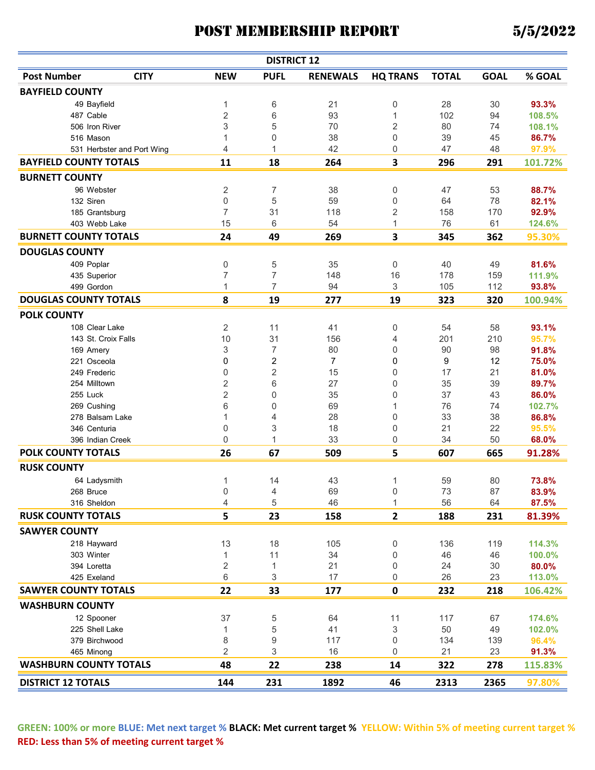|                               |                            |                  | <b>DISTRICT 12</b> |                 |                 |              |             |         |
|-------------------------------|----------------------------|------------------|--------------------|-----------------|-----------------|--------------|-------------|---------|
| <b>Post Number</b>            | <b>CITY</b>                | <b>NEW</b>       | <b>PUFL</b>        | <b>RENEWALS</b> | <b>HQ TRANS</b> | <b>TOTAL</b> | <b>GOAL</b> | % GOAL  |
| <b>BAYFIELD COUNTY</b>        |                            |                  |                    |                 |                 |              |             |         |
| 49 Bayfield                   |                            | 1                | 6                  | 21              | 0               | 28           | 30          | 93.3%   |
| 487 Cable                     |                            | $\overline{2}$   | 6                  | 93              | 1               | 102          | 94          | 108.5%  |
| 506 Iron River                |                            | 3                | 5                  | 70              | 2               | 80           | 74          | 108.1%  |
| 516 Mason                     |                            | 1                | 0                  | 38              | 0               | 39           | 45          | 86.7%   |
|                               | 531 Herbster and Port Wing | 4                | 1                  | 42              | 0               | 47           | 48          | 97.9%   |
| <b>BAYFIELD COUNTY TOTALS</b> |                            | 11               | 18                 | 264             | 3               | 296          | 291         | 101.72% |
| <b>BURNETT COUNTY</b>         |                            |                  |                    |                 |                 |              |             |         |
| 96 Webster                    |                            | $\overline{c}$   | 7                  | 38              | 0               | 47           | 53          | 88.7%   |
| 132 Siren                     |                            | $\boldsymbol{0}$ | 5                  | 59              | 0               | 64           | 78          | 82.1%   |
| 185 Grantsburg                |                            | $\overline{7}$   | 31                 | 118             | 2               | 158          | 170         | 92.9%   |
| 403 Webb Lake                 |                            | 15               | 6                  | 54              | 1               | 76           | 61          | 124.6%  |
| <b>BURNETT COUNTY TOTALS</b>  |                            | 24               | 49                 | 269             | 3               | 345          | 362         | 95.30%  |
| <b>DOUGLAS COUNTY</b>         |                            |                  |                    |                 |                 |              |             |         |
| 409 Poplar                    |                            | 0                | 5                  | 35              | 0               | 40           | 49          | 81.6%   |
| 435 Superior                  |                            | $\overline{7}$   | $\overline{7}$     | 148             | 16              | 178          | 159         | 111.9%  |
| 499 Gordon                    |                            | 1                | 7                  | 94              | 3               | 105          | 112         | 93.8%   |
| <b>DOUGLAS COUNTY TOTALS</b>  |                            | 8                | 19                 | 277             | 19              | 323          | 320         | 100.94% |
| <b>POLK COUNTY</b>            |                            |                  |                    |                 |                 |              |             |         |
| 108 Clear Lake                |                            | $\overline{2}$   | 11                 | 41              | 0               | 54           | 58          | 93.1%   |
| 143 St. Croix Falls           |                            | 10               | 31                 | 156             | 4               | 201          | 210         | 95.7%   |
| 169 Amery                     |                            | 3                | 7                  | 80              | 0               | 90           | 98          | 91.8%   |
| 221 Osceola                   |                            | 0                | 2                  | 7               | 0               | 9            | 12          | 75.0%   |
| 249 Frederic                  |                            | 0                | 2                  | 15              | 0               | 17           | 21          | 81.0%   |
| 254 Milltown                  |                            | 2                | 6                  | 27              | 0               | 35           | 39          | 89.7%   |
| 255 Luck                      |                            | $\sqrt{2}$       | 0                  | 35              | 0               | 37           | 43          | 86.0%   |
| 269 Cushing                   |                            | 6                | 0                  | 69              | 1               | 76           | 74          | 102.7%  |
| 278 Balsam Lake               |                            | 1                | 4                  | 28              | 0               | 33           | 38          | 86.8%   |
| 346 Centuria                  |                            | $\mathbf 0$      | 3                  | 18              | 0               | 21           | 22          | 95.5%   |
| 396 Indian Creek              |                            | $\mathbf 0$      | 1                  | 33              | 0               | 34           | 50          | 68.0%   |
| POLK COUNTY TOTALS            |                            | 26               | 67                 | 509             | 5               | 607          | 665         | 91.28%  |
| <b>RUSK COUNTY</b>            |                            |                  |                    |                 |                 |              |             |         |
| 64 Ladysmith                  |                            | 1                | 14                 | 43              | 1               | 59           | 80          | 73.8%   |
| 268 Bruce                     |                            | 0                | 4                  | 69              | 0               | 73           | 87          | 83.9%   |
| 316 Sheldon                   |                            | 4                | 5                  | 46              | 1               | 56           | 64          | 87.5%   |
| <b>RUSK COUNTY TOTALS</b>     |                            | 5                | 23                 | 158             | 2               | 188          | 231         | 81.39%  |
| <b>SAWYER COUNTY</b>          |                            |                  |                    |                 |                 |              |             |         |
| 218 Hayward                   |                            | 13               | 18                 | 105             | 0               | 136          | 119         | 114.3%  |
| 303 Winter                    |                            | 1                | 11                 | 34              | 0               | 46           | 46          | 100.0%  |
| 394 Loretta                   |                            | $\overline{c}$   | 1                  | 21              | 0               | 24           | 30          | 80.0%   |
| 425 Exeland                   |                            | 6                | 3                  | 17              | 0               | 26           | 23          | 113.0%  |
| <b>SAWYER COUNTY TOTALS</b>   |                            | 22               | 33                 | 177             | 0               | 232          | 218         | 106.42% |
| <b>WASHBURN COUNTY</b>        |                            |                  |                    |                 |                 |              |             |         |
| 12 Spooner                    |                            | 37               | 5                  | 64              | 11              | 117          | 67          | 174.6%  |
| 225 Shell Lake                |                            | 1                | 5                  | 41              | 3               | 50           | 49          | 102.0%  |
| 379 Birchwood                 |                            | 8                | 9                  | 117             | 0               | 134          | 139         | 96.4%   |
| 465 Minong                    |                            | $\overline{2}$   | 3                  | 16              | 0               | 21           | 23          | 91.3%   |
| <b>WASHBURN COUNTY TOTALS</b> |                            | 48               | 22                 | 238             | 14              | 322          | 278         | 115.83% |
| <b>DISTRICT 12 TOTALS</b>     |                            | 144              | 231                | 1892            | 46              | 2313         | 2365        | 97.80%  |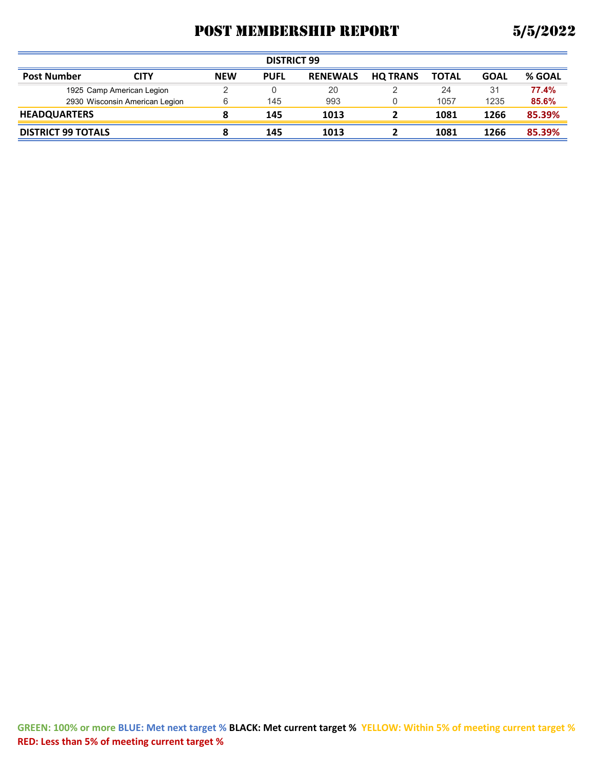| <b>DISTRICT 99</b>        |                                |            |             |                 |                 |              |             |        |  |
|---------------------------|--------------------------------|------------|-------------|-----------------|-----------------|--------------|-------------|--------|--|
| <b>Post Number</b>        | <b>CITY</b>                    | <b>NEW</b> | <b>PUFL</b> | <b>RENEWALS</b> | <b>HQ TRANS</b> | <b>TOTAL</b> | <b>GOAL</b> | % GOAL |  |
|                           | 1925 Camp American Legion      |            |             | 20              |                 | 24           | 31          | 77.4%  |  |
|                           | 2930 Wisconsin American Legion | 6          | 145         | 993             |                 | 1057         | 1235        | 85.6%  |  |
| <b>HEADQUARTERS</b>       |                                | 8          | 145         | 1013            |                 | 1081         | 1266        | 85.39% |  |
| <b>DISTRICT 99 TOTALS</b> |                                | 8          | 145         | 1013            |                 | 1081         | 1266        | 85.39% |  |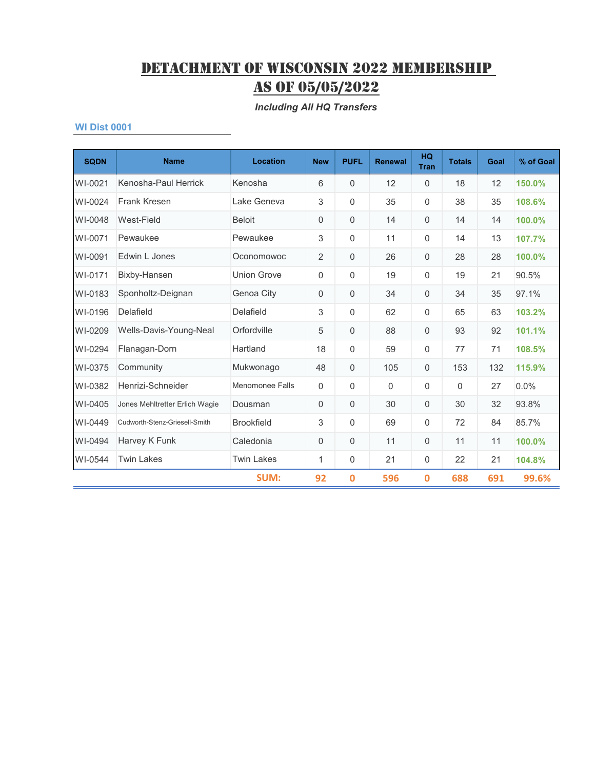*Including All HQ Transfers*

| <b>SQDN</b> | <b>Name</b>                    | <b>Location</b>    | <b>New</b>     | <b>PUFL</b>      | <b>Renewal</b> | <b>HQ</b><br><b>Tran</b> | <b>Totals</b> | Goal | % of Goal |
|-------------|--------------------------------|--------------------|----------------|------------------|----------------|--------------------------|---------------|------|-----------|
| WI-0021     | Kenosha-Paul Herrick           | Kenosha            | 6              | $\Omega$         | 12             | 0                        | 18            | 12   | 150.0%    |
| WI-0024     | <b>Frank Kresen</b>            | Lake Geneva        | 3              | $\mathbf 0$      | 35             | 0                        | 38            | 35   | 108.6%    |
| WI-0048     | West-Field                     | <b>Beloit</b>      | 0              | $\mathbf 0$      | 14             | 0                        | 14            | 14   | 100.0%    |
| WI-0071     | Pewaukee                       | Pewaukee           | 3              | $\Omega$         | 11             | 0                        | 14            | 13   | 107.7%    |
| WI-0091     | Edwin L Jones                  | Oconomowoc         | $\overline{2}$ | $\Omega$         | 26             | 0                        | 28            | 28   | 100.0%    |
| WI-0171     | Bixby-Hansen                   | <b>Union Grove</b> | 0              | $\mathbf 0$      | 19             | 0                        | 19            | 21   | 90.5%     |
| WI-0183     | Sponholtz-Deignan              | Genoa City         | 0              | $\mathbf 0$      | 34             | 0                        | 34            | 35   | 97.1%     |
| WI-0196     | Delafield                      | Delafield          | 3              | $\boldsymbol{0}$ | 62             | 0                        | 65            | 63   | 103.2%    |
| WI-0209     | Wells-Davis-Young-Neal         | Orfordville        | 5              | $\mathbf 0$      | 88             | 0                        | 93            | 92   | 101.1%    |
| WI-0294     | Flanagan-Dorn                  | Hartland           | 18             | $\Omega$         | 59             | 0                        | 77            | 71   | 108.5%    |
| WI-0375     | Community                      | Mukwonago          | 48             | $\mathbf 0$      | 105            | 0                        | 153           | 132  | 115.9%    |
| WI-0382     | Henrizi-Schneider              | Menomonee Falls    | 0              | $\mathbf 0$      | $\Omega$       | 0                        | 0             | 27   | 0.0%      |
| WI-0405     | Jones Mehltretter Erlich Wagie | Dousman            | 0              | $\boldsymbol{0}$ | 30             | 0                        | 30            | 32   | 93.8%     |
| WI-0449     | Cudworth-Stenz-Griesell-Smith  | <b>Brookfield</b>  | 3              | $\Omega$         | 69             | 0                        | 72            | 84   | 85.7%     |
| WI-0494     | Harvey K Funk                  | Caledonia          | 0              | $\Omega$         | 11             | $\Omega$                 | 11            | 11   | 100.0%    |
| WI-0544     | <b>Twin Lakes</b>              | <b>Twin Lakes</b>  | 1              | $\mathbf 0$      | 21             | 0                        | 22            | 21   | 104.8%    |
|             |                                | SUM:               | 92             | 0                | 596            | 0                        | 688           | 691  | 99.6%     |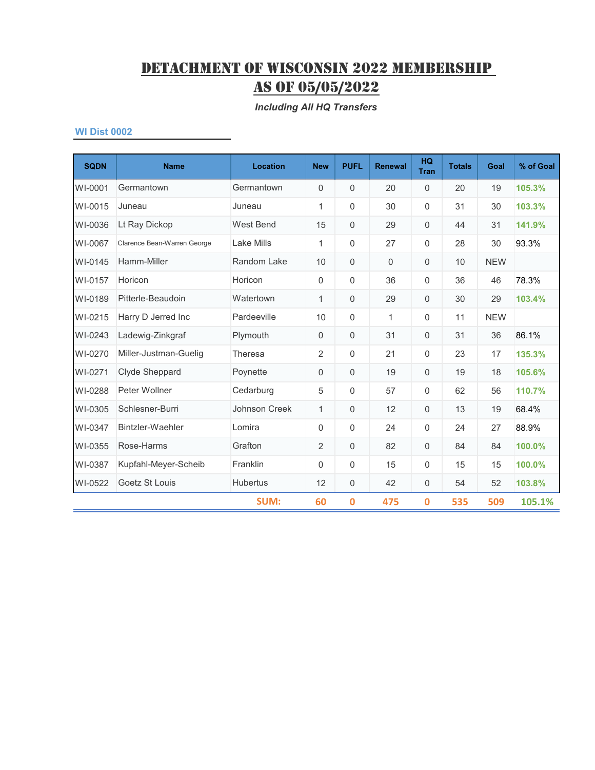*Including All HQ Transfers*

| <b>SQDN</b> | <b>Name</b>                 | <b>Location</b> | <b>New</b>   | <b>PUFL</b> | <b>Renewal</b> | <b>HQ</b><br><b>Tran</b> | <b>Totals</b> | Goal       | % of Goal |
|-------------|-----------------------------|-----------------|--------------|-------------|----------------|--------------------------|---------------|------------|-----------|
| WI-0001     | Germantown                  | Germantown      | $\mathbf 0$  | 0           | 20             | $\mathbf{0}$             | 20            | 19         | 105.3%    |
| WI-0015     | Juneau                      | Juneau          | 1            | $\Omega$    | 30             | $\mathbf 0$              | 31            | 30         | 103.3%    |
| WI-0036     | Lt Ray Dickop               | West Bend       | 15           | 0           | 29             | $\mathbf{0}$             | 44            | 31         | 141.9%    |
| WI-0067     | Clarence Bean-Warren George | Lake Mills      | 1            | 0           | 27             | $\Omega$                 | 28            | 30         | 93.3%     |
| WI-0145     | Hamm-Miller                 | Random Lake     | 10           | 0           | $\overline{0}$ | $\mathbf 0$              | 10            | <b>NEW</b> |           |
| WI-0157     | Horicon                     | Horicon         | 0            | $\mathbf 0$ | 36             | 0                        | 36            | 46         | 78.3%     |
| WI-0189     | Pitterle-Beaudoin           | Watertown       | 1            | 0           | 29             | 0                        | 30            | 29         | 103.4%    |
| WI-0215     | Harry D Jerred Inc          | Pardeeville     | 10           | $\Omega$    | $\mathbf{1}$   | 0                        | 11            | <b>NEW</b> |           |
| WI-0243     | Ladewig-Zinkgraf            | Plymouth        | $\mathbf 0$  | $\Omega$    | 31             | $\mathbf 0$              | 31            | 36         | 86.1%     |
| WI-0270     | Miller-Justman-Guelig       | Theresa         | 2            | 0           | 21             | 0                        | 23            | 17         | 135.3%    |
| WI-0271     | Clyde Sheppard              | Poynette        | $\mathbf 0$  | 0           | 19             | $\mathbf{0}$             | 19            | 18         | 105.6%    |
| WI-0288     | Peter Wollner               | Cedarburg       | 5            | 0           | 57             | $\mathbf 0$              | 62            | 56         | 110.7%    |
| WI-0305     | Schlesner-Burri             | Johnson Creek   | $\mathbf{1}$ | 0           | 12             | $\mathbf 0$              | 13            | 19         | 68.4%     |
| WI-0347     | Bintzler-Waehler            | Lomira          | 0            | $\mathbf 0$ | 24             | $\mathbf 0$              | 24            | 27         | 88.9%     |
| WI-0355     | Rose-Harms                  | Grafton         | 2            | $\Omega$    | 82             | $\mathbf 0$              | 84            | 84         | 100.0%    |
| WI-0387     | Kupfahl-Meyer-Scheib        | Franklin        | 0            | $\Omega$    | 15             | $\mathbf 0$              | 15            | 15         | 100.0%    |
| WI-0522     | Goetz St Louis              | <b>Hubertus</b> | 12           | 0           | 42             | $\mathbf 0$              | 54            | 52         | 103.8%    |
|             |                             | <b>SUM:</b>     | 60           | $\bf{0}$    | 475            | $\bf{0}$                 | 535           | 509        | 105.1%    |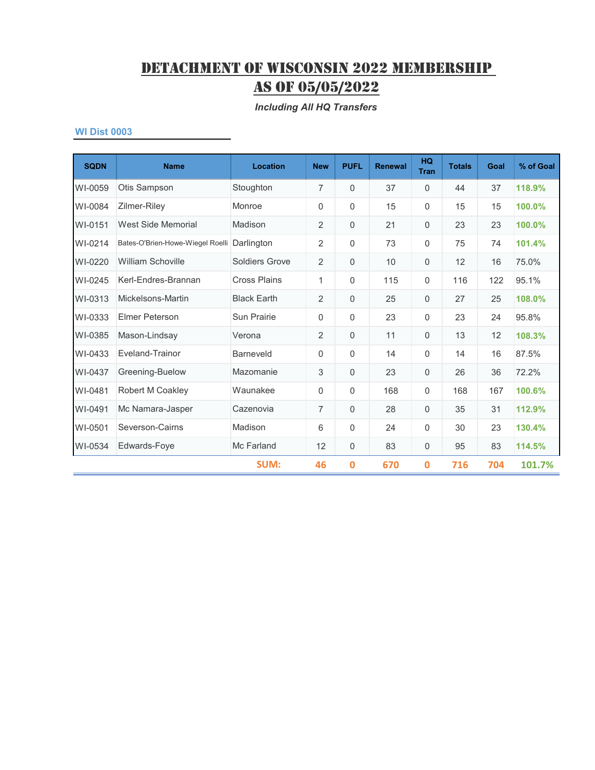*Including All HQ Transfers*

| <b>SQDN</b> | <b>Name</b>                      | <b>Location</b>       | <b>New</b>     | <b>PUFL</b>  | <b>Renewal</b> | <b>HQ</b><br><b>Tran</b> | <b>Totals</b> | Goal | % of Goal |
|-------------|----------------------------------|-----------------------|----------------|--------------|----------------|--------------------------|---------------|------|-----------|
| WI-0059     | Otis Sampson                     | Stoughton             | 7              | $\mathbf 0$  | 37             | $\Omega$                 | 44            | 37   | 118.9%    |
| WI-0084     | Zilmer-Riley                     | Monroe                | 0              | 0            | 15             | 0                        | 15            | 15   | 100.0%    |
| WI-0151     | West Side Memorial               | Madison               | $\overline{2}$ | $\Omega$     | 21             | 0                        | 23            | 23   | 100.0%    |
| WI-0214     | Bates-O'Brien-Howe-Wiegel Roelli | Darlington            | 2              | 0            | 73             | 0                        | 75            | 74   | 101.4%    |
| WI-0220     | <b>William Schoville</b>         | <b>Soldiers Grove</b> | 2              | 0            | 10             | 0                        | 12            | 16   | 75.0%     |
| WI-0245     | Kerl-Endres-Brannan              | <b>Cross Plains</b>   | 1              | $\mathbf{0}$ | 115            | 0                        | 116           | 122  | 95.1%     |
| WI-0313     | Mickelsons-Martin                | <b>Black Earth</b>    | $\overline{2}$ | $\mathbf 0$  | 25             | $\mathbf 0$              | 27            | 25   | 108.0%    |
| WI-0333     | <b>Elmer Peterson</b>            | Sun Prairie           | 0              | 0            | 23             | 0                        | 23            | 24   | 95.8%     |
| WI-0385     | Mason-Lindsay                    | Verona                | $\overline{2}$ | 0            | 11             | 0                        | 13            | 12   | 108.3%    |
| WI-0433     | Eveland-Trainor                  | <b>Barneveld</b>      | $\Omega$       | $\Omega$     | 14             | $\Omega$                 | 14            | 16   | 87.5%     |
| WI-0437     | Greening-Buelow                  | Mazomanie             | 3              | $\Omega$     | 23             | 0                        | 26            | 36   | 72.2%     |
| WI-0481     | Robert M Coakley                 | Waunakee              | 0              | $\Omega$     | 168            | 0                        | 168           | 167  | 100.6%    |
| WI-0491     | Mc Namara-Jasper                 | Cazenovia             | 7              | $\mathbf{0}$ | 28             | $\mathbf 0$              | 35            | 31   | 112.9%    |
| WI-0501     | Severson-Cairns                  | Madison               | 6              | $\mathbf{0}$ | 24             | $\mathbf 0$              | 30            | 23   | 130.4%    |
| WI-0534     | Edwards-Foye                     | Mc Farland            | 12             | 0            | 83             | 0                        | 95            | 83   | 114.5%    |
|             |                                  | SUM:                  | 46             | 0            | 670            | 0                        | 716           | 704  | 101.7%    |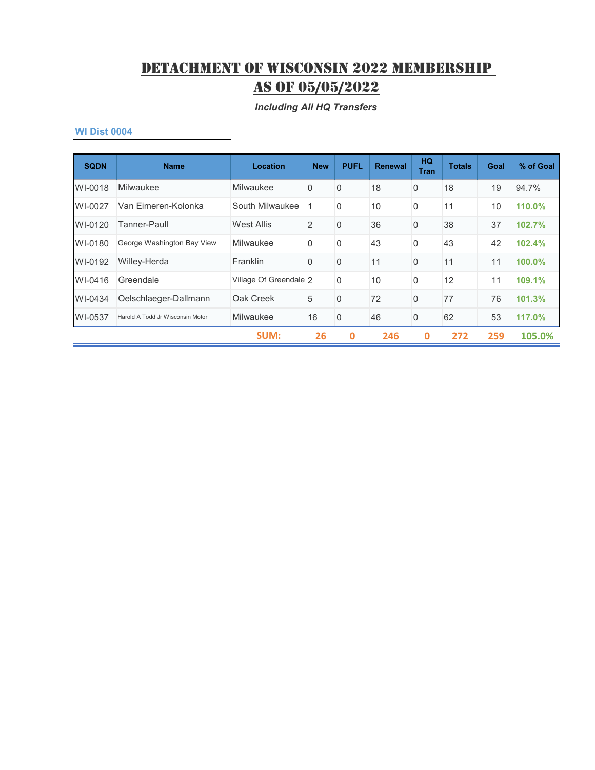*Including All HQ Transfers*

| <b>SQDN</b> | <b>Name</b>                      | <b>Location</b>        | <b>New</b> | <b>PUFL</b>    | <b>Renewal</b> | HQ.<br><b>Tran</b> | <b>Totals</b> | Goal | % of Goal |
|-------------|----------------------------------|------------------------|------------|----------------|----------------|--------------------|---------------|------|-----------|
| WI-0018     | Milwaukee                        | Milwaukee              | 0          | $\overline{0}$ | 18             | $\mathbf 0$        | 18            | 19   | 94.7%     |
| WI-0027     | Van Eimeren-Kolonka              | South Milwaukee        |            | $\Omega$       | 10             | $\mathbf{0}$       | 11            | 10   | 110.0%    |
| WI-0120     | Tanner-Paull                     | <b>West Allis</b>      | 2          | $\Omega$       | 36             | $\mathbf{0}$       | 38            | 37   | 102.7%    |
| WI-0180     | George Washington Bay View       | Milwaukee              | 0          | $\overline{0}$ | 43             | $\mathbf{0}$       | 43            | 42   | 102.4%    |
| WI-0192     | Willey-Herda                     | Franklin               | $\Omega$   | $\Omega$       | 11             | $\Omega$           | 11            | 11   | 100.0%    |
| WI-0416     | Greendale                        | Village Of Greendale 2 |            | $\overline{0}$ | 10             | $\mathbf{0}$       | 12            | 11   | 109.1%    |
| WI-0434     | Oelschlaeger-Dallmann            | Oak Creek              | 5          | $\overline{0}$ | 72             | $\Omega$           | 77            | 76   | 101.3%    |
| WI-0537     | Harold A Todd Jr Wisconsin Motor | Milwaukee              | 16         | $\overline{0}$ | 46             | $\mathbf 0$        | 62            | 53   | 117.0%    |
|             |                                  | <b>SUM:</b>            | 26         | $\bf{0}$       | 246            | $\bf{0}$           | 272           | 259  | 105.0%    |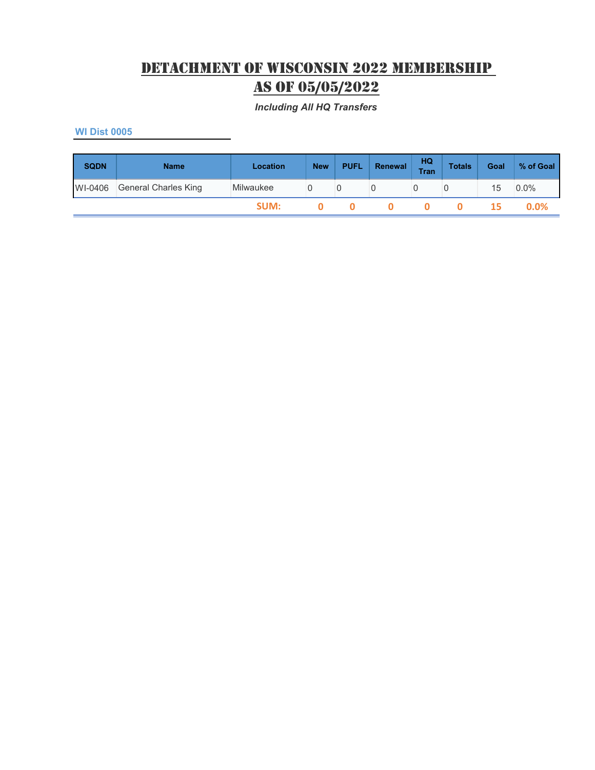*Including All HQ Transfers*

| <b>SQDN</b> | <b>Name</b>          | Location  | <b>New</b> | <b>PUFL</b> | Renewal | HQ<br><b>Tran</b> | <b>Totals</b> | Goal | % of Goal |
|-------------|----------------------|-----------|------------|-------------|---------|-------------------|---------------|------|-----------|
| WI-0406     | General Charles King | Milwaukee |            |             |         |                   |               | 15   | $0.0\%$   |
|             |                      | SUM:      |            |             |         |                   |               | 15.  | $0.0\%$   |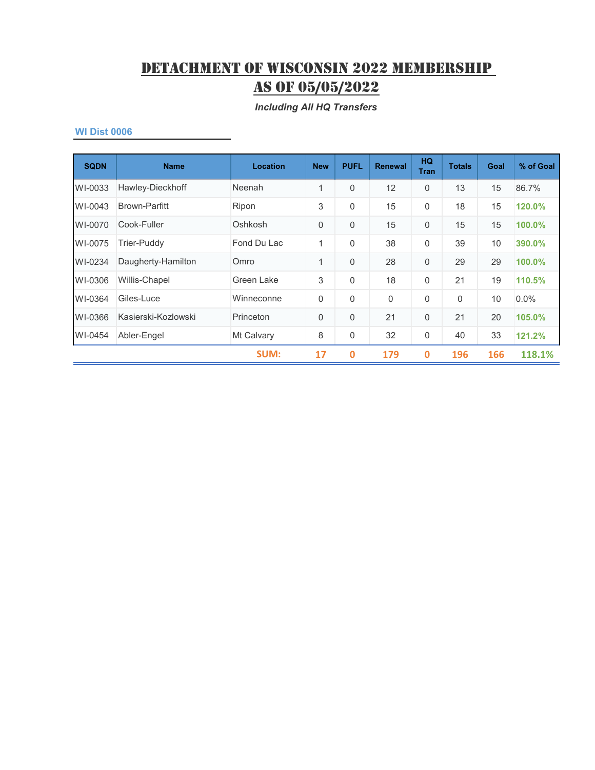*Including All HQ Transfers*

| <b>SQDN</b> | <b>Name</b>          | <b>Location</b> | <b>New</b>  | <b>PUFL</b>  | <b>Renewal</b> | HQ.<br><b>Tran</b> | <b>Totals</b> | Goal | % of Goal |
|-------------|----------------------|-----------------|-------------|--------------|----------------|--------------------|---------------|------|-----------|
| WI-0033     | Hawley-Dieckhoff     | Neenah          | 1           | $\Omega$     | 12             | $\mathbf 0$        | 13            | 15   | 86.7%     |
| WI-0043     | <b>Brown-Parfitt</b> | Ripon           | 3           | $\mathbf{0}$ | 15             | 0                  | 18            | 15   | 120.0%    |
| WI-0070     | Cook-Fuller          | Oshkosh         | 0           | $\Omega$     | 15             | $\mathbf 0$        | 15            | 15   | 100.0%    |
| WI-0075     | Trier-Puddy          | Fond Du Lac     | 1           | $\mathbf{0}$ | 38             | $\Omega$           | 39            | 10   | 390.0%    |
| WI-0234     | Daugherty-Hamilton   | Omro            | 1           | $\Omega$     | 28             | $\Omega$           | 29            | 29   | 100.0%    |
| WI-0306     | Willis-Chapel        | Green Lake      | 3           | $\mathbf{0}$ | 18             | 0                  | 21            | 19   | 110.5%    |
| WI-0364     | Giles-Luce           | Winneconne      | $\mathbf 0$ | $\Omega$     | $\Omega$       | 0                  | 0             | 10   | 0.0%      |
| WI-0366     | Kasierski-Kozlowski  | Princeton       | $\mathbf 0$ | $\Omega$     | 21             | $\mathbf{0}$       | 21            | 20   | 105.0%    |
| WI-0454     | Abler-Engel          | Mt Calvary      | 8           | 0            | 32             | 0                  | 40            | 33   | 121.2%    |
|             |                      | <b>SUM:</b>     | 17          | $\mathbf 0$  | 179            | $\mathbf 0$        | 196           | 166  | 118.1%    |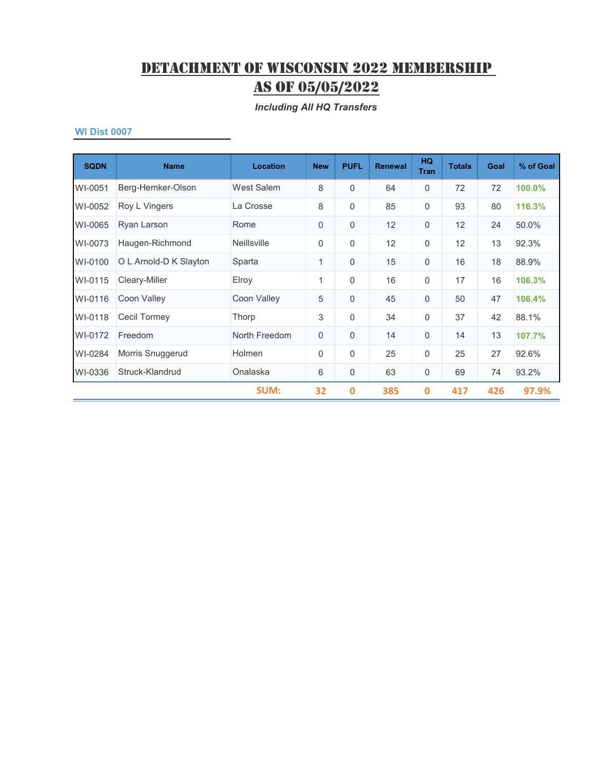*Including All HQ Transfers*

| <b>SQDN</b> | <b>Name</b>            | <b>Location</b>    | <b>New</b>  | <b>PUFL</b> | <b>Renewal</b> | <b>HQ</b><br><b>Tran</b> | <b>Totals</b> | Goal | % of Goal |
|-------------|------------------------|--------------------|-------------|-------------|----------------|--------------------------|---------------|------|-----------|
| WI-0051     | Berg-Hemker-Olson      | West Salem         | 8           | $\Omega$    | 64             | $\Omega$                 | 72            | 72   | 100.0%    |
| WI-0052     | Roy L Vingers          | La Crosse          | 8           | 0           | 85             | $\mathbf 0$              | 93            | 80   | 116.3%    |
| WI-0065     | Ryan Larson            | Rome               | $\mathbf 0$ | $\mathbf 0$ | 12             | $\mathbf 0$              | 12            | 24   | 50.0%     |
| WI-0073     | Haugen-Richmond        | <b>Neillsville</b> | 0           | 0           | 12             | $\mathbf 0$              | 12            | 13   | 92.3%     |
| WI-0100     | O L Arnold-D K Slayton | Sparta             | 1           | $\Omega$    | 15             | $\Omega$                 | 16            | 18   | 88.9%     |
| WI-0115     | Cleary-Miller          | Elroy              | 1           | $\Omega$    | 16             | $\mathbf 0$              | 17            | 16   | 106.3%    |
| WI-0116     | Coon Valley            | Coon Valley        | 5           | $\Omega$    | 45             | $\mathbf 0$              | 50            | 47   | 106.4%    |
| WI-0118     | Cecil Tormey           | Thorp              | 3           | $\Omega$    | 34             | $\Omega$                 | 37            | 42   | 88.1%     |
| WI-0172     | Freedom                | North Freedom      | $\mathbf 0$ | 0           | 14             | $\mathbf 0$              | 14            | 13   | 107.7%    |
| WI-0284     | Morris Snuggerud       | Holmen             | 0           | $\Omega$    | 25             | $\Omega$                 | 25            | 27   | 92.6%     |
| WI-0336     | Struck-Klandrud        | Onalaska           | 6           | 0           | 63             | $\mathbf 0$              | 69            | 74   | 93.2%     |
|             |                        | <b>SUM:</b>        | 32          | $\mathbf 0$ | 385            | $\mathbf 0$              | 417           | 426  | 97.9%     |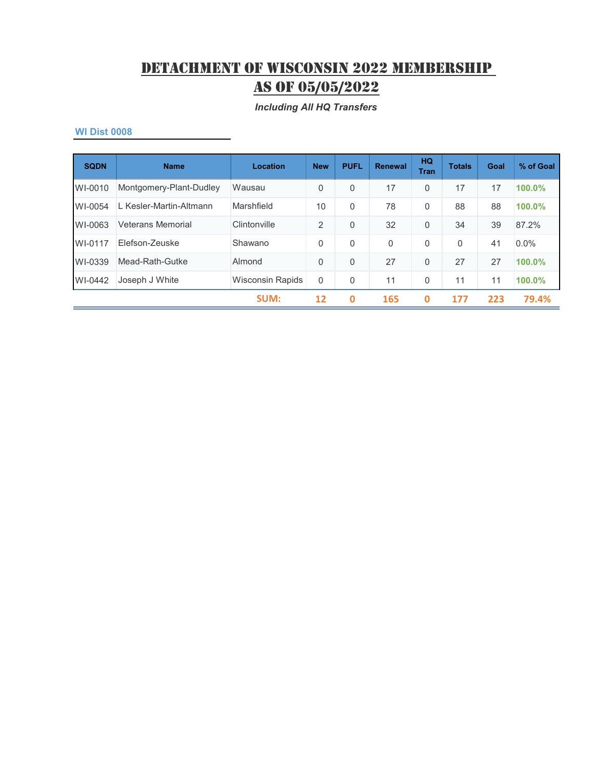*Including All HQ Transfers*

| <b>SQDN</b> | <b>Name</b>              | Location                | <b>New</b>     | <b>PUFL</b> | Renewal      | HQ<br><b>Tran</b> | <b>Totals</b> | Goal | % of Goal |
|-------------|--------------------------|-------------------------|----------------|-------------|--------------|-------------------|---------------|------|-----------|
| WI-0010     | Montgomery-Plant-Dudley  | Wausau                  | 0              | 0           | 17           | $\mathbf 0$       | 17            | 17   | 100.0%    |
| WI-0054     | L Kesler-Martin-Altmann  | Marshfield              | 10             | 0           | 78           | $\Omega$          | 88            | 88   | 100.0%    |
| WI-0063     | <b>Veterans Memorial</b> | Clintonville            | $\overline{2}$ | 0           | 32           | $\mathbf 0$       | 34            | 39   | 87.2%     |
| WI-0117     | Flefson-Zeuske           | Shawano                 | $\mathbf{0}$   | 0           | $\mathbf{0}$ | $\Omega$          | $\Omega$      | 41   | 0.0%      |
| WI-0339     | Mead-Rath-Gutke          | Almond                  | 0              | $\Omega$    | 27           | $\Omega$          | 27            | 27   | 100.0%    |
| WI-0442     | Joseph J White           | <b>Wisconsin Rapids</b> | $\Omega$       | 0           | 11           | 0                 | 11            | 11   | 100.0%    |
|             |                          | <b>SUM:</b>             | 12             | 0           | 165          | 0                 | 177           | 223  | 79.4%     |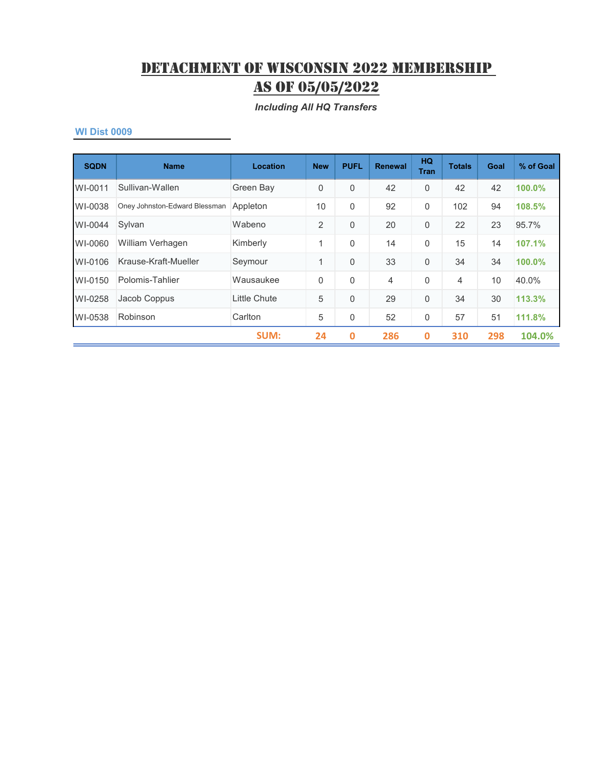*Including All HQ Transfers*

| <b>SQDN</b> | <b>Name</b>                   | Location     | <b>New</b>     | <b>PUFL</b> | <b>Renewal</b> | <b>HQ</b><br><b>Tran</b> | <b>Totals</b>  | Goal | % of Goal |
|-------------|-------------------------------|--------------|----------------|-------------|----------------|--------------------------|----------------|------|-----------|
| WI-0011     | Sullivan-Wallen               | Green Bay    | 0              | $\Omega$    | 42             | $\mathbf 0$              | 42             | 42   | 100.0%    |
| WI-0038     | Oney Johnston-Edward Blessman | Appleton     | 10             | $\Omega$    | 92             | $\mathbf 0$              | 102            | 94   | 108.5%    |
| WI-0044     | Sylvan                        | Wabeno       | $\overline{2}$ | $\Omega$    | 20             | $\mathbf 0$              | 22             | 23   | 95.7%     |
| WI-0060     | William Verhagen              | Kimberly     | 1              | $\Omega$    | 14             | $\mathbf 0$              | 15             | 14   | 107.1%    |
| WI-0106     | Krause-Kraft-Mueller          | Seymour      | 1              | $\Omega$    | 33             | $\Omega$                 | 34             | 34   | 100.0%    |
| WI-0150     | Polomis-Tahlier               | Wausaukee    | $\mathbf{0}$   | $\Omega$    | 4              | $\Omega$                 | $\overline{4}$ | 10   | 40.0%     |
| WI-0258     | Jacob Coppus                  | Little Chute | 5              | $\Omega$    | 29             | $\mathbf 0$              | 34             | 30   | 113.3%    |
| WI-0538     | Robinson                      | Carlton      | 5              | 0           | 52             | $\mathbf 0$              | 57             | 51   | 111.8%    |
|             |                               | <b>SUM:</b>  | 24             | $\mathbf 0$ | 286            | $\mathbf 0$              | 310            | 298  | 104.0%    |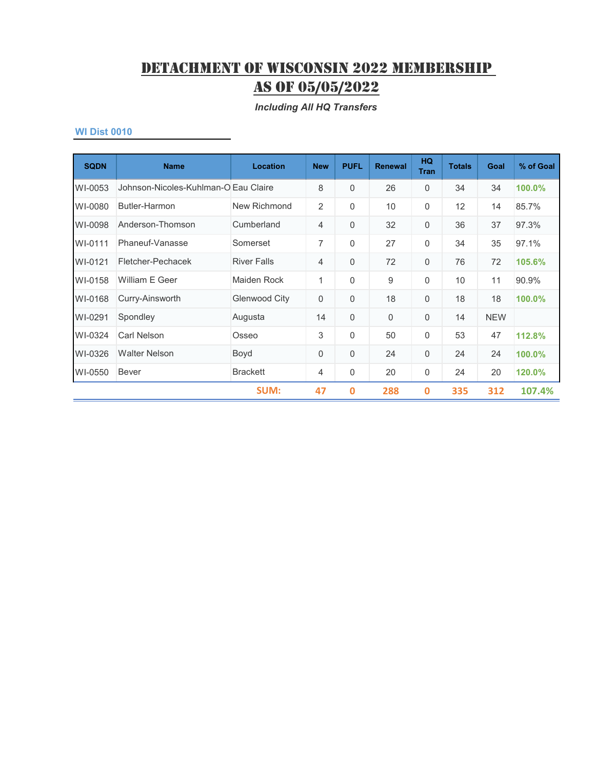#### *Including All HQ Transfers*

| <b>SQDN</b> | <b>Name</b>                          | <b>Location</b>      | <b>New</b>     | <b>PUFL</b> | <b>Renewal</b> | <b>HQ</b><br><b>Tran</b> | <b>Totals</b> | Goal       | % of Goal |
|-------------|--------------------------------------|----------------------|----------------|-------------|----------------|--------------------------|---------------|------------|-----------|
| WI-0053     | Johnson-Nicoles-Kuhlman-O Eau Claire |                      | 8              | $\Omega$    | 26             | $\Omega$                 | 34            | 34         | 100.0%    |
| WI-0080     | Butler-Harmon                        | New Richmond         | $\overline{2}$ | $\Omega$    | 10             | $\mathbf 0$              | 12            | 14         | 85.7%     |
| WI-0098     | Anderson-Thomson                     | Cumberland           | $\overline{4}$ | 0           | 32             | $\mathbf 0$              | 36            | 37         | 97.3%     |
| WI-0111     | Phaneuf-Vanasse                      | Somerset             | 7              | $\Omega$    | 27             | $\mathbf 0$              | 34            | 35         | 97.1%     |
| WI-0121     | Fletcher-Pechacek                    | <b>River Falls</b>   | $\overline{4}$ | $\Omega$    | 72             | $\mathbf 0$              | 76            | 72         | 105.6%    |
| WI-0158     | William E Geer                       | Maiden Rock          | 1              | $\Omega$    | 9              | $\Omega$                 | 10            | 11         | 90.9%     |
| WI-0168     | Curry-Ainsworth                      | <b>Glenwood City</b> | $\mathbf 0$    | 0           | 18             | $\mathbf 0$              | 18            | 18         | 100.0%    |
| WI-0291     | Spondley                             | Augusta              | 14             | $\mathbf 0$ | $\overline{0}$ | $\mathbf 0$              | 14            | <b>NEW</b> |           |
| WI-0324     | Carl Nelson                          | Osseo                | 3              | 0           | 50             | $\mathbf 0$              | 53            | 47         | 112.8%    |
| WI-0326     | <b>Walter Nelson</b>                 | Boyd                 | $\mathbf 0$    | 0           | 24             | $\mathbf 0$              | 24            | 24         | 100.0%    |
| WI-0550     | <b>Bever</b>                         | <b>Brackett</b>      | $\overline{4}$ | 0           | 20             | $\mathbf 0$              | 24            | 20         | 120.0%    |
|             |                                      | <b>SUM:</b>          | 47             | $\mathbf 0$ | 288            | $\bf{0}$                 | 335           | 312        | 107.4%    |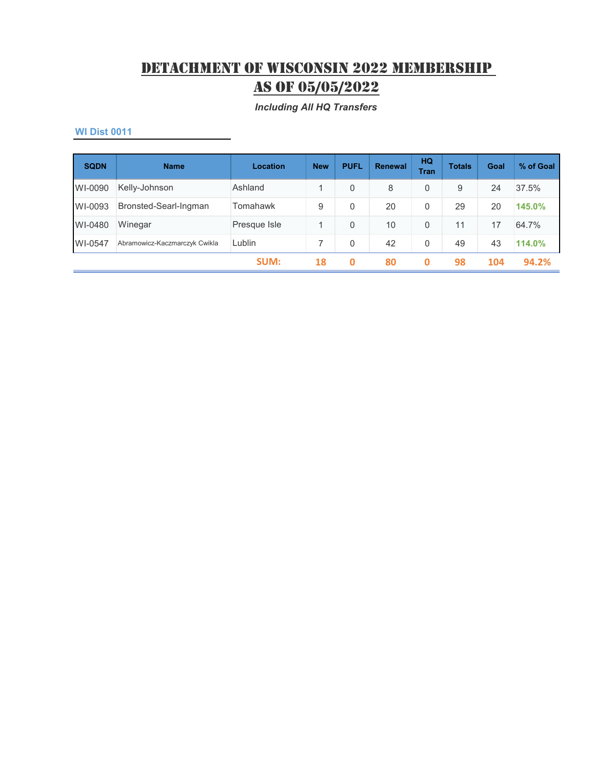*Including All HQ Transfers*

| <b>SQDN</b> | <b>Name</b>                   | Location     | <b>New</b> | <b>PUFL</b> | Renewal | HQ<br><b>Tran</b> | <b>Totals</b> | Goal | % of Goal |
|-------------|-------------------------------|--------------|------------|-------------|---------|-------------------|---------------|------|-----------|
| WI-0090     | Kelly-Johnson                 | Ashland      | 1          | 0           | 8       | 0                 | 9             | 24   | 37.5%     |
| WI-0093     | Bronsted-Searl-Ingman         | Tomahawk     | 9          | 0           | 20      | 0                 | 29            | 20   | 145.0%    |
| WI-0480     | Winegar                       | Presque Isle | 1          | 0           | 10      | $\Omega$          | 11            | 17   | 64.7%     |
| WI-0547     | Abramowicz-Kaczmarczyk Cwikla | Lublin       |            | 0           | 42      | $\Omega$          | 49            | 43   | 114.0%    |
|             |                               | SUM:         | 18         | 0           | 80      | 0                 | 98            | 104  | 94.2%     |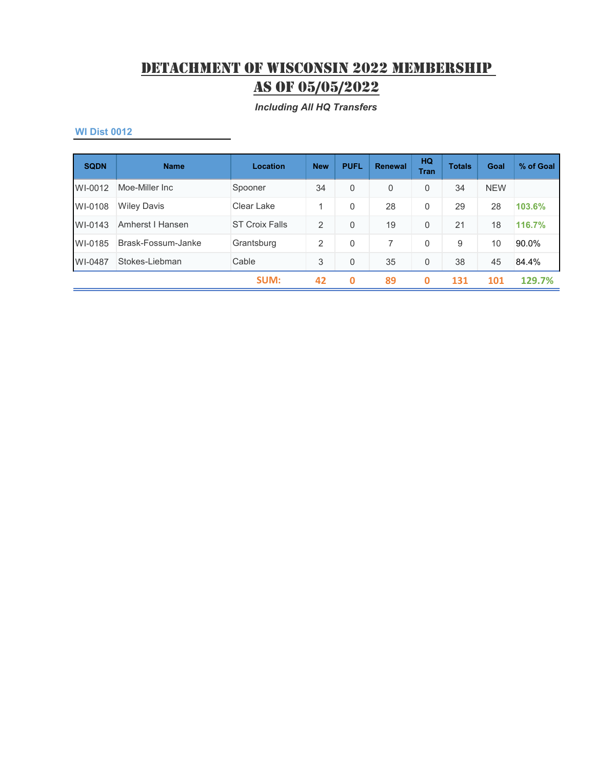*Including All HQ Transfers*

| <b>SQDN</b> | <b>Name</b>        | Location              | <b>New</b> | <b>PUFL</b> | <b>Renewal</b> | <b>HQ</b><br><b>Tran</b> | <b>Totals</b> | Goal       | % of Goal |
|-------------|--------------------|-----------------------|------------|-------------|----------------|--------------------------|---------------|------------|-----------|
| WI-0012     | Moe-Miller Inc.    | Spooner               | 34         | $\Omega$    | $\overline{0}$ | $\mathbf{0}$             | 34            | <b>NEW</b> |           |
| WI-0108     | <b>Wiley Davis</b> | Clear Lake            | 1          | 0           | 28             | 0                        | 29            | 28         | 103.6%    |
| WI-0143     | Amherst I Hansen   | <b>ST Croix Falls</b> | 2          | $\Omega$    | 19             | 0                        | 21            | 18         | 116.7%    |
| WI-0185     | Brask-Fossum-Janke | Grantsburg            | 2          | $\Omega$    |                | $\mathbf 0$              | 9             | 10         | 90.0%     |
| WI-0487     | Stokes-Liebman     | Cable                 | 3          | $\Omega$    | 35             | 0                        | 38            | 45         | 84.4%     |
|             |                    | SUM:                  | 42         | 0           | 89             | 0                        | 131           | 101        | 129.7%    |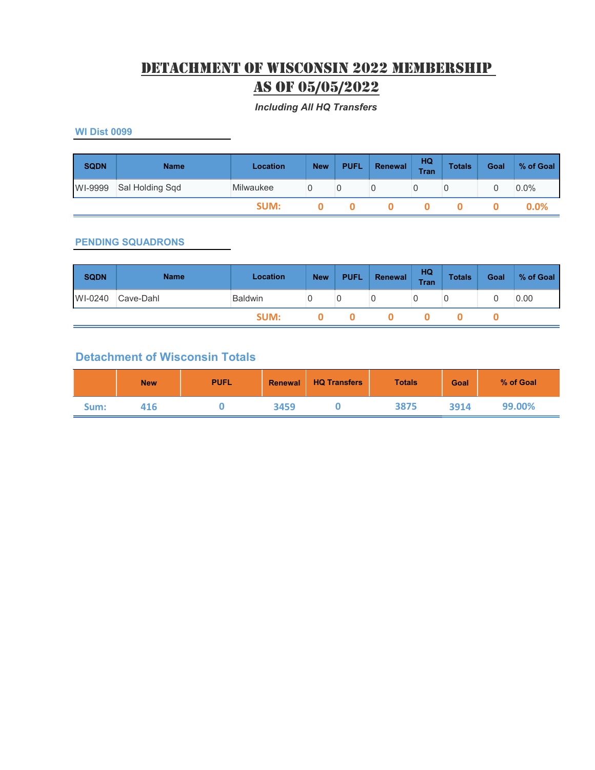## Detachment Of Wisconsin 2022 Membership as of 05/05/2022

#### *Including All HQ Transfers*

**WI Dist 0099**

| <b>SQDN</b> | <b>Name</b>     | Location  | <b>New</b> | <b>PUFL</b> | Renewal | HQ<br><b>Tran</b> | <b>Totals</b> | Goal | % of Goal |
|-------------|-----------------|-----------|------------|-------------|---------|-------------------|---------------|------|-----------|
| WI-9999     | Sal Holding Sqd | Milwaukee |            |             |         |                   |               |      | $0.0\%$   |
|             |                 | SUM:      |            |             |         |                   |               |      | $0.0\%$   |

#### **PENDING SQUADRONS**

| <b>SQDN</b> | <b>Name</b> | Location       | <b>New</b> | <b>PUFL</b> | Renewal | HQ<br><b>Tran</b> | <b>Totals</b> | Goal | % of Goal |
|-------------|-------------|----------------|------------|-------------|---------|-------------------|---------------|------|-----------|
| WI-0240     | Cave-Dahl   | <b>Baldwin</b> |            |             |         |                   |               |      | 0.00      |
|             |             | SUM:           |            |             |         |                   |               |      |           |

### **Detachment of Wisconsin Totals**

|      | <b>New</b> | <b>PUFL</b> | Renewal | <b>HQ Transfers</b> | <b>Totals</b> | <b>Goal</b> | % of Goal |
|------|------------|-------------|---------|---------------------|---------------|-------------|-----------|
| Sum: | 416        |             | 3459    |                     | 3875          | 3914        | 99.00%    |